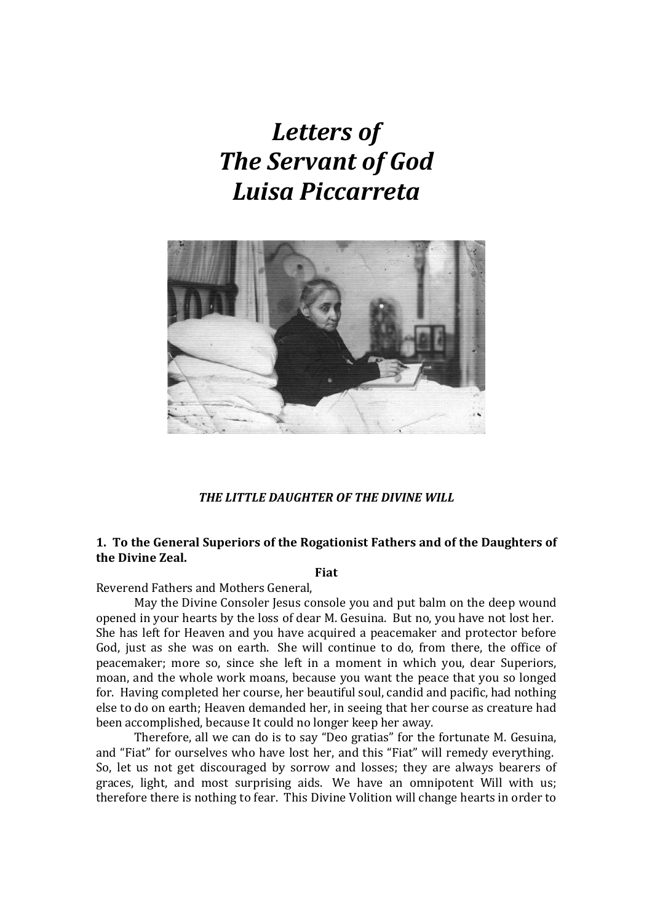# *Letters of The Servant of God Luisa Piccarreta*



*THE LITTLE DAUGHTER OF THE DIVINE WILL*

# **1. To the General Superiors of the Rogationist Fathers and of the Daughters of the Divine Zeal.**

# **Fiat**

Reverend Fathers and Mothers General,

May the Divine Consoler Jesus console you and put balm on the deep wound opened in your hearts by the loss of dear M. Gesuina. But no, you have not lost her. She has left for Heaven and you have acquired a peacemaker and protector before God, just as she was on earth. She will continue to do, from there, the office of peacemaker; more so, since she left in a moment in which you, dear Superiors, moan, and the whole work moans, because you want the peace that you so longed for. Having completed her course, her beautiful soul, candid and pacific, had nothing else to do on earth; Heaven demanded her, in seeing that her course as creature had been accomplished, because It could no longer keep her away.

Therefore, all we can do is to say "Deo gratias" for the fortunate M. Gesuina, and "Fiat" for ourselves who have lost her, and this "Fiat" will remedy everything. So, let us not get discouraged by sorrow and losses; they are always bearers of graces, light, and most surprising aids. We have an omnipotent Will with us; therefore there is nothing to fear. This Divine Volition will change hearts in order to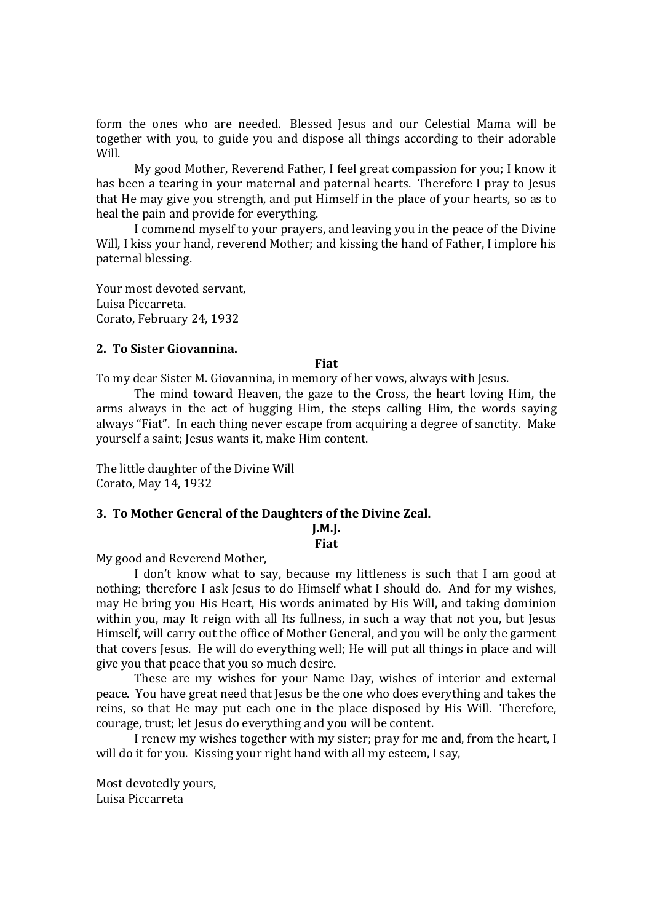form the ones who are needed. Blessed Jesus and our Celestial Mama will be together with you, to guide you and dispose all things according to their adorable Will.

My good Mother, Reverend Father, I feel great compassion for you; I know it has been a tearing in your maternal and paternal hearts. Therefore I pray to Jesus that He may give you strength, and put Himself in the place of your hearts, so as to heal the pain and provide for everything.

I commend myself to your prayers, and leaving you in the peace of the Divine Will, I kiss your hand, reverend Mother; and kissing the hand of Father, I implore his paternal blessing.

Your most devoted servant, Luisa Piccarreta. Corato, February 24, 1932

# **2. To Sister Giovannina.**

#### **Fiat**

To my dear Sister M. Giovannina, in memory of her vows, always with Jesus.

The mind toward Heaven, the gaze to the Cross, the heart loving Him, the arms always in the act of hugging Him, the steps calling Him, the words saying always "Fiat". In each thing never escape from acquiring a degree of sanctity. Make yourself a saint; Jesus wants it, make Him content.

The little daughter of the Divine Will Corato, May 14, 1932

# **3. To Mother General of the Daughters of the Divine Zeal.**

**J.M.J.** 

**Fiat**

My good and Reverend Mother,

I don't know what to say, because my littleness is such that I am good at nothing; therefore I ask Jesus to do Himself what I should do. And for my wishes, may He bring you His Heart, His words animated by His Will, and taking dominion within you, may It reign with all Its fullness, in such a way that not you, but Jesus Himself, will carry out the office of Mother General, and you will be only the garment that covers Jesus. He will do everything well; He will put all things in place and will give you that peace that you so much desire.

These are my wishes for your Name Day, wishes of interior and external peace. You have great need that Jesus be the one who does everything and takes the reins, so that He may put each one in the place disposed by His Will. Therefore, courage, trust; let Jesus do everything and you will be content.

I renew my wishes together with my sister; pray for me and, from the heart, I will do it for you. Kissing your right hand with all my esteem, I say,

Most devotedly yours, Luisa Piccarreta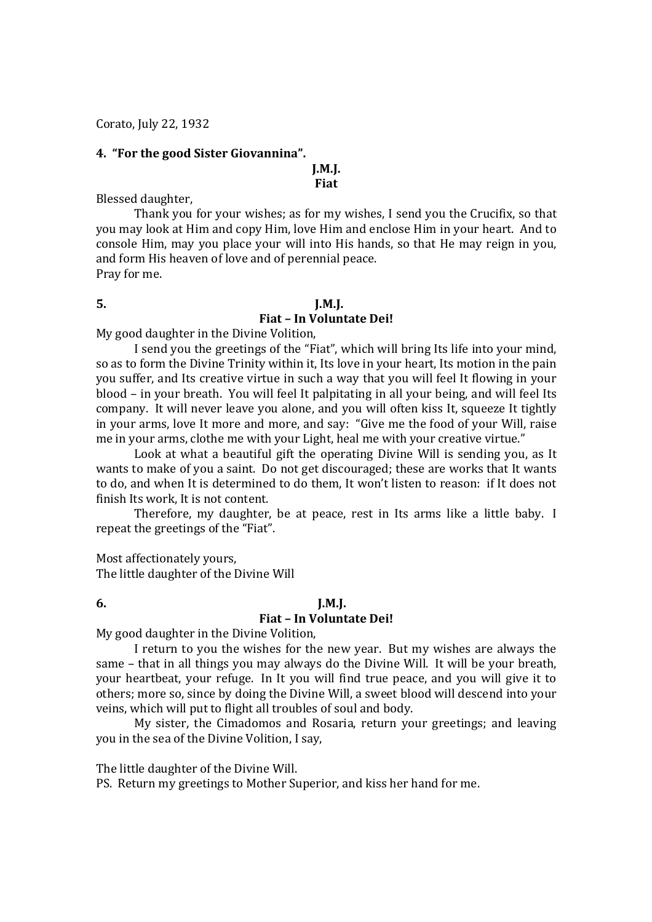Corato, July 22, 1932

# **4. "For the good Sister Giovannina".**

# **J.M.J. Fiat**

Blessed daughter,

Thank you for your wishes; as for my wishes, I send you the Crucifix, so that you may look at Him and copy Him, love Him and enclose Him in your heart. And to console Him, may you place your will into His hands, so that He may reign in you, and form His heaven of love and of perennial peace. Pray for me.

# **5. J.M.J.**

# **Fiat – In Voluntate Dei!**

My good daughter in the Divine Volition,

I send you the greetings of the "Fiat", which will bring Its life into your mind, so as to form the Divine Trinity within it, Its love in your heart, Its motion in the pain you suffer, and Its creative virtue in such a way that you will feel It flowing in your blood – in your breath. You will feel It palpitating in all your being, and will feel Its company. It will never leave you alone, and you will often kiss It, squeeze It tightly in your arms, love It more and more, and say: "Give me the food of your Will, raise me in your arms, clothe me with your Light, heal me with your creative virtue."

Look at what a beautiful gift the operating Divine Will is sending you, as It wants to make of you a saint. Do not get discouraged; these are works that It wants to do, and when It is determined to do them, It won't listen to reason: if It does not finish Its work, It is not content.

Therefore, my daughter, be at peace, rest in Its arms like a little baby. I repeat the greetings of the "Fiat".

Most affectionately yours,

The little daughter of the Divine Will

# **6. J.M.J.**

# **Fiat – In Voluntate Dei!**

My good daughter in the Divine Volition,

I return to you the wishes for the new year. But my wishes are always the same – that in all things you may always do the Divine Will. It will be your breath, your heartbeat, your refuge. In It you will find true peace, and you will give it to others; more so, since by doing the Divine Will, a sweet blood will descend into your veins, which will put to flight all troubles of soul and body.

My sister, the Cimadomos and Rosaria, return your greetings; and leaving you in the sea of the Divine Volition, I say,

The little daughter of the Divine Will.

PS. Return my greetings to Mother Superior, and kiss her hand for me.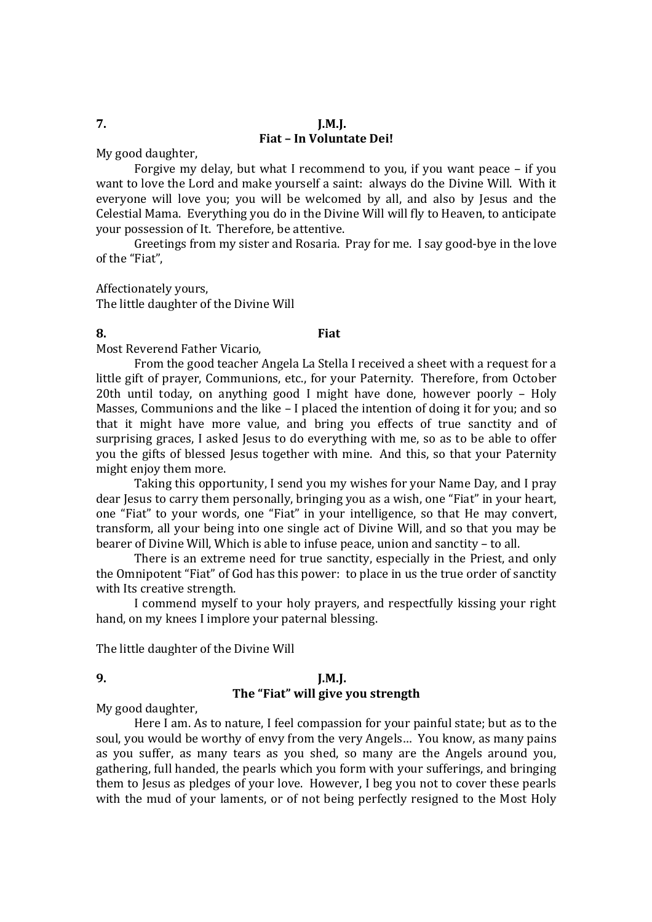# **7. J.M.J. Fiat – In Voluntate Dei!**

My good daughter,

Forgive my delay, but what I recommend to you, if you want peace – if you want to love the Lord and make yourself a saint: always do the Divine Will. With it everyone will love you; you will be welcomed by all, and also by Jesus and the Celestial Mama. Everything you do in the Divine Will will fly to Heaven, to anticipate your possession of It. Therefore, be attentive.

Greetings from my sister and Rosaria. Pray for me. I say good-bye in the love of the "Fiat",

Affectionately yours, The little daughter of the Divine Will

# **8. Fiat**

Most Reverend Father Vicario,

From the good teacher Angela La Stella I received a sheet with a request for a little gift of prayer, Communions, etc., for your Paternity. Therefore, from October 20th until today, on anything good I might have done, however poorly – Holy Masses, Communions and the like – I placed the intention of doing it for you; and so that it might have more value, and bring you effects of true sanctity and of surprising graces, I asked Jesus to do everything with me, so as to be able to offer you the gifts of blessed Jesus together with mine. And this, so that your Paternity might enjoy them more.

Taking this opportunity, I send you my wishes for your Name Day, and I pray dear Jesus to carry them personally, bringing you as a wish, one "Fiat" in your heart, one "Fiat" to your words, one "Fiat" in your intelligence, so that He may convert, transform, all your being into one single act of Divine Will, and so that you may be bearer of Divine Will, Which is able to infuse peace, union and sanctity – to all.

There is an extreme need for true sanctity, especially in the Priest, and only the Omnipotent "Fiat" of God has this power: to place in us the true order of sanctity with Its creative strength.

I commend myself to your holy prayers, and respectfully kissing your right hand, on my knees I implore your paternal blessing.

The little daughter of the Divine Will

# **9. J.M.J. The "Fiat" will give you strength**

My good daughter,

Here I am. As to nature, I feel compassion for your painful state; but as to the soul, you would be worthy of envy from the very Angels… You know, as many pains as you suffer, as many tears as you shed, so many are the Angels around you, gathering, full handed, the pearls which you form with your sufferings, and bringing them to Jesus as pledges of your love. However, I beg you not to cover these pearls with the mud of your laments, or of not being perfectly resigned to the Most Holy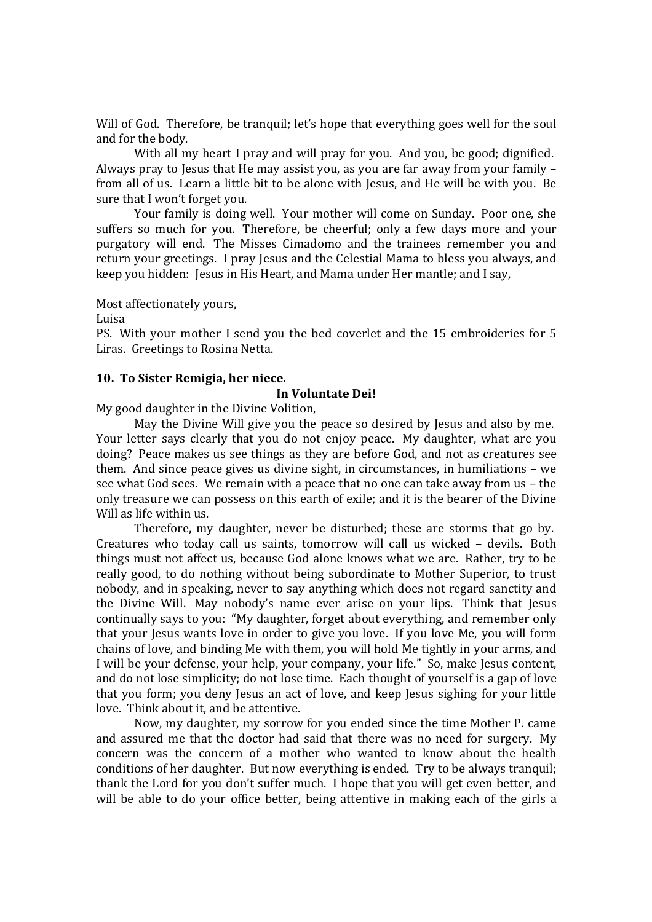Will of God. Therefore, be tranquil; let's hope that everything goes well for the soul and for the body.

With all my heart I pray and will pray for you. And you, be good; dignified. Always pray to Jesus that He may assist you, as you are far away from your family – from all of us. Learn a little bit to be alone with Jesus, and He will be with you. Be sure that I won't forget you.

Your family is doing well. Your mother will come on Sunday. Poor one, she suffers so much for you. Therefore, be cheerful; only a few days more and your purgatory will end. The Misses Cimadomo and the trainees remember you and return your greetings. I pray Jesus and the Celestial Mama to bless you always, and keep you hidden: Jesus in His Heart, and Mama under Her mantle; and I say,

Most affectionately yours,

Luisa

PS. With your mother I send you the bed coverlet and the 15 embroideries for 5 Liras. Greetings to Rosina Netta.

# **10. To Sister Remigia, her niece.**

# **In Voluntate Dei!**

My good daughter in the Divine Volition,

May the Divine Will give you the peace so desired by Jesus and also by me. Your letter says clearly that you do not enjoy peace. My daughter, what are you doing? Peace makes us see things as they are before God, and not as creatures see them. And since peace gives us divine sight, in circumstances, in humiliations – we see what God sees. We remain with a peace that no one can take away from us – the only treasure we can possess on this earth of exile; and it is the bearer of the Divine Will as life within us.

Therefore, my daughter, never be disturbed; these are storms that go by. Creatures who today call us saints, tomorrow will call us wicked – devils. Both things must not affect us, because God alone knows what we are. Rather, try to be really good, to do nothing without being subordinate to Mother Superior, to trust nobody, and in speaking, never to say anything which does not regard sanctity and the Divine Will. May nobody's name ever arise on your lips. Think that Jesus continually says to you: "My daughter, forget about everything, and remember only that your Jesus wants love in order to give you love. If you love Me, you will form chains of love, and binding Me with them, you will hold Me tightly in your arms, and I will be your defense, your help, your company, your life." So, make Jesus content, and do not lose simplicity; do not lose time. Each thought of yourself is a gap of love that you form; you deny Jesus an act of love, and keep Jesus sighing for your little love. Think about it, and be attentive.

Now, my daughter, my sorrow for you ended since the time Mother P. came and assured me that the doctor had said that there was no need for surgery. My concern was the concern of a mother who wanted to know about the health conditions of her daughter. But now everything is ended. Try to be always tranquil; thank the Lord for you don't suffer much. I hope that you will get even better, and will be able to do your office better, being attentive in making each of the girls a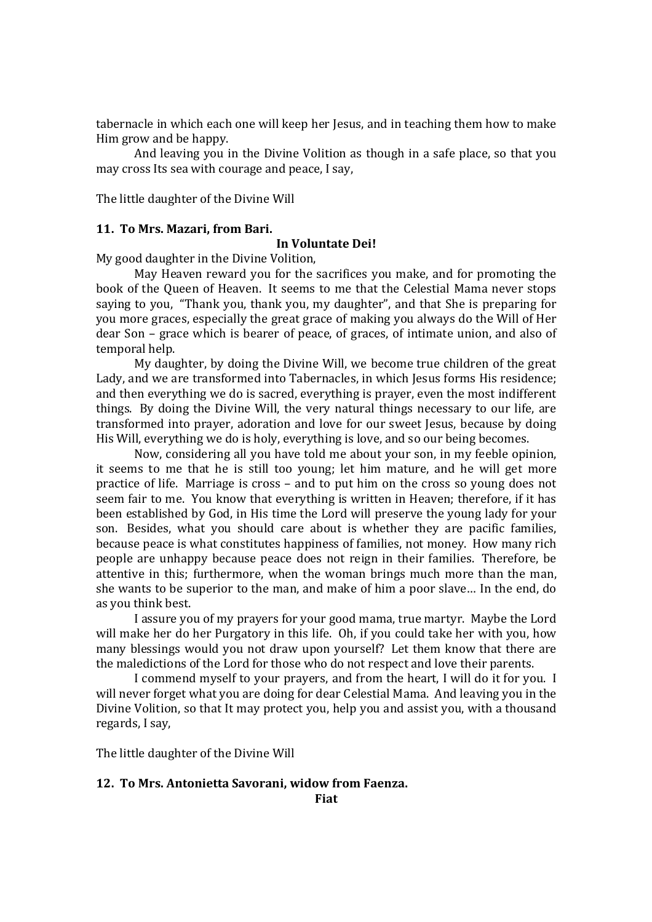tabernacle in which each one will keep her Jesus, and in teaching them how to make Him grow and be happy.

And leaving you in the Divine Volition as though in a safe place, so that you may cross Its sea with courage and peace, I say,

The little daughter of the Divine Will

### **11. To Mrs. Mazari, from Bari.**

# **In Voluntate Dei!**

My good daughter in the Divine Volition,

May Heaven reward you for the sacrifices you make, and for promoting the book of the Queen of Heaven. It seems to me that the Celestial Mama never stops saying to you, "Thank you, thank you, my daughter", and that She is preparing for you more graces, especially the great grace of making you always do the Will of Her dear Son – grace which is bearer of peace, of graces, of intimate union, and also of temporal help.

My daughter, by doing the Divine Will, we become true children of the great Lady, and we are transformed into Tabernacles, in which Jesus forms His residence; and then everything we do is sacred, everything is prayer, even the most indifferent things. By doing the Divine Will, the very natural things necessary to our life, are transformed into prayer, adoration and love for our sweet Jesus, because by doing His Will, everything we do is holy, everything is love, and so our being becomes.

Now, considering all you have told me about your son, in my feeble opinion, it seems to me that he is still too young; let him mature, and he will get more practice of life. Marriage is cross – and to put him on the cross so young does not seem fair to me. You know that everything is written in Heaven; therefore, if it has been established by God, in His time the Lord will preserve the young lady for your son. Besides, what you should care about is whether they are pacific families, because peace is what constitutes happiness of families, not money. How many rich people are unhappy because peace does not reign in their families. Therefore, be attentive in this; furthermore, when the woman brings much more than the man, she wants to be superior to the man, and make of him a poor slave… In the end, do as you think best.

I assure you of my prayers for your good mama, true martyr. Maybe the Lord will make her do her Purgatory in this life. Oh, if you could take her with you, how many blessings would you not draw upon yourself? Let them know that there are the maledictions of the Lord for those who do not respect and love their parents.

I commend myself to your prayers, and from the heart, I will do it for you. I will never forget what you are doing for dear Celestial Mama. And leaving you in the Divine Volition, so that It may protect you, help you and assist you, with a thousand regards, I say,

The little daughter of the Divine Will

### **12. To Mrs. Antonietta Savorani, widow from Faenza.**

**Fiat**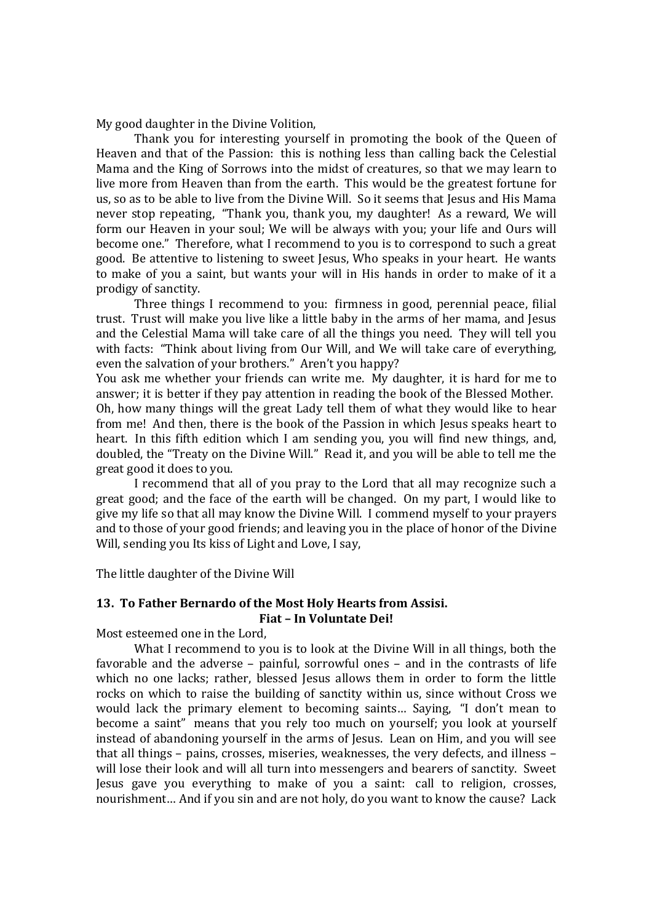My good daughter in the Divine Volition,

Thank you for interesting yourself in promoting the book of the Queen of Heaven and that of the Passion: this is nothing less than calling back the Celestial Mama and the King of Sorrows into the midst of creatures, so that we may learn to live more from Heaven than from the earth. This would be the greatest fortune for us, so as to be able to live from the Divine Will. So it seems that Jesus and His Mama never stop repeating, "Thank you, thank you, my daughter! As a reward, We will form our Heaven in your soul; We will be always with you; your life and Ours will become one." Therefore, what I recommend to you is to correspond to such a great good. Be attentive to listening to sweet Jesus, Who speaks in your heart. He wants to make of you a saint, but wants your will in His hands in order to make of it a prodigy of sanctity.

Three things I recommend to you: firmness in good, perennial peace, filial trust. Trust will make you live like a little baby in the arms of her mama, and Jesus and the Celestial Mama will take care of all the things you need. They will tell you with facts: "Think about living from Our Will, and We will take care of everything, even the salvation of your brothers." Aren't you happy?

You ask me whether your friends can write me. My daughter, it is hard for me to answer; it is better if they pay attention in reading the book of the Blessed Mother. Oh, how many things will the great Lady tell them of what they would like to hear from me! And then, there is the book of the Passion in which Jesus speaks heart to heart. In this fifth edition which I am sending you, you will find new things, and, doubled, the "Treaty on the Divine Will." Read it, and you will be able to tell me the great good it does to you.

I recommend that all of you pray to the Lord that all may recognize such a great good; and the face of the earth will be changed. On my part, I would like to give my life so that all may know the Divine Will. I commend myself to your prayers and to those of your good friends; and leaving you in the place of honor of the Divine Will, sending you Its kiss of Light and Love, I say,

The little daughter of the Divine Will

# **13. To Father Bernardo of the Most Holy Hearts from Assisi. Fiat – In Voluntate Dei!**

Most esteemed one in the Lord,

What I recommend to you is to look at the Divine Will in all things, both the favorable and the adverse – painful, sorrowful ones – and in the contrasts of life which no one lacks; rather, blessed Jesus allows them in order to form the little rocks on which to raise the building of sanctity within us, since without Cross we would lack the primary element to becoming saints… Saying, "I don't mean to become a saint" means that you rely too much on yourself; you look at yourself instead of abandoning yourself in the arms of Jesus. Lean on Him, and you will see that all things – pains, crosses, miseries, weaknesses, the very defects, and illness – will lose their look and will all turn into messengers and bearers of sanctity. Sweet Jesus gave you everything to make of you a saint: call to religion, crosses, nourishment… And if you sin and are not holy, do you want to know the cause? Lack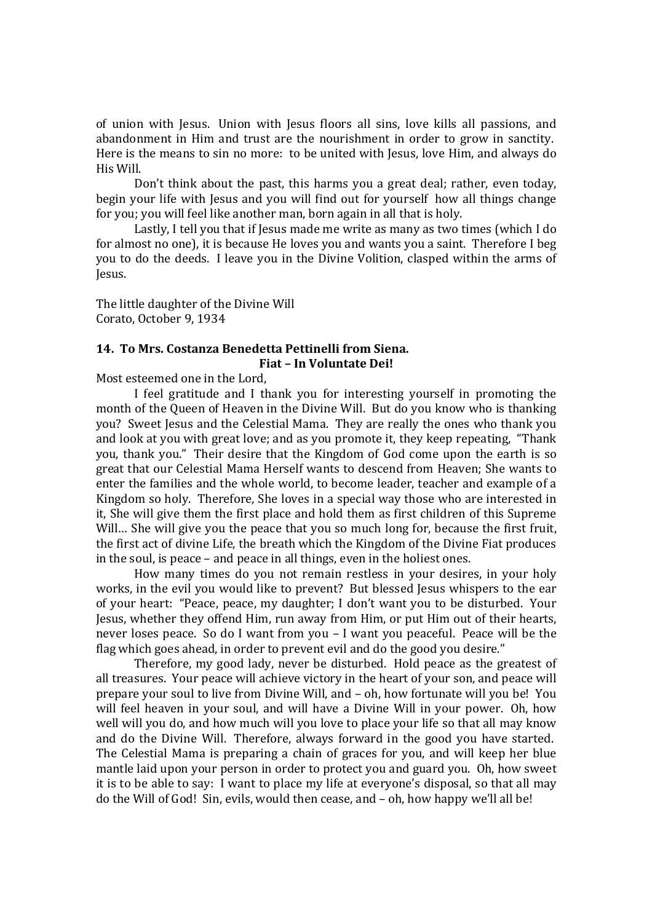of union with Jesus. Union with Jesus floors all sins, love kills all passions, and abandonment in Him and trust are the nourishment in order to grow in sanctity. Here is the means to sin no more: to be united with Jesus, love Him, and always do His Will.

Don't think about the past, this harms you a great deal; rather, even today, begin your life with Jesus and you will find out for yourself how all things change for you; you will feel like another man, born again in all that is holy.

Lastly, I tell you that if Jesus made me write as many as two times (which I do for almost no one), it is because He loves you and wants you a saint. Therefore I beg you to do the deeds. I leave you in the Divine Volition, clasped within the arms of Jesus.

The little daughter of the Divine Will Corato, October 9, 1934

# **14. To Mrs. Costanza Benedetta Pettinelli from Siena.**

**Fiat – In Voluntate Dei!**

Most esteemed one in the Lord,

I feel gratitude and I thank you for interesting yourself in promoting the month of the Queen of Heaven in the Divine Will. But do you know who is thanking you? Sweet Jesus and the Celestial Mama. They are really the ones who thank you and look at you with great love; and as you promote it, they keep repeating, "Thank you, thank you." Their desire that the Kingdom of God come upon the earth is so great that our Celestial Mama Herself wants to descend from Heaven; She wants to enter the families and the whole world, to become leader, teacher and example of a Kingdom so holy. Therefore, She loves in a special way those who are interested in it, She will give them the first place and hold them as first children of this Supreme Will... She will give you the peace that you so much long for, because the first fruit, the first act of divine Life, the breath which the Kingdom of the Divine Fiat produces in the soul, is peace – and peace in all things, even in the holiest ones.

How many times do you not remain restless in your desires, in your holy works, in the evil you would like to prevent? But blessed Jesus whispers to the ear of your heart: "Peace, peace, my daughter; I don't want you to be disturbed. Your Jesus, whether they offend Him, run away from Him, or put Him out of their hearts, never loses peace. So do I want from you – I want you peaceful. Peace will be the flag which goes ahead, in order to prevent evil and do the good you desire."

Therefore, my good lady, never be disturbed. Hold peace as the greatest of all treasures. Your peace will achieve victory in the heart of your son, and peace will prepare your soul to live from Divine Will, and – oh, how fortunate will you be! You will feel heaven in your soul, and will have a Divine Will in your power. Oh, how well will you do, and how much will you love to place your life so that all may know and do the Divine Will. Therefore, always forward in the good you have started. The Celestial Mama is preparing a chain of graces for you, and will keep her blue mantle laid upon your person in order to protect you and guard you. Oh, how sweet it is to be able to say: I want to place my life at everyone's disposal, so that all may do the Will of God! Sin, evils, would then cease, and – oh, how happy we'll all be!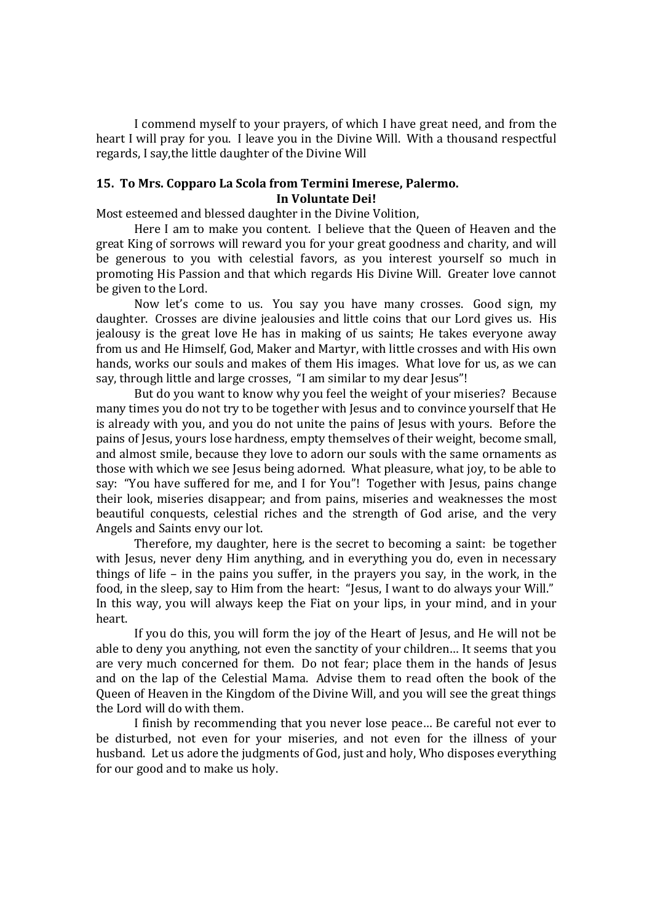I commend myself to your prayers, of which I have great need, and from the heart I will pray for you. I leave you in the Divine Will. With a thousand respectful regards, I say,the little daughter of the Divine Will

# **15. To Mrs. Copparo La Scola from Termini Imerese, Palermo. In Voluntate Dei!**

Most esteemed and blessed daughter in the Divine Volition,

Here I am to make you content. I believe that the Queen of Heaven and the great King of sorrows will reward you for your great goodness and charity, and will be generous to you with celestial favors, as you interest yourself so much in promoting His Passion and that which regards His Divine Will. Greater love cannot be given to the Lord.

Now let's come to us. You say you have many crosses. Good sign, my daughter. Crosses are divine jealousies and little coins that our Lord gives us. His jealousy is the great love He has in making of us saints; He takes everyone away from us and He Himself, God, Maker and Martyr, with little crosses and with His own hands, works our souls and makes of them His images. What love for us, as we can say, through little and large crosses, "I am similar to my dear Jesus"!

But do you want to know why you feel the weight of your miseries? Because many times you do not try to be together with Jesus and to convince yourself that He is already with you, and you do not unite the pains of Jesus with yours. Before the pains of Jesus, yours lose hardness, empty themselves of their weight, become small, and almost smile, because they love to adorn our souls with the same ornaments as those with which we see Jesus being adorned. What pleasure, what joy, to be able to say: "You have suffered for me, and I for You"! Together with Jesus, pains change their look, miseries disappear; and from pains, miseries and weaknesses the most beautiful conquests, celestial riches and the strength of God arise, and the very Angels and Saints envy our lot.

Therefore, my daughter, here is the secret to becoming a saint: be together with Jesus, never deny Him anything, and in everything you do, even in necessary things of life – in the pains you suffer, in the prayers you say, in the work, in the food, in the sleep, say to Him from the heart: "Jesus, I want to do always your Will." In this way, you will always keep the Fiat on your lips, in your mind, and in your heart.

If you do this, you will form the joy of the Heart of Jesus, and He will not be able to deny you anything, not even the sanctity of your children… It seems that you are very much concerned for them. Do not fear; place them in the hands of Jesus and on the lap of the Celestial Mama. Advise them to read often the book of the Queen of Heaven in the Kingdom of the Divine Will, and you will see the great things the Lord will do with them.

I finish by recommending that you never lose peace… Be careful not ever to be disturbed, not even for your miseries, and not even for the illness of your husband. Let us adore the judgments of God, just and holy, Who disposes everything for our good and to make us holy.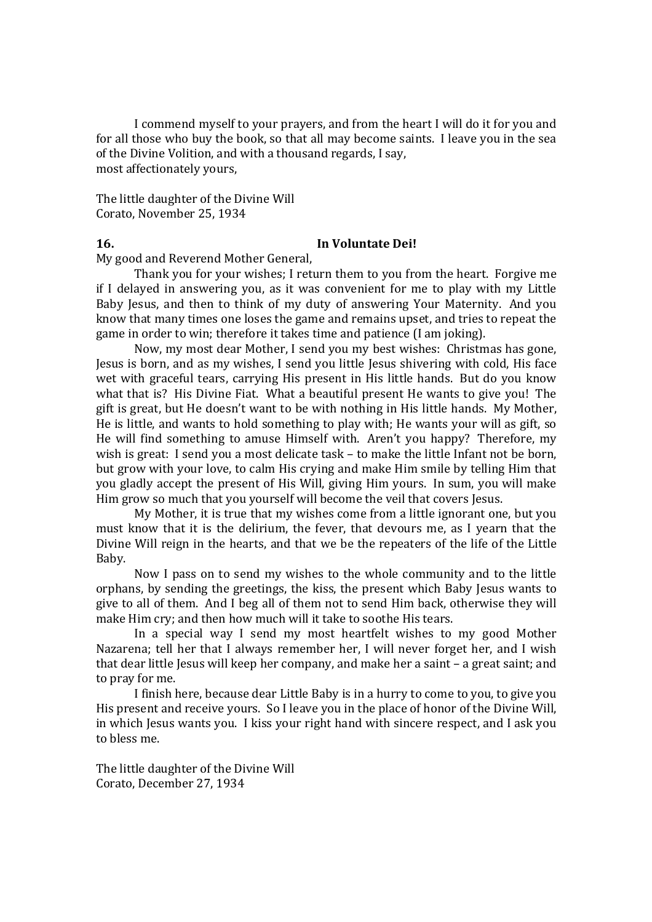I commend myself to your prayers, and from the heart I will do it for you and for all those who buy the book, so that all may become saints. I leave you in the sea of the Divine Volition, and with a thousand regards, I say, most affectionately yours,

The little daughter of the Divine Will Corato, November 25, 1934

# **16. In Voluntate Dei!**

My good and Reverend Mother General,

Thank you for your wishes; I return them to you from the heart. Forgive me if I delayed in answering you, as it was convenient for me to play with my Little Baby Jesus, and then to think of my duty of answering Your Maternity. And you know that many times one loses the game and remains upset, and tries to repeat the game in order to win; therefore it takes time and patience (I am joking).

Now, my most dear Mother, I send you my best wishes: Christmas has gone, Jesus is born, and as my wishes, I send you little Jesus shivering with cold, His face wet with graceful tears, carrying His present in His little hands. But do you know what that is? His Divine Fiat. What a beautiful present He wants to give you! The gift is great, but He doesn't want to be with nothing in His little hands. My Mother, He is little, and wants to hold something to play with; He wants your will as gift, so He will find something to amuse Himself with. Aren't you happy? Therefore, my wish is great: I send you a most delicate task – to make the little Infant not be born, but grow with your love, to calm His crying and make Him smile by telling Him that you gladly accept the present of His Will, giving Him yours. In sum, you will make Him grow so much that you yourself will become the veil that covers Jesus.

My Mother, it is true that my wishes come from a little ignorant one, but you must know that it is the delirium, the fever, that devours me, as I yearn that the Divine Will reign in the hearts, and that we be the repeaters of the life of the Little Baby.

Now I pass on to send my wishes to the whole community and to the little orphans, by sending the greetings, the kiss, the present which Baby Jesus wants to give to all of them. And I beg all of them not to send Him back, otherwise they will make Him cry; and then how much will it take to soothe His tears.

In a special way I send my most heartfelt wishes to my good Mother Nazarena; tell her that I always remember her, I will never forget her, and I wish that dear little Jesus will keep her company, and make her a saint – a great saint; and to pray for me.

I finish here, because dear Little Baby is in a hurry to come to you, to give you His present and receive yours. So I leave you in the place of honor of the Divine Will, in which Jesus wants you. I kiss your right hand with sincere respect, and I ask you to bless me.

The little daughter of the Divine Will Corato, December 27, 1934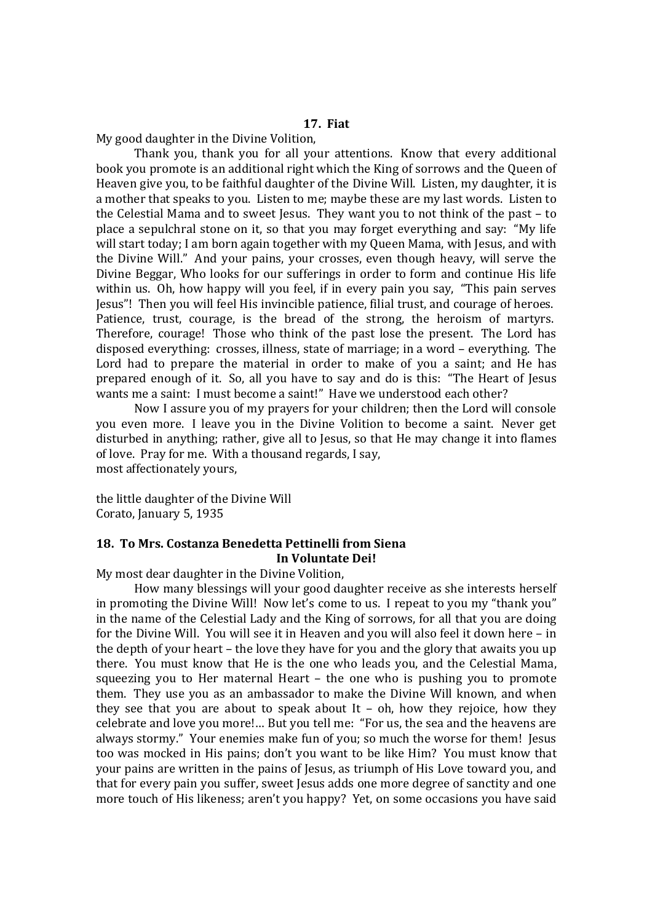My good daughter in the Divine Volition,

Thank you, thank you for all your attentions. Know that every additional book you promote is an additional right which the King of sorrows and the Queen of Heaven give you, to be faithful daughter of the Divine Will. Listen, my daughter, it is a mother that speaks to you. Listen to me; maybe these are my last words. Listen to the Celestial Mama and to sweet Jesus. They want you to not think of the past – to place a sepulchral stone on it, so that you may forget everything and say: "My life will start today; I am born again together with my Queen Mama, with Jesus, and with the Divine Will." And your pains, your crosses, even though heavy, will serve the Divine Beggar, Who looks for our sufferings in order to form and continue His life within us. Oh, how happy will you feel, if in every pain you say, "This pain serves Jesus"! Then you will feel His invincible patience, filial trust, and courage of heroes. Patience, trust, courage, is the bread of the strong, the heroism of martyrs. Therefore, courage! Those who think of the past lose the present. The Lord has disposed everything: crosses, illness, state of marriage; in a word – everything. The Lord had to prepare the material in order to make of you a saint; and He has prepared enough of it. So, all you have to say and do is this: "The Heart of Jesus wants me a saint: I must become a saint!" Have we understood each other?

Now I assure you of my prayers for your children; then the Lord will console you even more. I leave you in the Divine Volition to become a saint. Never get disturbed in anything; rather, give all to Jesus, so that He may change it into flames of love. Pray for me. With a thousand regards, I say, most affectionately yours,

the little daughter of the Divine Will Corato, January 5, 1935

# **18. To Mrs. Costanza Benedetta Pettinelli from Siena In Voluntate Dei!**

My most dear daughter in the Divine Volition,

How many blessings will your good daughter receive as she interests herself in promoting the Divine Will! Now let's come to us. I repeat to you my "thank you" in the name of the Celestial Lady and the King of sorrows, for all that you are doing for the Divine Will. You will see it in Heaven and you will also feel it down here – in the depth of your heart – the love they have for you and the glory that awaits you up there. You must know that He is the one who leads you, and the Celestial Mama, squeezing you to Her maternal Heart – the one who is pushing you to promote them. They use you as an ambassador to make the Divine Will known, and when they see that you are about to speak about It – oh, how they rejoice, how they celebrate and love you more!… But you tell me: "For us, the sea and the heavens are always stormy." Your enemies make fun of you; so much the worse for them! Jesus too was mocked in His pains; don't you want to be like Him? You must know that your pains are written in the pains of Jesus, as triumph of His Love toward you, and that for every pain you suffer, sweet Jesus adds one more degree of sanctity and one more touch of His likeness; aren't you happy? Yet, on some occasions you have said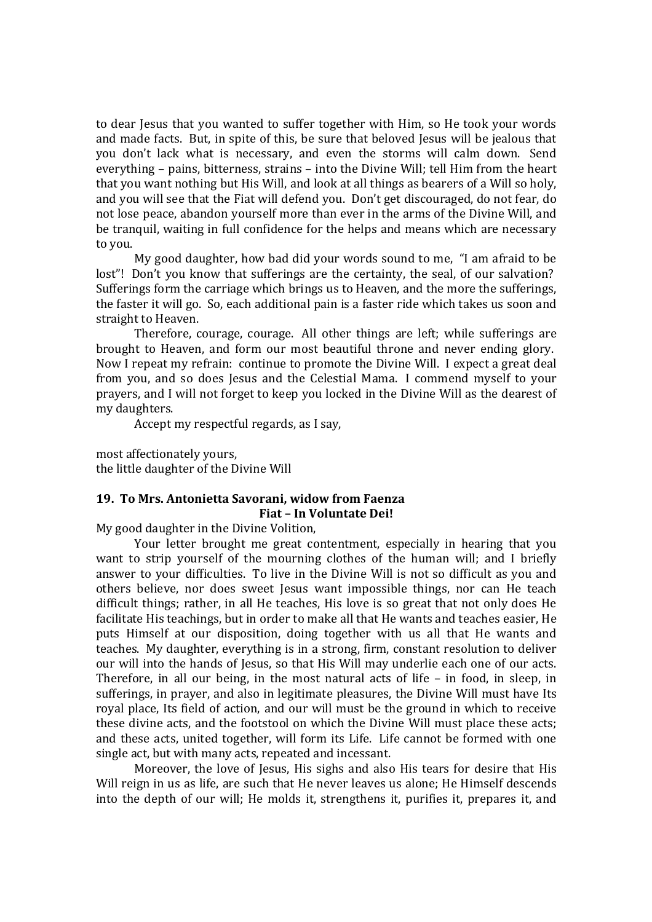to dear Jesus that you wanted to suffer together with Him, so He took your words and made facts. But, in spite of this, be sure that beloved Jesus will be jealous that you don't lack what is necessary, and even the storms will calm down. Send everything – pains, bitterness, strains – into the Divine Will; tell Him from the heart that you want nothing but His Will, and look at all things as bearers of a Will so holy, and you will see that the Fiat will defend you. Don't get discouraged, do not fear, do not lose peace, abandon yourself more than ever in the arms of the Divine Will, and be tranquil, waiting in full confidence for the helps and means which are necessary to you.

My good daughter, how bad did your words sound to me, "I am afraid to be lost"! Don't you know that sufferings are the certainty, the seal, of our salvation? Sufferings form the carriage which brings us to Heaven, and the more the sufferings, the faster it will go. So, each additional pain is a faster ride which takes us soon and straight to Heaven.

Therefore, courage, courage. All other things are left; while sufferings are brought to Heaven, and form our most beautiful throne and never ending glory. Now I repeat my refrain: continue to promote the Divine Will. I expect a great deal from you, and so does Jesus and the Celestial Mama. I commend myself to your prayers, and I will not forget to keep you locked in the Divine Will as the dearest of my daughters.

Accept my respectful regards, as I say,

most affectionately yours, the little daughter of the Divine Will

# **19. To Mrs. Antonietta Savorani, widow from Faenza Fiat – In Voluntate Dei!**

My good daughter in the Divine Volition,

Your letter brought me great contentment, especially in hearing that you want to strip yourself of the mourning clothes of the human will; and I briefly answer to your difficulties. To live in the Divine Will is not so difficult as you and others believe, nor does sweet Jesus want impossible things, nor can He teach difficult things; rather, in all He teaches, His love is so great that not only does He facilitate His teachings, but in order to make all that He wants and teaches easier, He puts Himself at our disposition, doing together with us all that He wants and teaches. My daughter, everything is in a strong, firm, constant resolution to deliver our will into the hands of Jesus, so that His Will may underlie each one of our acts. Therefore, in all our being, in the most natural acts of life – in food, in sleep, in sufferings, in prayer, and also in legitimate pleasures, the Divine Will must have Its royal place, Its field of action, and our will must be the ground in which to receive these divine acts, and the footstool on which the Divine Will must place these acts; and these acts, united together, will form its Life. Life cannot be formed with one single act, but with many acts, repeated and incessant.

Moreover, the love of Jesus, His sighs and also His tears for desire that His Will reign in us as life, are such that He never leaves us alone; He Himself descends into the depth of our will; He molds it, strengthens it, purifies it, prepares it, and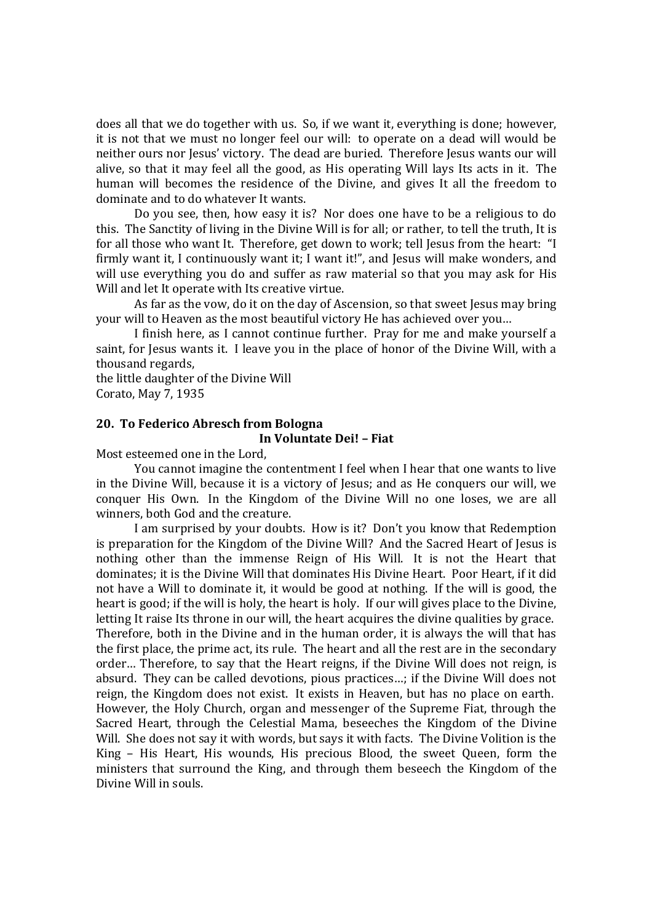does all that we do together with us. So, if we want it, everything is done; however, it is not that we must no longer feel our will: to operate on a dead will would be neither ours nor Jesus' victory. The dead are buried. Therefore Jesus wants our will alive, so that it may feel all the good, as His operating Will lays Its acts in it. The human will becomes the residence of the Divine, and gives It all the freedom to dominate and to do whatever It wants.

Do you see, then, how easy it is? Nor does one have to be a religious to do this. The Sanctity of living in the Divine Will is for all; or rather, to tell the truth, It is for all those who want It. Therefore, get down to work; tell Jesus from the heart: "I firmly want it, I continuously want it; I want it!", and Jesus will make wonders, and will use everything you do and suffer as raw material so that you may ask for His Will and let It operate with Its creative virtue.

As far as the vow, do it on the day of Ascension, so that sweet Jesus may bring your will to Heaven as the most beautiful victory He has achieved over you…

I finish here, as I cannot continue further. Pray for me and make yourself a saint, for Jesus wants it. I leave you in the place of honor of the Divine Will, with a thousand regards,

the little daughter of the Divine Will Corato, May 7, 1935

# **20. To Federico Abresch from Bologna**

# **In Voluntate Dei! – Fiat**

Most esteemed one in the Lord,

You cannot imagine the contentment I feel when I hear that one wants to live in the Divine Will, because it is a victory of Jesus; and as He conquers our will, we conquer His Own. In the Kingdom of the Divine Will no one loses, we are all winners, both God and the creature.

I am surprised by your doubts. How is it? Don't you know that Redemption is preparation for the Kingdom of the Divine Will? And the Sacred Heart of Jesus is nothing other than the immense Reign of His Will. It is not the Heart that dominates; it is the Divine Will that dominates His Divine Heart. Poor Heart, if it did not have a Will to dominate it, it would be good at nothing. If the will is good, the heart is good; if the will is holy, the heart is holy. If our will gives place to the Divine, letting It raise Its throne in our will, the heart acquires the divine qualities by grace. Therefore, both in the Divine and in the human order, it is always the will that has the first place, the prime act, its rule. The heart and all the rest are in the secondary order… Therefore, to say that the Heart reigns, if the Divine Will does not reign, is absurd. They can be called devotions, pious practices…; if the Divine Will does not reign, the Kingdom does not exist. It exists in Heaven, but has no place on earth. However, the Holy Church, organ and messenger of the Supreme Fiat, through the Sacred Heart, through the Celestial Mama, beseeches the Kingdom of the Divine Will. She does not say it with words, but says it with facts. The Divine Volition is the King – His Heart, His wounds, His precious Blood, the sweet Queen, form the ministers that surround the King, and through them beseech the Kingdom of the Divine Will in souls.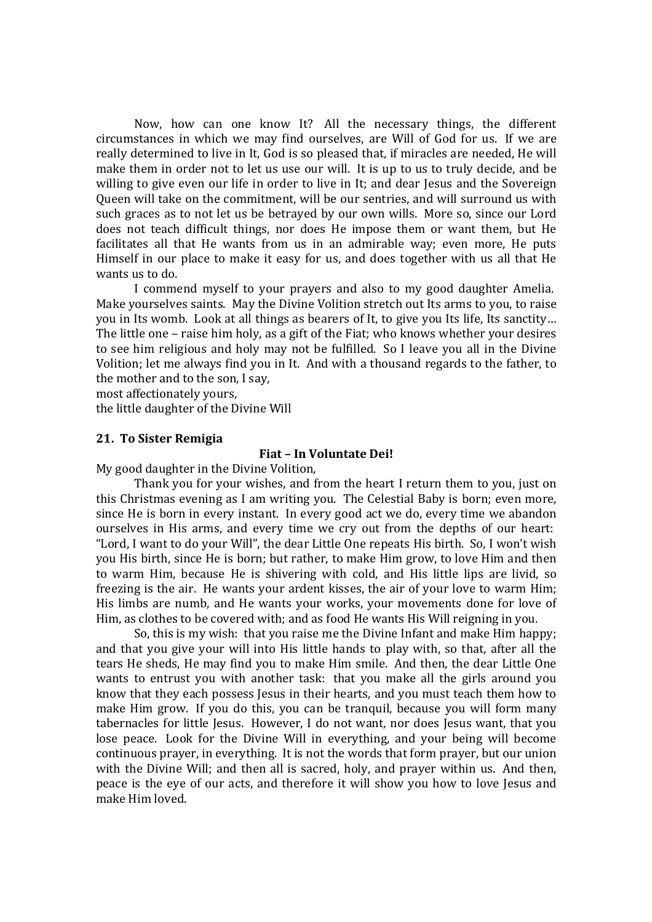Now, how can one know It? All the necessary things, the different circumstances in which we may find ourselves, are Will of God for us. If we are really determined to live in It, God is so pleased that, if miracles are needed, He will make them in order not to let us use our will. It is up to us to truly decide, and be willing to give even our life in order to live in It; and dear Jesus and the Sovereign Queen will take on the commitment, will be our sentries, and will surround us with such graces as to not let us be betrayed by our own wills. More so, since our Lord does not teach difficult things, nor does He impose them or want them, but He facilitates all that He wants from us in an admirable way; even more, He puts Himself in our place to make it easy for us, and does together with us all that He wants us to do.

I commend myself to your prayers and also to my good daughter Amelia. Make yourselves saints. May the Divine Volition stretch out Its arms to you, to raise you in Its womb. Look at all things as bearers of It, to give you Its life, Its sanctity… The little one – raise him holy, as a gift of the Fiat; who knows whether your desires to see him religious and holy may not be fulfilled. So I leave you all in the Divine Volition; let me always find you in It. And with a thousand regards to the father, to the mother and to the son, I say,

most affectionately yours, the little daughter of the Divine Will

# **21. To Sister Remigia**

# **Fiat – In Voluntate Dei!**

My good daughter in the Divine Volition,

Thank you for your wishes, and from the heart I return them to you, just on this Christmas evening as I am writing you. The Celestial Baby is born; even more, since He is born in every instant. In every good act we do, every time we abandon ourselves in His arms, and every time we cry out from the depths of our heart: "Lord, I want to do your Will", the dear Little One repeats His birth. So, I won't wish you His birth, since He is born; but rather, to make Him grow, to love Him and then to warm Him, because He is shivering with cold, and His little lips are livid, so freezing is the air. He wants your ardent kisses, the air of your love to warm Him; His limbs are numb, and He wants your works, your movements done for love of Him, as clothes to be covered with; and as food He wants His Will reigning in you.

So, this is my wish: that you raise me the Divine Infant and make Him happy; and that you give your will into His little hands to play with, so that, after all the tears He sheds, He may find you to make Him smile. And then, the dear Little One wants to entrust you with another task: that you make all the girls around you know that they each possess Jesus in their hearts, and you must teach them how to make Him grow. If you do this, you can be tranquil, because you will form many tabernacles for little Jesus. However, I do not want, nor does Jesus want, that you lose peace. Look for the Divine Will in everything, and your being will become continuous prayer, in everything. It is not the words that form prayer, but our union with the Divine Will; and then all is sacred, holy, and prayer within us. And then, peace is the eye of our acts, and therefore it will show you how to love Jesus and make Him loved.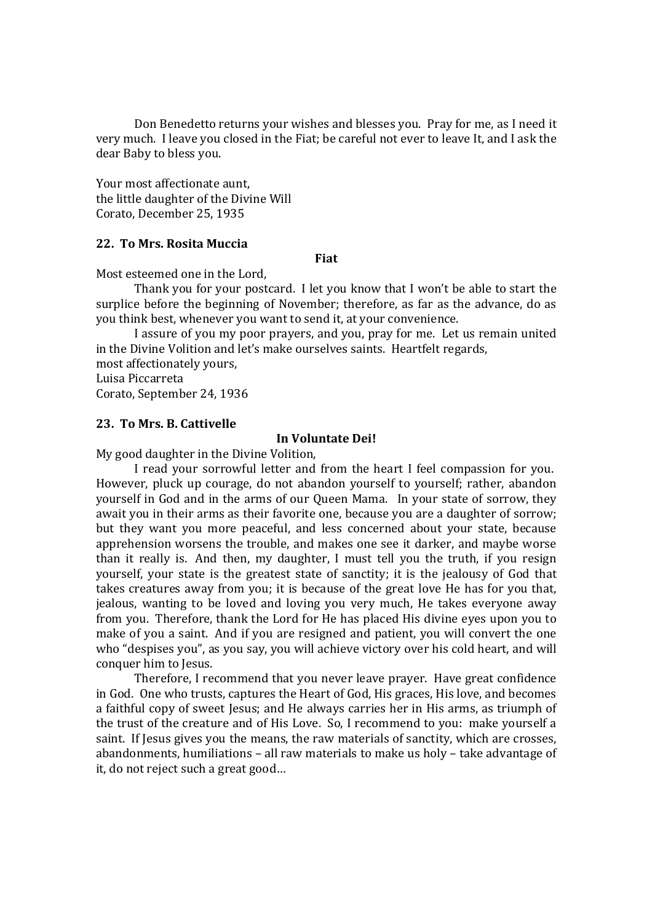Don Benedetto returns your wishes and blesses you. Pray for me, as I need it very much. I leave you closed in the Fiat; be careful not ever to leave It, and I ask the dear Baby to bless you.

Your most affectionate aunt, the little daughter of the Divine Will Corato, December 25, 1935

# **22. To Mrs. Rosita Muccia**

# **Fiat**

Most esteemed one in the Lord,

Thank you for your postcard. I let you know that I won't be able to start the surplice before the beginning of November; therefore, as far as the advance, do as you think best, whenever you want to send it, at your convenience.

I assure of you my poor prayers, and you, pray for me. Let us remain united in the Divine Volition and let's make ourselves saints. Heartfelt regards,

most affectionately yours, Luisa Piccarreta

Corato, September 24, 1936

# **23. To Mrs. B. Cattivelle**

#### **In Voluntate Dei!**

My good daughter in the Divine Volition,

I read your sorrowful letter and from the heart I feel compassion for you. However, pluck up courage, do not abandon yourself to yourself; rather, abandon yourself in God and in the arms of our Queen Mama. In your state of sorrow, they await you in their arms as their favorite one, because you are a daughter of sorrow; but they want you more peaceful, and less concerned about your state, because apprehension worsens the trouble, and makes one see it darker, and maybe worse than it really is. And then, my daughter, I must tell you the truth, if you resign yourself, your state is the greatest state of sanctity; it is the jealousy of God that takes creatures away from you; it is because of the great love He has for you that, jealous, wanting to be loved and loving you very much, He takes everyone away from you. Therefore, thank the Lord for He has placed His divine eyes upon you to make of you a saint. And if you are resigned and patient, you will convert the one who "despises you", as you say, you will achieve victory over his cold heart, and will conquer him to Jesus.

Therefore, I recommend that you never leave prayer. Have great confidence in God. One who trusts, captures the Heart of God, His graces, His love, and becomes a faithful copy of sweet Jesus; and He always carries her in His arms, as triumph of the trust of the creature and of His Love. So, I recommend to you: make yourself a saint. If Jesus gives you the means, the raw materials of sanctity, which are crosses, abandonments, humiliations – all raw materials to make us holy – take advantage of it, do not reject such a great good…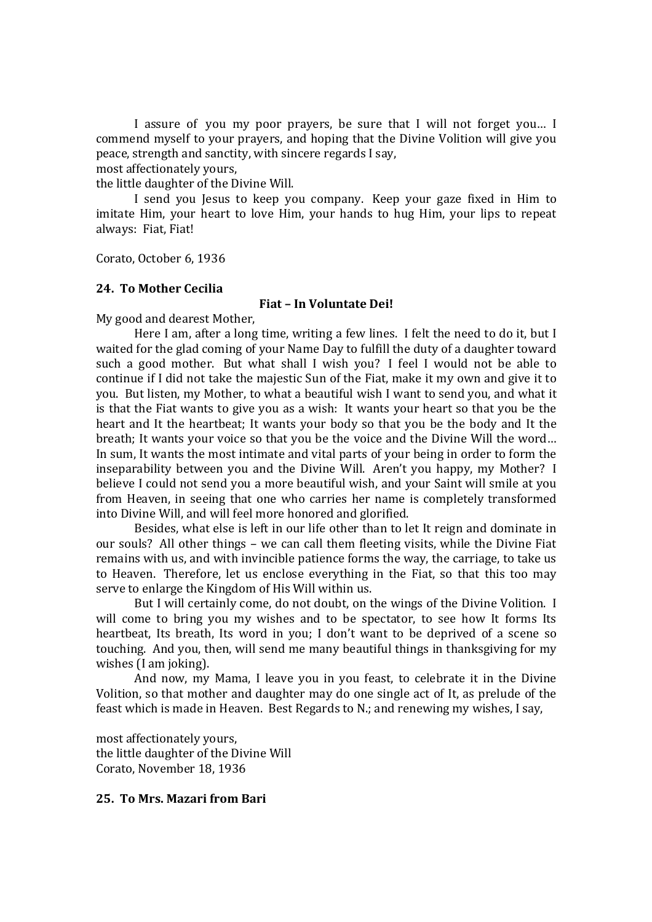I assure of you my poor prayers, be sure that I will not forget you… I commend myself to your prayers, and hoping that the Divine Volition will give you peace, strength and sanctity, with sincere regards I say,

most affectionately yours,

the little daughter of the Divine Will.

I send you Jesus to keep you company. Keep your gaze fixed in Him to imitate Him, your heart to love Him, your hands to hug Him, your lips to repeat always: Fiat, Fiat!

Corato, October 6, 1936

# **24. To Mother Cecilia**

# **Fiat – In Voluntate Dei!**

My good and dearest Mother,

Here I am, after a long time, writing a few lines. I felt the need to do it, but I waited for the glad coming of your Name Day to fulfill the duty of a daughter toward such a good mother. But what shall I wish you? I feel I would not be able to continue if I did not take the majestic Sun of the Fiat, make it my own and give it to you. But listen, my Mother, to what a beautiful wish I want to send you, and what it is that the Fiat wants to give you as a wish: It wants your heart so that you be the heart and It the heartbeat; It wants your body so that you be the body and It the breath; It wants your voice so that you be the voice and the Divine Will the word… In sum, It wants the most intimate and vital parts of your being in order to form the inseparability between you and the Divine Will. Aren't you happy, my Mother? I believe I could not send you a more beautiful wish, and your Saint will smile at you from Heaven, in seeing that one who carries her name is completely transformed into Divine Will, and will feel more honored and glorified.

Besides, what else is left in our life other than to let It reign and dominate in our souls? All other things – we can call them fleeting visits, while the Divine Fiat remains with us, and with invincible patience forms the way, the carriage, to take us to Heaven. Therefore, let us enclose everything in the Fiat, so that this too may serve to enlarge the Kingdom of His Will within us.

But I will certainly come, do not doubt, on the wings of the Divine Volition. I will come to bring you my wishes and to be spectator, to see how It forms Its heartbeat, Its breath, Its word in you; I don't want to be deprived of a scene so touching. And you, then, will send me many beautiful things in thanksgiving for my wishes (I am joking).

And now, my Mama, I leave you in you feast, to celebrate it in the Divine Volition, so that mother and daughter may do one single act of It, as prelude of the feast which is made in Heaven. Best Regards to N.; and renewing my wishes, I say,

most affectionately yours, the little daughter of the Divine Will Corato, November 18, 1936

# **25. To Mrs. Mazari from Bari**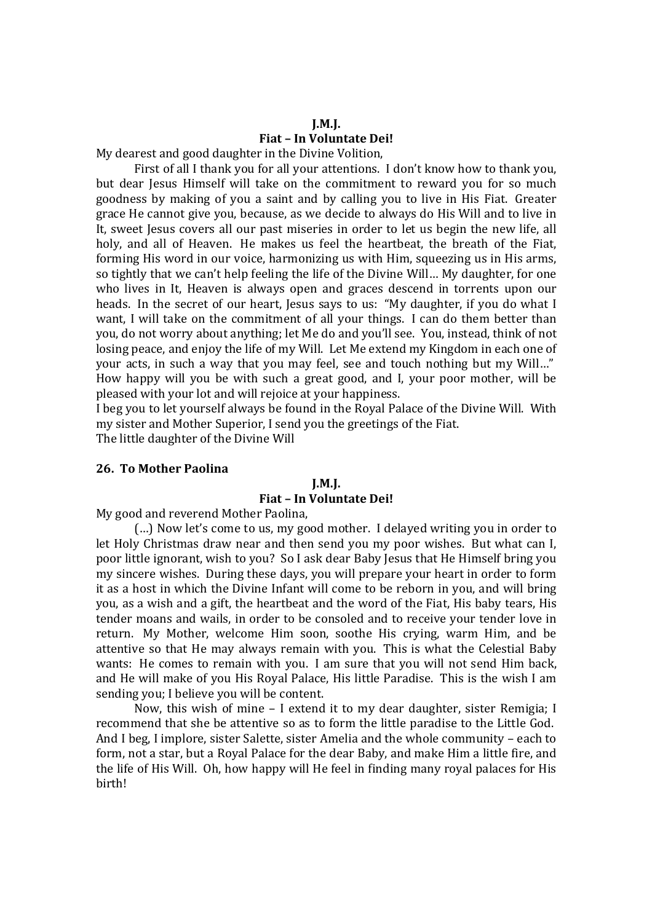# **J.M.J. Fiat – In Voluntate Dei!**

My dearest and good daughter in the Divine Volition,

First of all I thank you for all your attentions. I don't know how to thank you, but dear Jesus Himself will take on the commitment to reward you for so much goodness by making of you a saint and by calling you to live in His Fiat. Greater grace He cannot give you, because, as we decide to always do His Will and to live in It, sweet Jesus covers all our past miseries in order to let us begin the new life, all holy, and all of Heaven. He makes us feel the heartbeat, the breath of the Fiat, forming His word in our voice, harmonizing us with Him, squeezing us in His arms, so tightly that we can't help feeling the life of the Divine Will… My daughter, for one who lives in It, Heaven is always open and graces descend in torrents upon our heads. In the secret of our heart, Jesus says to us: "My daughter, if you do what I want, I will take on the commitment of all your things. I can do them better than you, do not worry about anything; let Me do and you'll see. You, instead, think of not losing peace, and enjoy the life of my Will. Let Me extend my Kingdom in each one of your acts, in such a way that you may feel, see and touch nothing but my Will…" How happy will you be with such a great good, and I, your poor mother, will be pleased with your lot and will rejoice at your happiness.

I beg you to let yourself always be found in the Royal Palace of the Divine Will. With my sister and Mother Superior, I send you the greetings of the Fiat.

The little daughter of the Divine Will

# **26. To Mother Paolina**

# **J.M.J.**

# **Fiat – In Voluntate Dei!**

My good and reverend Mother Paolina,

(…) Now let's come to us, my good mother. I delayed writing you in order to let Holy Christmas draw near and then send you my poor wishes. But what can I, poor little ignorant, wish to you? So I ask dear Baby Jesus that He Himself bring you my sincere wishes. During these days, you will prepare your heart in order to form it as a host in which the Divine Infant will come to be reborn in you, and will bring you, as a wish and a gift, the heartbeat and the word of the Fiat, His baby tears, His tender moans and wails, in order to be consoled and to receive your tender love in return. My Mother, welcome Him soon, soothe His crying, warm Him, and be attentive so that He may always remain with you. This is what the Celestial Baby wants: He comes to remain with you. I am sure that you will not send Him back, and He will make of you His Royal Palace, His little Paradise. This is the wish I am sending you; I believe you will be content.

Now, this wish of mine – I extend it to my dear daughter, sister Remigia; I recommend that she be attentive so as to form the little paradise to the Little God. And I beg, I implore, sister Salette, sister Amelia and the whole community – each to form, not a star, but a Royal Palace for the dear Baby, and make Him a little fire, and the life of His Will. Oh, how happy will He feel in finding many royal palaces for His birth!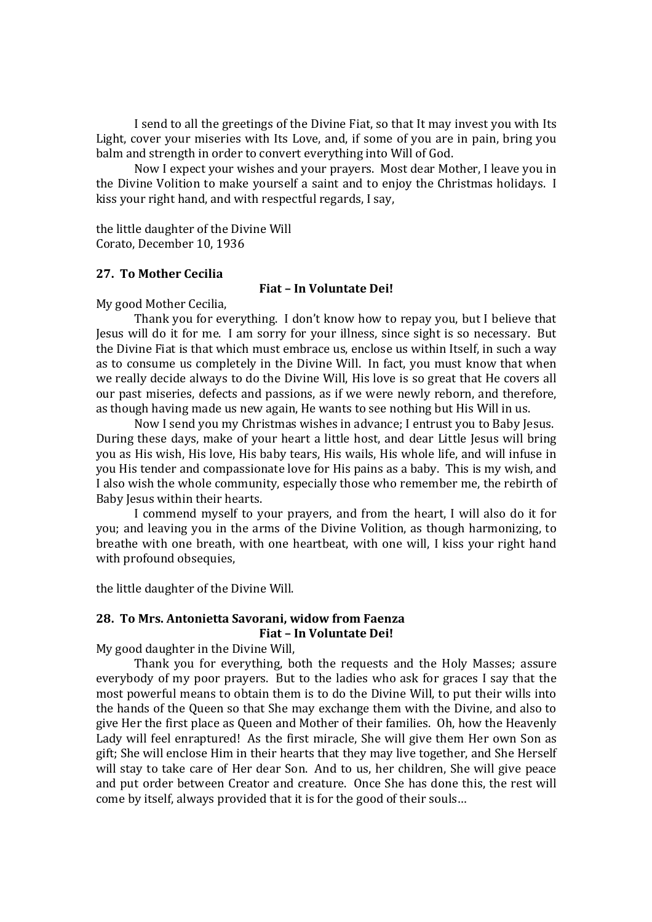I send to all the greetings of the Divine Fiat, so that It may invest you with Its Light, cover your miseries with Its Love, and, if some of you are in pain, bring you balm and strength in order to convert everything into Will of God.

Now I expect your wishes and your prayers. Most dear Mother, I leave you in the Divine Volition to make yourself a saint and to enjoy the Christmas holidays. I kiss your right hand, and with respectful regards, I say,

the little daughter of the Divine Will Corato, December 10, 1936

# **27. To Mother Cecilia**

#### **Fiat – In Voluntate Dei!**

My good Mother Cecilia,

Thank you for everything. I don't know how to repay you, but I believe that Jesus will do it for me. I am sorry for your illness, since sight is so necessary. But the Divine Fiat is that which must embrace us, enclose us within Itself, in such a way as to consume us completely in the Divine Will. In fact, you must know that when we really decide always to do the Divine Will, His love is so great that He covers all our past miseries, defects and passions, as if we were newly reborn, and therefore, as though having made us new again, He wants to see nothing but His Will in us.

Now I send you my Christmas wishes in advance; I entrust you to Baby Jesus. During these days, make of your heart a little host, and dear Little Jesus will bring you as His wish, His love, His baby tears, His wails, His whole life, and will infuse in you His tender and compassionate love for His pains as a baby. This is my wish, and I also wish the whole community, especially those who remember me, the rebirth of Baby Jesus within their hearts.

I commend myself to your prayers, and from the heart, I will also do it for you; and leaving you in the arms of the Divine Volition, as though harmonizing, to breathe with one breath, with one heartbeat, with one will, I kiss your right hand with profound obsequies,

the little daughter of the Divine Will.

#### **28. To Mrs. Antonietta Savorani, widow from Faenza Fiat – In Voluntate Dei!**

My good daughter in the Divine Will,

Thank you for everything, both the requests and the Holy Masses; assure everybody of my poor prayers. But to the ladies who ask for graces I say that the most powerful means to obtain them is to do the Divine Will, to put their wills into the hands of the Queen so that She may exchange them with the Divine, and also to give Her the first place as Queen and Mother of their families. Oh, how the Heavenly Lady will feel enraptured! As the first miracle, She will give them Her own Son as gift; She will enclose Him in their hearts that they may live together, and She Herself will stay to take care of Her dear Son. And to us, her children, She will give peace and put order between Creator and creature. Once She has done this, the rest will come by itself, always provided that it is for the good of their souls…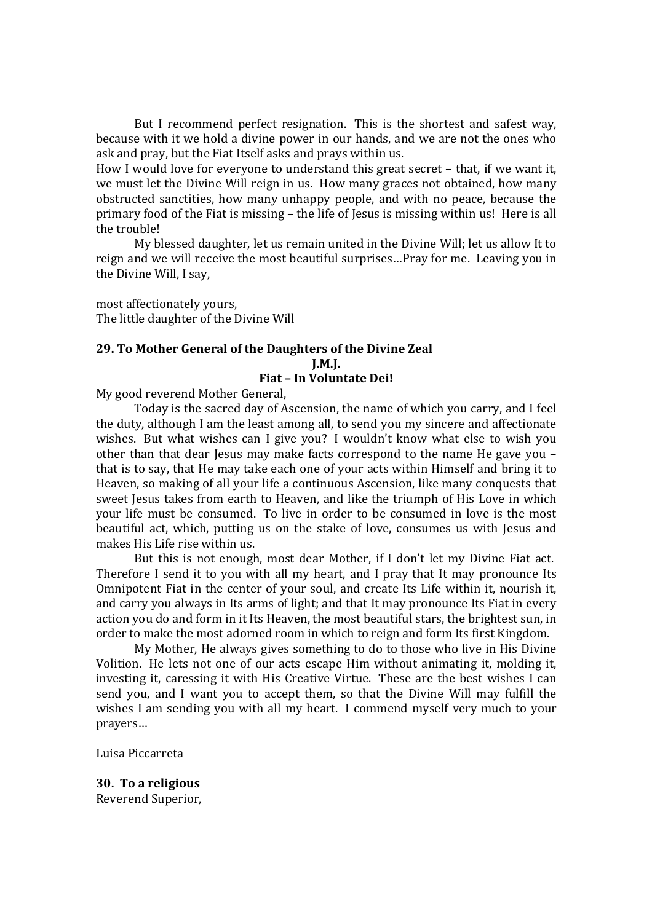But I recommend perfect resignation. This is the shortest and safest way, because with it we hold a divine power in our hands, and we are not the ones who ask and pray, but the Fiat Itself asks and prays within us.

How I would love for everyone to understand this great secret – that, if we want it, we must let the Divine Will reign in us. How many graces not obtained, how many obstructed sanctities, how many unhappy people, and with no peace, because the primary food of the Fiat is missing – the life of Jesus is missing within us! Here is all the trouble!

My blessed daughter, let us remain united in the Divine Will; let us allow It to reign and we will receive the most beautiful surprises…Pray for me. Leaving you in the Divine Will, I say,

most affectionately yours, The little daughter of the Divine Will

#### **29. To Mother General of the Daughters of the Divine Zeal J.M.J.**

# **Fiat – In Voluntate Dei!**

My good reverend Mother General,

Today is the sacred day of Ascension, the name of which you carry, and I feel the duty, although I am the least among all, to send you my sincere and affectionate wishes. But what wishes can I give you? I wouldn't know what else to wish you other than that dear Jesus may make facts correspond to the name He gave you – that is to say, that He may take each one of your acts within Himself and bring it to Heaven, so making of all your life a continuous Ascension, like many conquests that sweet Jesus takes from earth to Heaven, and like the triumph of His Love in which your life must be consumed. To live in order to be consumed in love is the most beautiful act, which, putting us on the stake of love, consumes us with Jesus and makes His Life rise within us.

But this is not enough, most dear Mother, if I don't let my Divine Fiat act. Therefore I send it to you with all my heart, and I pray that It may pronounce Its Omnipotent Fiat in the center of your soul, and create Its Life within it, nourish it, and carry you always in Its arms of light; and that It may pronounce Its Fiat in every action you do and form in it Its Heaven, the most beautiful stars, the brightest sun, in order to make the most adorned room in which to reign and form Its first Kingdom.

My Mother, He always gives something to do to those who live in His Divine Volition. He lets not one of our acts escape Him without animating it, molding it, investing it, caressing it with His Creative Virtue. These are the best wishes I can send you, and I want you to accept them, so that the Divine Will may fulfill the wishes I am sending you with all my heart. I commend myself very much to your prayers…

Luisa Piccarreta

**30. To a religious** Reverend Superior,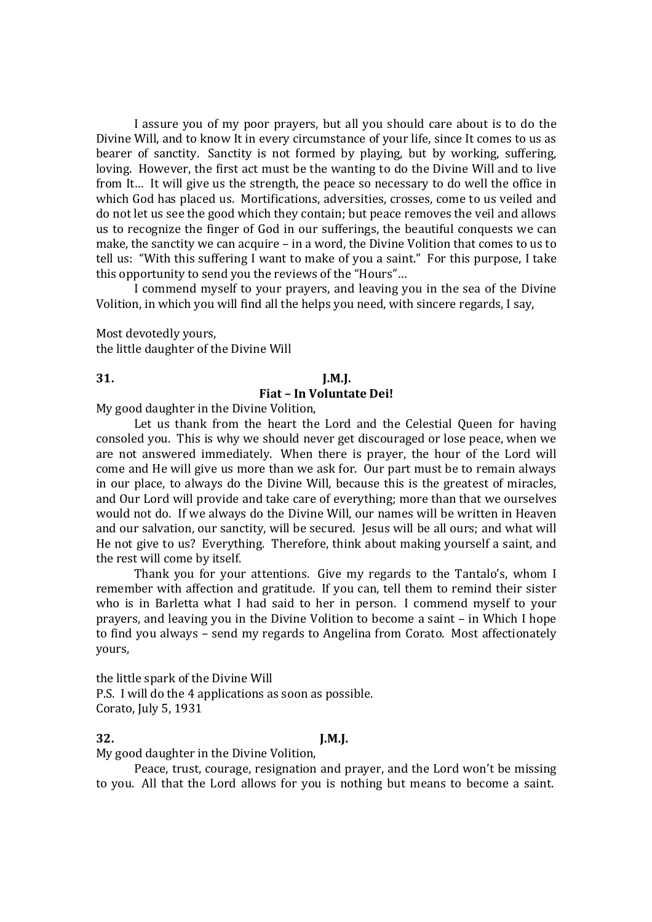I assure you of my poor prayers, but all you should care about is to do the Divine Will, and to know It in every circumstance of your life, since It comes to us as bearer of sanctity. Sanctity is not formed by playing, but by working, suffering, loving. However, the first act must be the wanting to do the Divine Will and to live from It… It will give us the strength, the peace so necessary to do well the office in which God has placed us. Mortifications, adversities, crosses, come to us veiled and do not let us see the good which they contain; but peace removes the veil and allows us to recognize the finger of God in our sufferings, the beautiful conquests we can make, the sanctity we can acquire – in a word, the Divine Volition that comes to us to tell us: "With this suffering I want to make of you a saint." For this purpose, I take this opportunity to send you the reviews of the "Hours"…

I commend myself to your prayers, and leaving you in the sea of the Divine Volition, in which you will find all the helps you need, with sincere regards, I say,

Most devotedly yours, the little daughter of the Divine Will

#### **31. J.M.J.**

# **Fiat – In Voluntate Dei!**

My good daughter in the Divine Volition,

Let us thank from the heart the Lord and the Celestial Queen for having consoled you. This is why we should never get discouraged or lose peace, when we are not answered immediately. When there is prayer, the hour of the Lord will come and He will give us more than we ask for. Our part must be to remain always in our place, to always do the Divine Will, because this is the greatest of miracles, and Our Lord will provide and take care of everything; more than that we ourselves would not do. If we always do the Divine Will, our names will be written in Heaven and our salvation, our sanctity, will be secured. Jesus will be all ours; and what will He not give to us? Everything. Therefore, think about making yourself a saint, and the rest will come by itself.

Thank you for your attentions. Give my regards to the Tantalo's, whom I remember with affection and gratitude. If you can, tell them to remind their sister who is in Barletta what I had said to her in person. I commend myself to your prayers, and leaving you in the Divine Volition to become a saint – in Which I hope to find you always – send my regards to Angelina from Corato. Most affectionately yours,

the little spark of the Divine Will P.S. I will do the 4 applications as soon as possible. Corato, July 5, 1931

#### **32. J.M.J.**

My good daughter in the Divine Volition,

Peace, trust, courage, resignation and prayer, and the Lord won't be missing to you. All that the Lord allows for you is nothing but means to become a saint.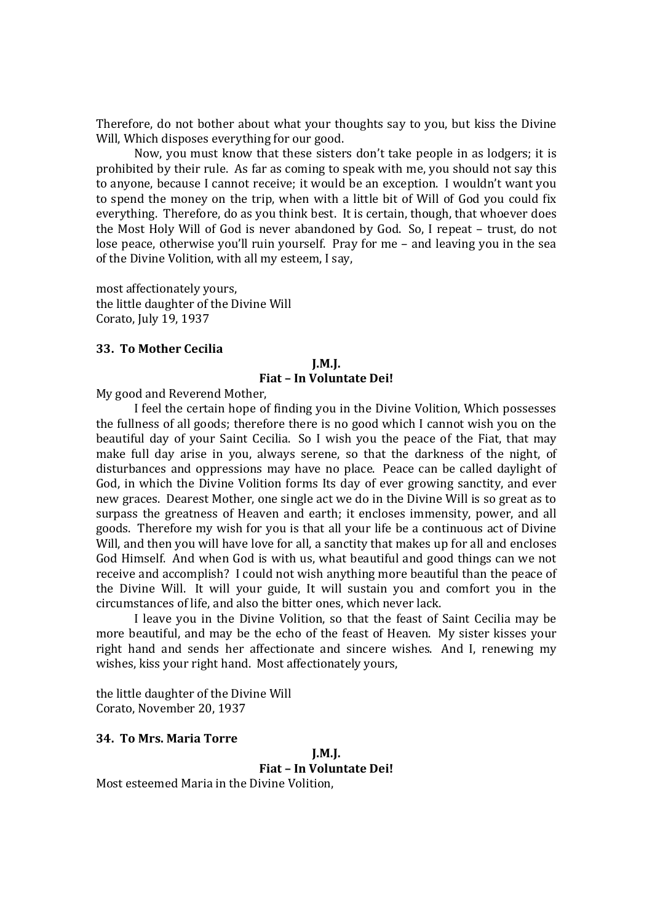Therefore, do not bother about what your thoughts say to you, but kiss the Divine Will, Which disposes everything for our good.

Now, you must know that these sisters don't take people in as lodgers; it is prohibited by their rule. As far as coming to speak with me, you should not say this to anyone, because I cannot receive; it would be an exception. I wouldn't want you to spend the money on the trip, when with a little bit of Will of God you could fix everything. Therefore, do as you think best. It is certain, though, that whoever does the Most Holy Will of God is never abandoned by God. So, I repeat – trust, do not lose peace, otherwise you'll ruin yourself. Pray for me – and leaving you in the sea of the Divine Volition, with all my esteem, I say,

most affectionately yours, the little daughter of the Divine Will Corato, July 19, 1937

# **33. To Mother Cecilia**

# **J.M.J. Fiat – In Voluntate Dei!**

My good and Reverend Mother,

I feel the certain hope of finding you in the Divine Volition, Which possesses the fullness of all goods; therefore there is no good which I cannot wish you on the beautiful day of your Saint Cecilia. So I wish you the peace of the Fiat, that may make full day arise in you, always serene, so that the darkness of the night, of disturbances and oppressions may have no place. Peace can be called daylight of God, in which the Divine Volition forms Its day of ever growing sanctity, and ever new graces. Dearest Mother, one single act we do in the Divine Will is so great as to surpass the greatness of Heaven and earth; it encloses immensity, power, and all goods. Therefore my wish for you is that all your life be a continuous act of Divine Will, and then you will have love for all, a sanctity that makes up for all and encloses God Himself. And when God is with us, what beautiful and good things can we not receive and accomplish? I could not wish anything more beautiful than the peace of the Divine Will. It will your guide, It will sustain you and comfort you in the circumstances of life, and also the bitter ones, which never lack.

I leave you in the Divine Volition, so that the feast of Saint Cecilia may be more beautiful, and may be the echo of the feast of Heaven. My sister kisses your right hand and sends her affectionate and sincere wishes. And I, renewing my wishes, kiss your right hand. Most affectionately yours,

the little daughter of the Divine Will Corato, November 20, 1937

# **34. To Mrs. Maria Torre**

**J.M.J. Fiat – In Voluntate Dei!** Most esteemed Maria in the Divine Volition,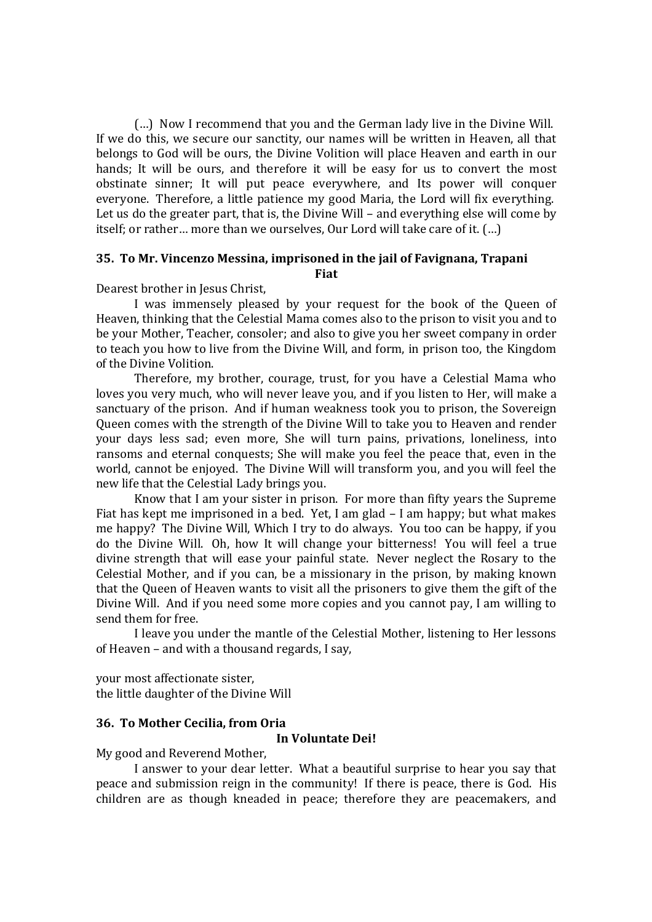(…) Now I recommend that you and the German lady live in the Divine Will. If we do this, we secure our sanctity, our names will be written in Heaven, all that belongs to God will be ours, the Divine Volition will place Heaven and earth in our hands; It will be ours, and therefore it will be easy for us to convert the most obstinate sinner; It will put peace everywhere, and Its power will conquer everyone. Therefore, a little patience my good Maria, the Lord will fix everything. Let us do the greater part, that is, the Divine Will – and everything else will come by itself; or rather… more than we ourselves, Our Lord will take care of it. (…)

# **35. To Mr. Vincenzo Messina, imprisoned in the jail of Favignana, Trapani Fiat**

Dearest brother in Jesus Christ,

I was immensely pleased by your request for the book of the Queen of Heaven, thinking that the Celestial Mama comes also to the prison to visit you and to be your Mother, Teacher, consoler; and also to give you her sweet company in order to teach you how to live from the Divine Will, and form, in prison too, the Kingdom of the Divine Volition.

Therefore, my brother, courage, trust, for you have a Celestial Mama who loves you very much, who will never leave you, and if you listen to Her, will make a sanctuary of the prison. And if human weakness took you to prison, the Sovereign Queen comes with the strength of the Divine Will to take you to Heaven and render your days less sad; even more, She will turn pains, privations, loneliness, into ransoms and eternal conquests; She will make you feel the peace that, even in the world, cannot be enjoyed. The Divine Will will transform you, and you will feel the new life that the Celestial Lady brings you.

Know that I am your sister in prison. For more than fifty years the Supreme Fiat has kept me imprisoned in a bed. Yet, I am glad – I am happy; but what makes me happy? The Divine Will, Which I try to do always. You too can be happy, if you do the Divine Will. Oh, how It will change your bitterness! You will feel a true divine strength that will ease your painful state. Never neglect the Rosary to the Celestial Mother, and if you can, be a missionary in the prison, by making known that the Queen of Heaven wants to visit all the prisoners to give them the gift of the Divine Will. And if you need some more copies and you cannot pay, I am willing to send them for free.

I leave you under the mantle of the Celestial Mother, listening to Her lessons of Heaven – and with a thousand regards, I say,

your most affectionate sister, the little daughter of the Divine Will

# **36. To Mother Cecilia, from Oria**

# **In Voluntate Dei!**

My good and Reverend Mother,

I answer to your dear letter. What a beautiful surprise to hear you say that peace and submission reign in the community! If there is peace, there is God. His children are as though kneaded in peace; therefore they are peacemakers, and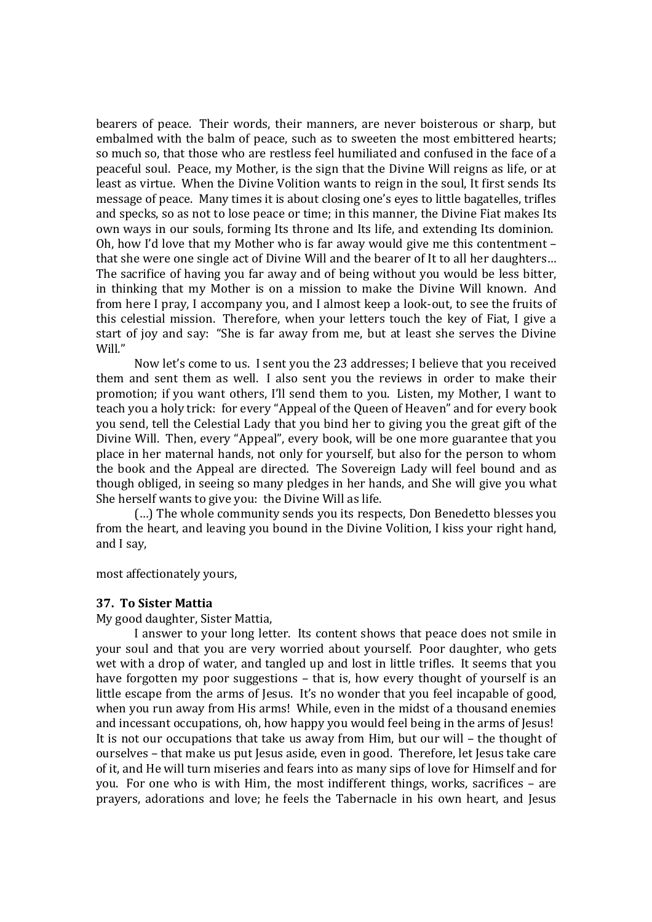bearers of peace. Their words, their manners, are never boisterous or sharp, but embalmed with the balm of peace, such as to sweeten the most embittered hearts; so much so, that those who are restless feel humiliated and confused in the face of a peaceful soul. Peace, my Mother, is the sign that the Divine Will reigns as life, or at least as virtue. When the Divine Volition wants to reign in the soul, It first sends Its message of peace. Many times it is about closing one's eyes to little bagatelles, trifles and specks, so as not to lose peace or time; in this manner, the Divine Fiat makes Its own ways in our souls, forming Its throne and Its life, and extending Its dominion. Oh, how I'd love that my Mother who is far away would give me this contentment – that she were one single act of Divine Will and the bearer of It to all her daughters… The sacrifice of having you far away and of being without you would be less bitter, in thinking that my Mother is on a mission to make the Divine Will known. And from here I pray, I accompany you, and I almost keep a look-out, to see the fruits of this celestial mission. Therefore, when your letters touch the key of Fiat, I give a start of joy and say: "She is far away from me, but at least she serves the Divine Will."

Now let's come to us. I sent you the 23 addresses; I believe that you received them and sent them as well. I also sent you the reviews in order to make their promotion; if you want others, I'll send them to you. Listen, my Mother, I want to teach you a holy trick: for every "Appeal of the Queen of Heaven" and for every book you send, tell the Celestial Lady that you bind her to giving you the great gift of the Divine Will. Then, every "Appeal", every book, will be one more guarantee that you place in her maternal hands, not only for yourself, but also for the person to whom the book and the Appeal are directed. The Sovereign Lady will feel bound and as though obliged, in seeing so many pledges in her hands, and She will give you what She herself wants to give you: the Divine Will as life.

(…) The whole community sends you its respects, Don Benedetto blesses you from the heart, and leaving you bound in the Divine Volition, I kiss your right hand, and I say,

most affectionately yours,

# **37. To Sister Mattia**

My good daughter, Sister Mattia,

I answer to your long letter. Its content shows that peace does not smile in your soul and that you are very worried about yourself. Poor daughter, who gets wet with a drop of water, and tangled up and lost in little trifles. It seems that you have forgotten my poor suggestions – that is, how every thought of yourself is an little escape from the arms of Jesus. It's no wonder that you feel incapable of good, when you run away from His arms! While, even in the midst of a thousand enemies and incessant occupations, oh, how happy you would feel being in the arms of Jesus! It is not our occupations that take us away from Him, but our will – the thought of ourselves – that make us put Jesus aside, even in good. Therefore, let Jesus take care of it, and He will turn miseries and fears into as many sips of love for Himself and for you. For one who is with Him, the most indifferent things, works, sacrifices – are prayers, adorations and love; he feels the Tabernacle in his own heart, and Jesus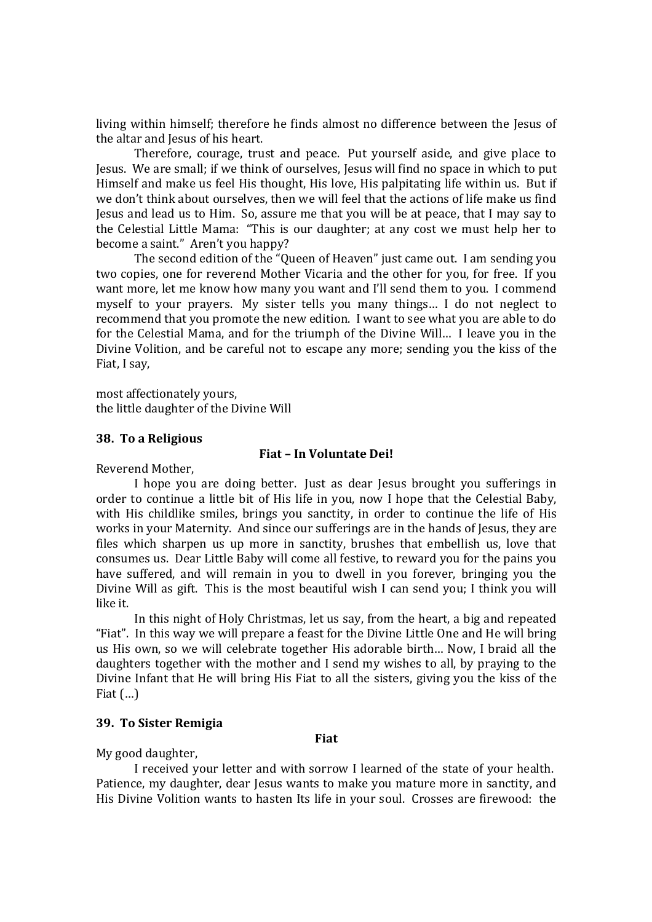living within himself; therefore he finds almost no difference between the Jesus of the altar and Jesus of his heart.

Therefore, courage, trust and peace. Put yourself aside, and give place to Jesus. We are small; if we think of ourselves, Jesus will find no space in which to put Himself and make us feel His thought, His love, His palpitating life within us. But if we don't think about ourselves, then we will feel that the actions of life make us find Jesus and lead us to Him. So, assure me that you will be at peace, that I may say to the Celestial Little Mama: "This is our daughter; at any cost we must help her to become a saint." Aren't you happy?

The second edition of the "Queen of Heaven" just came out. I am sending you two copies, one for reverend Mother Vicaria and the other for you, for free. If you want more, let me know how many you want and I'll send them to you. I commend myself to your prayers. My sister tells you many things… I do not neglect to recommend that you promote the new edition. I want to see what you are able to do for the Celestial Mama, and for the triumph of the Divine Will… I leave you in the Divine Volition, and be careful not to escape any more; sending you the kiss of the Fiat, I say,

most affectionately yours, the little daughter of the Divine Will

#### **38. To a Religious**

# **Fiat – In Voluntate Dei!**

Reverend Mother,

I hope you are doing better. Just as dear Jesus brought you sufferings in order to continue a little bit of His life in you, now I hope that the Celestial Baby, with His childlike smiles, brings you sanctity, in order to continue the life of His works in your Maternity. And since our sufferings are in the hands of Jesus, they are files which sharpen us up more in sanctity, brushes that embellish us, love that consumes us. Dear Little Baby will come all festive, to reward you for the pains you have suffered, and will remain in you to dwell in you forever, bringing you the Divine Will as gift. This is the most beautiful wish I can send you; I think you will like it.

In this night of Holy Christmas, let us say, from the heart, a big and repeated "Fiat". In this way we will prepare a feast for the Divine Little One and He will bring us His own, so we will celebrate together His adorable birth… Now, I braid all the daughters together with the mother and I send my wishes to all, by praying to the Divine Infant that He will bring His Fiat to all the sisters, giving you the kiss of the Fiat  $(...)$ 

# **39. To Sister Remigia**

**Fiat**

My good daughter,

I received your letter and with sorrow I learned of the state of your health. Patience, my daughter, dear Jesus wants to make you mature more in sanctity, and His Divine Volition wants to hasten Its life in your soul. Crosses are firewood: the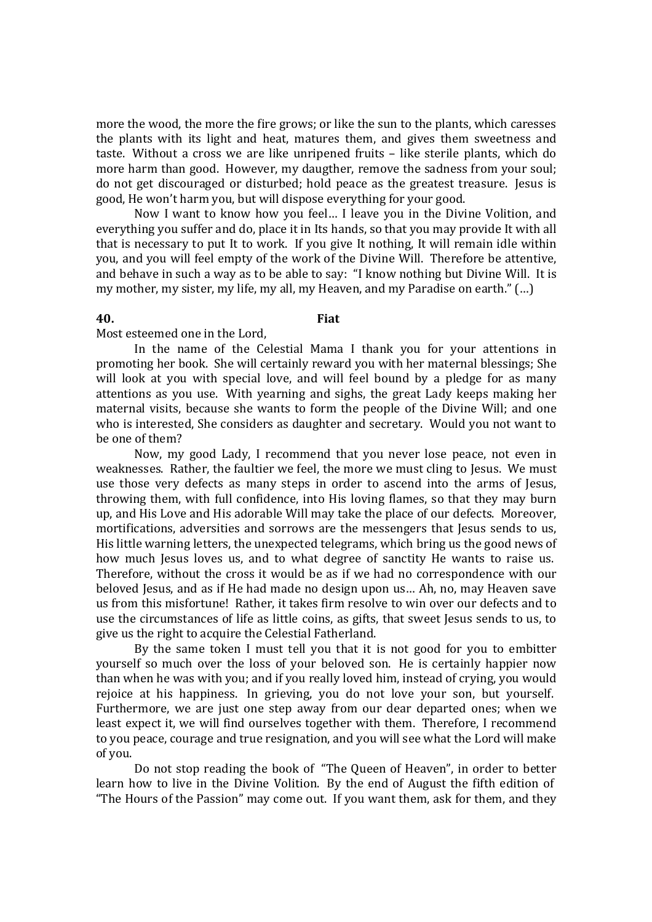more the wood, the more the fire grows; or like the sun to the plants, which caresses the plants with its light and heat, matures them, and gives them sweetness and taste. Without a cross we are like unripened fruits – like sterile plants, which do more harm than good. However, my daugther, remove the sadness from your soul; do not get discouraged or disturbed; hold peace as the greatest treasure. Jesus is good, He won't harm you, but will dispose everything for your good.

Now I want to know how you feel… I leave you in the Divine Volition, and everything you suffer and do, place it in Its hands, so that you may provide It with all that is necessary to put It to work. If you give It nothing, It will remain idle within you, and you will feel empty of the work of the Divine Will. Therefore be attentive, and behave in such a way as to be able to say: "I know nothing but Divine Will. It is my mother, my sister, my life, my all, my Heaven, and my Paradise on earth." (…)

#### **40. Fiat**

Most esteemed one in the Lord,

In the name of the Celestial Mama I thank you for your attentions in promoting her book. She will certainly reward you with her maternal blessings; She will look at you with special love, and will feel bound by a pledge for as many attentions as you use. With yearning and sighs, the great Lady keeps making her maternal visits, because she wants to form the people of the Divine Will; and one who is interested, She considers as daughter and secretary. Would you not want to be one of them?

Now, my good Lady, I recommend that you never lose peace, not even in weaknesses. Rather, the faultier we feel, the more we must cling to Jesus. We must use those very defects as many steps in order to ascend into the arms of Jesus, throwing them, with full confidence, into His loving flames, so that they may burn up, and His Love and His adorable Will may take the place of our defects. Moreover, mortifications, adversities and sorrows are the messengers that Jesus sends to us, His little warning letters, the unexpected telegrams, which bring us the good news of how much Jesus loves us, and to what degree of sanctity He wants to raise us. Therefore, without the cross it would be as if we had no correspondence with our beloved Jesus, and as if He had made no design upon us… Ah, no, may Heaven save us from this misfortune! Rather, it takes firm resolve to win over our defects and to use the circumstances of life as little coins, as gifts, that sweet Jesus sends to us, to give us the right to acquire the Celestial Fatherland.

By the same token I must tell you that it is not good for you to embitter yourself so much over the loss of your beloved son. He is certainly happier now than when he was with you; and if you really loved him, instead of crying, you would rejoice at his happiness. In grieving, you do not love your son, but yourself. Furthermore, we are just one step away from our dear departed ones; when we least expect it, we will find ourselves together with them. Therefore, I recommend to you peace, courage and true resignation, and you will see what the Lord will make of you.

Do not stop reading the book of "The Queen of Heaven", in order to better learn how to live in the Divine Volition. By the end of August the fifth edition of "The Hours of the Passion" may come out. If you want them, ask for them, and they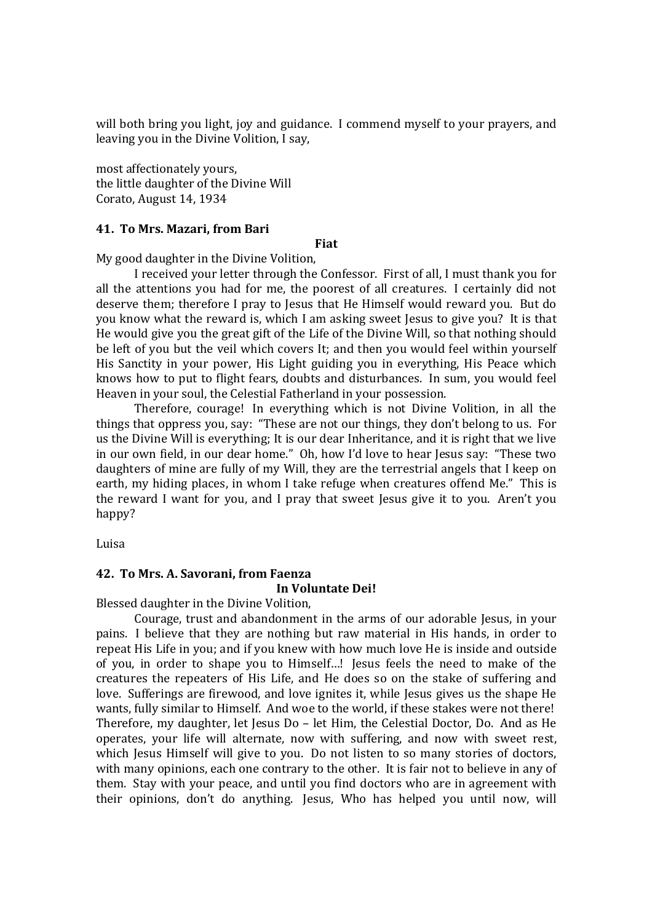will both bring you light, joy and guidance. I commend myself to your prayers, and leaving you in the Divine Volition, I say,

most affectionately yours, the little daughter of the Divine Will Corato, August 14, 1934

### **41. To Mrs. Mazari, from Bari**

#### **Fiat**

My good daughter in the Divine Volition,

I received your letter through the Confessor. First of all, I must thank you for all the attentions you had for me, the poorest of all creatures. I certainly did not deserve them; therefore I pray to Jesus that He Himself would reward you. But do you know what the reward is, which I am asking sweet Jesus to give you? It is that He would give you the great gift of the Life of the Divine Will, so that nothing should be left of you but the veil which covers It; and then you would feel within yourself His Sanctity in your power, His Light guiding you in everything, His Peace which knows how to put to flight fears, doubts and disturbances. In sum, you would feel Heaven in your soul, the Celestial Fatherland in your possession.

Therefore, courage! In everything which is not Divine Volition, in all the things that oppress you, say: "These are not our things, they don't belong to us. For us the Divine Will is everything; It is our dear Inheritance, and it is right that we live in our own field, in our dear home." Oh, how I'd love to hear Jesus say: "These two daughters of mine are fully of my Will, they are the terrestrial angels that I keep on earth, my hiding places, in whom I take refuge when creatures offend Me." This is the reward I want for you, and I pray that sweet Jesus give it to you. Aren't you happy?

Luisa

# **42. To Mrs. A. Savorani, from Faenza**

# **In Voluntate Dei!**

Blessed daughter in the Divine Volition,

Courage, trust and abandonment in the arms of our adorable Jesus, in your pains. I believe that they are nothing but raw material in His hands, in order to repeat His Life in you; and if you knew with how much love He is inside and outside of you, in order to shape you to Himself…! Jesus feels the need to make of the creatures the repeaters of His Life, and He does so on the stake of suffering and love. Sufferings are firewood, and love ignites it, while Jesus gives us the shape He wants, fully similar to Himself. And woe to the world, if these stakes were not there! Therefore, my daughter, let Jesus Do – let Him, the Celestial Doctor, Do. And as He operates, your life will alternate, now with suffering, and now with sweet rest, which Jesus Himself will give to you. Do not listen to so many stories of doctors, with many opinions, each one contrary to the other. It is fair not to believe in any of them. Stay with your peace, and until you find doctors who are in agreement with their opinions, don't do anything. Jesus, Who has helped you until now, will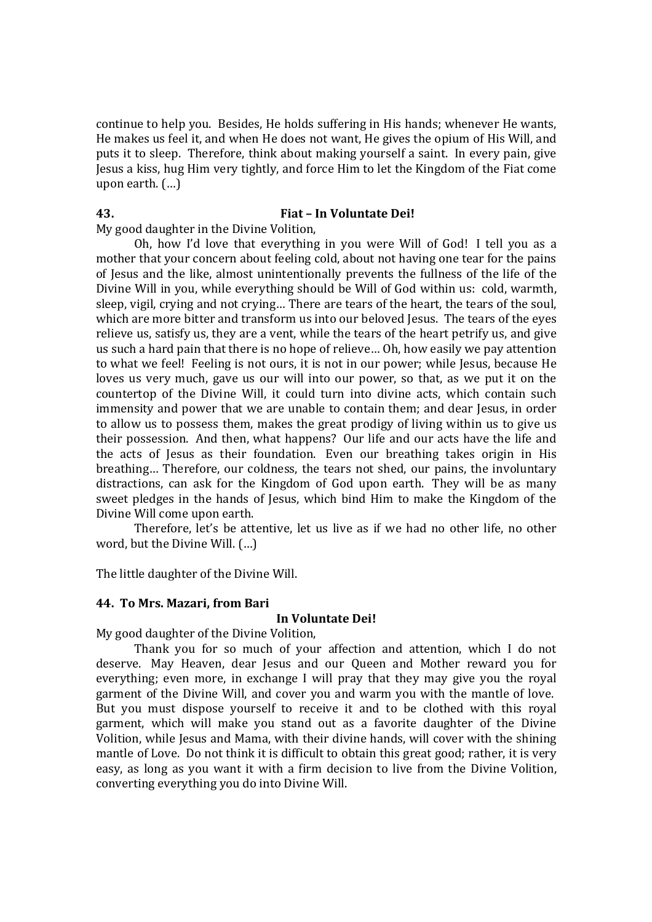continue to help you. Besides, He holds suffering in His hands; whenever He wants, He makes us feel it, and when He does not want, He gives the opium of His Will, and puts it to sleep. Therefore, think about making yourself a saint. In every pain, give Jesus a kiss, hug Him very tightly, and force Him to let the Kingdom of the Fiat come upon earth. (…)

# **43. Fiat – In Voluntate Dei!**

My good daughter in the Divine Volition,

Oh, how I'd love that everything in you were Will of God! I tell you as a mother that your concern about feeling cold, about not having one tear for the pains of Jesus and the like, almost unintentionally prevents the fullness of the life of the Divine Will in you, while everything should be Will of God within us: cold, warmth, sleep, vigil, crying and not crying… There are tears of the heart, the tears of the soul, which are more bitter and transform us into our beloved Jesus. The tears of the eves relieve us, satisfy us, they are a vent, while the tears of the heart petrify us, and give us such a hard pain that there is no hope of relieve… Oh, how easily we pay attention to what we feel! Feeling is not ours, it is not in our power; while Jesus, because He loves us very much, gave us our will into our power, so that, as we put it on the countertop of the Divine Will, it could turn into divine acts, which contain such immensity and power that we are unable to contain them; and dear Jesus, in order to allow us to possess them, makes the great prodigy of living within us to give us their possession. And then, what happens? Our life and our acts have the life and the acts of Jesus as their foundation. Even our breathing takes origin in His breathing… Therefore, our coldness, the tears not shed, our pains, the involuntary distractions, can ask for the Kingdom of God upon earth. They will be as many sweet pledges in the hands of Jesus, which bind Him to make the Kingdom of the Divine Will come upon earth.

Therefore, let's be attentive, let us live as if we had no other life, no other word, but the Divine Will. (…)

The little daughter of the Divine Will.

# **44. To Mrs. Mazari, from Bari**

# **In Voluntate Dei!**

My good daughter of the Divine Volition,

Thank you for so much of your affection and attention, which I do not deserve. May Heaven, dear Jesus and our Queen and Mother reward you for everything; even more, in exchange I will pray that they may give you the royal garment of the Divine Will, and cover you and warm you with the mantle of love. But you must dispose yourself to receive it and to be clothed with this royal garment, which will make you stand out as a favorite daughter of the Divine Volition, while Jesus and Mama, with their divine hands, will cover with the shining mantle of Love. Do not think it is difficult to obtain this great good; rather, it is very easy, as long as you want it with a firm decision to live from the Divine Volition, converting everything you do into Divine Will.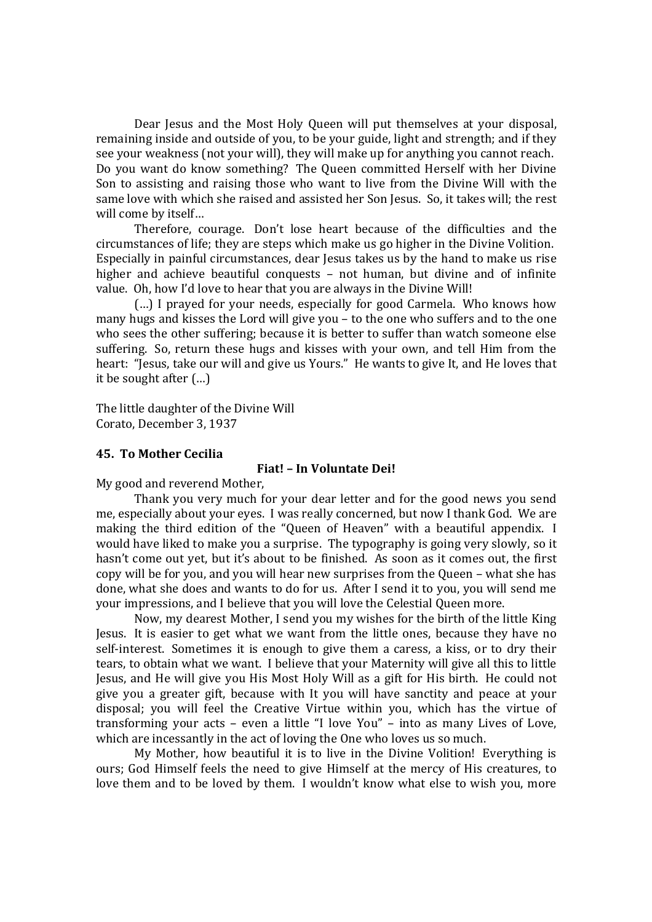Dear Jesus and the Most Holy Queen will put themselves at your disposal, remaining inside and outside of you, to be your guide, light and strength; and if they see your weakness (not your will), they will make up for anything you cannot reach. Do you want do know something? The Queen committed Herself with her Divine Son to assisting and raising those who want to live from the Divine Will with the same love with which she raised and assisted her Son Jesus. So, it takes will; the rest will come by itself…

Therefore, courage. Don't lose heart because of the difficulties and the circumstances of life; they are steps which make us go higher in the Divine Volition. Especially in painful circumstances, dear Jesus takes us by the hand to make us rise higher and achieve beautiful conquests – not human, but divine and of infinite value. Oh, how I'd love to hear that you are always in the Divine Will!

(…) I prayed for your needs, especially for good Carmela. Who knows how many hugs and kisses the Lord will give you – to the one who suffers and to the one who sees the other suffering; because it is better to suffer than watch someone else suffering. So, return these hugs and kisses with your own, and tell Him from the heart: "Jesus, take our will and give us Yours." He wants to give It, and He loves that it be sought after (…)

The little daughter of the Divine Will Corato, December 3, 1937

# **45. To Mother Cecilia**

# **Fiat! – In Voluntate Dei!**

My good and reverend Mother,

Thank you very much for your dear letter and for the good news you send me, especially about your eyes. I was really concerned, but now I thank God. We are making the third edition of the "Queen of Heaven" with a beautiful appendix. I would have liked to make you a surprise. The typography is going very slowly, so it hasn't come out yet, but it's about to be finished. As soon as it comes out, the first copy will be for you, and you will hear new surprises from the Queen – what she has done, what she does and wants to do for us. After I send it to you, you will send me your impressions, and I believe that you will love the Celestial Queen more.

Now, my dearest Mother, I send you my wishes for the birth of the little King Jesus. It is easier to get what we want from the little ones, because they have no self-interest. Sometimes it is enough to give them a caress, a kiss, or to dry their tears, to obtain what we want. I believe that your Maternity will give all this to little Jesus, and He will give you His Most Holy Will as a gift for His birth. He could not give you a greater gift, because with It you will have sanctity and peace at your disposal; you will feel the Creative Virtue within you, which has the virtue of transforming your acts – even a little "I love You" – into as many Lives of Love, which are incessantly in the act of loving the One who loves us so much.

My Mother, how beautiful it is to live in the Divine Volition! Everything is ours; God Himself feels the need to give Himself at the mercy of His creatures, to love them and to be loved by them. I wouldn't know what else to wish you, more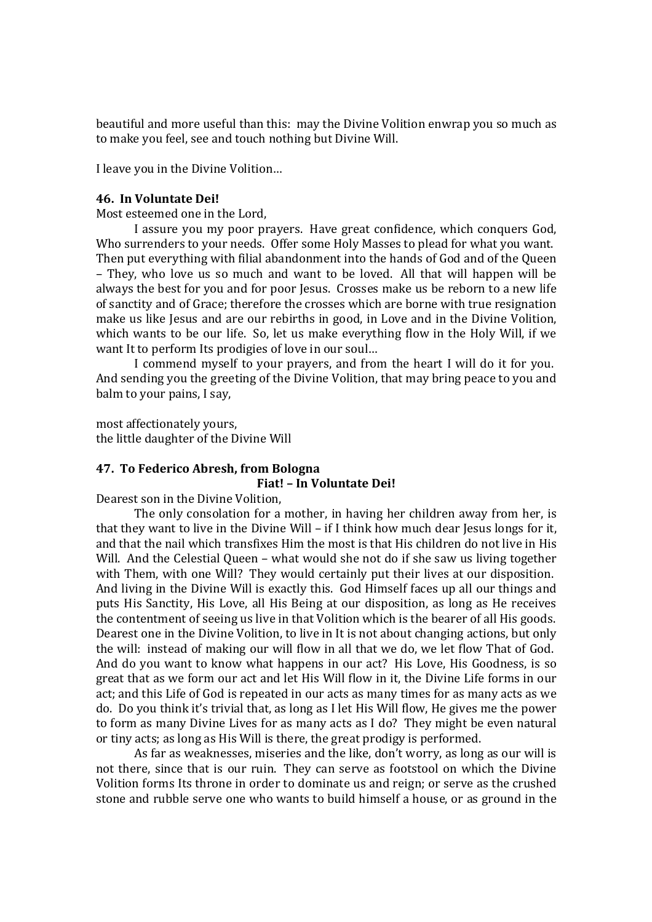beautiful and more useful than this: may the Divine Volition enwrap you so much as to make you feel, see and touch nothing but Divine Will.

I leave you in the Divine Volition…

# **46. In Voluntate Dei!**

Most esteemed one in the Lord,

I assure you my poor prayers. Have great confidence, which conquers God, Who surrenders to your needs. Offer some Holy Masses to plead for what you want. Then put everything with filial abandonment into the hands of God and of the Queen – They, who love us so much and want to be loved. All that will happen will be always the best for you and for poor Jesus. Crosses make us be reborn to a new life of sanctity and of Grace; therefore the crosses which are borne with true resignation make us like Jesus and are our rebirths in good, in Love and in the Divine Volition, which wants to be our life. So, let us make everything flow in the Holy Will, if we want It to perform Its prodigies of love in our soul…

I commend myself to your prayers, and from the heart I will do it for you. And sending you the greeting of the Divine Volition, that may bring peace to you and balm to your pains, I say,

most affectionately yours, the little daughter of the Divine Will

# **47. To Federico Abresh, from Bologna Fiat! – In Voluntate Dei!**

Dearest son in the Divine Volition,

The only consolation for a mother, in having her children away from her, is that they want to live in the Divine Will – if I think how much dear Jesus longs for it, and that the nail which transfixes Him the most is that His children do not live in His Will. And the Celestial Queen – what would she not do if she saw us living together with Them, with one Will? They would certainly put their lives at our disposition. And living in the Divine Will is exactly this. God Himself faces up all our things and puts His Sanctity, His Love, all His Being at our disposition, as long as He receives the contentment of seeing us live in that Volition which is the bearer of all His goods. Dearest one in the Divine Volition, to live in It is not about changing actions, but only the will: instead of making our will flow in all that we do, we let flow That of God. And do you want to know what happens in our act? His Love, His Goodness, is so great that as we form our act and let His Will flow in it, the Divine Life forms in our act; and this Life of God is repeated in our acts as many times for as many acts as we do. Do you think it's trivial that, as long as I let His Will flow, He gives me the power to form as many Divine Lives for as many acts as I do? They might be even natural or tiny acts; as long as His Will is there, the great prodigy is performed.

As far as weaknesses, miseries and the like, don't worry, as long as our will is not there, since that is our ruin. They can serve as footstool on which the Divine Volition forms Its throne in order to dominate us and reign; or serve as the crushed stone and rubble serve one who wants to build himself a house, or as ground in the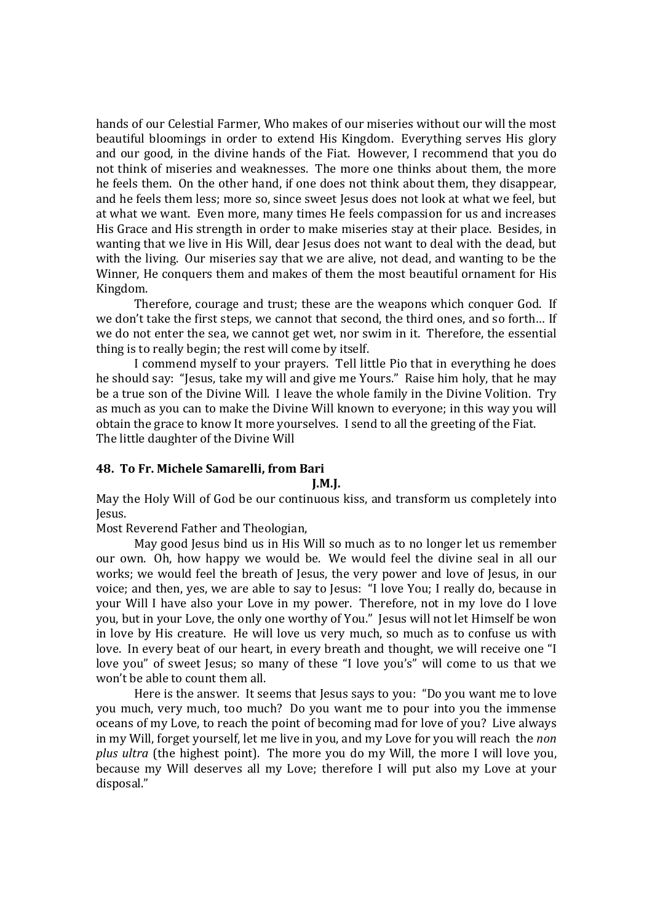hands of our Celestial Farmer, Who makes of our miseries without our will the most beautiful bloomings in order to extend His Kingdom. Everything serves His glory and our good, in the divine hands of the Fiat. However, I recommend that you do not think of miseries and weaknesses. The more one thinks about them, the more he feels them. On the other hand, if one does not think about them, they disappear, and he feels them less; more so, since sweet Jesus does not look at what we feel, but at what we want. Even more, many times He feels compassion for us and increases His Grace and His strength in order to make miseries stay at their place. Besides, in wanting that we live in His Will, dear Jesus does not want to deal with the dead, but with the living. Our miseries say that we are alive, not dead, and wanting to be the Winner, He conquers them and makes of them the most beautiful ornament for His Kingdom.

Therefore, courage and trust; these are the weapons which conquer God. If we don't take the first steps, we cannot that second, the third ones, and so forth… If we do not enter the sea, we cannot get wet, nor swim in it. Therefore, the essential thing is to really begin; the rest will come by itself.

I commend myself to your prayers. Tell little Pio that in everything he does he should say: "Jesus, take my will and give me Yours." Raise him holy, that he may be a true son of the Divine Will. I leave the whole family in the Divine Volition. Try as much as you can to make the Divine Will known to everyone; in this way you will obtain the grace to know It more yourselves. I send to all the greeting of the Fiat. The little daughter of the Divine Will

# **48. To Fr. Michele Samarelli, from Bari**

#### **J.M.J.**

May the Holy Will of God be our continuous kiss, and transform us completely into Jesus.

Most Reverend Father and Theologian,

May good Jesus bind us in His Will so much as to no longer let us remember our own. Oh, how happy we would be. We would feel the divine seal in all our works; we would feel the breath of Jesus, the very power and love of Jesus, in our voice; and then, yes, we are able to say to Jesus: "I love You; I really do, because in your Will I have also your Love in my power. Therefore, not in my love do I love you, but in your Love, the only one worthy of You." Jesus will not let Himself be won in love by His creature. He will love us very much, so much as to confuse us with love. In every beat of our heart, in every breath and thought, we will receive one "I love you" of sweet Jesus; so many of these "I love you's" will come to us that we won't be able to count them all.

Here is the answer. It seems that Jesus says to you: "Do you want me to love you much, very much, too much? Do you want me to pour into you the immense oceans of my Love, to reach the point of becoming mad for love of you? Live always in my Will, forget yourself, let me live in you, and my Love for you will reach the *non plus ultra* (the highest point). The more you do my Will, the more I will love you, because my Will deserves all my Love; therefore I will put also my Love at your disposal."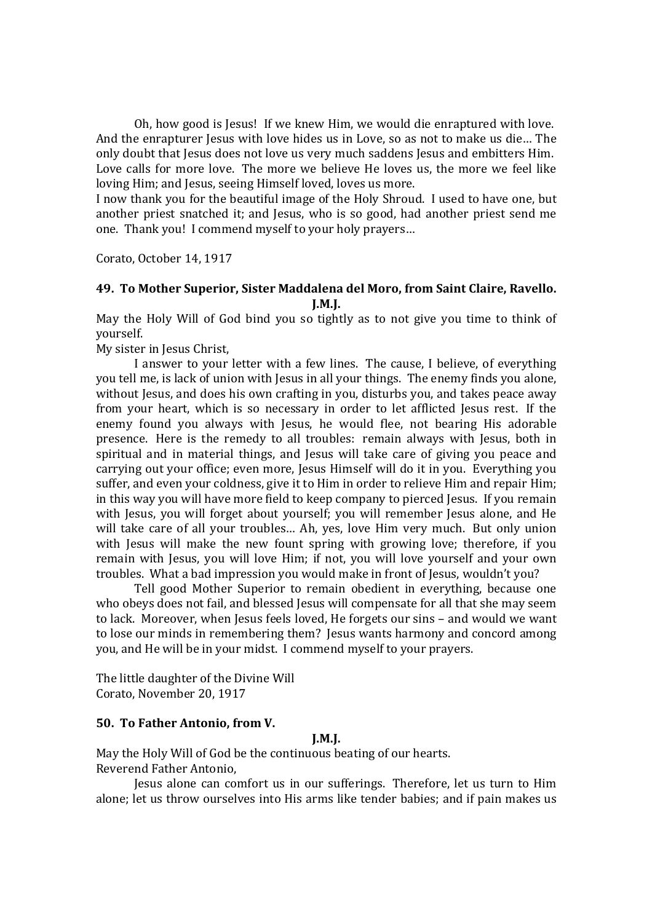Oh, how good is Jesus! If we knew Him, we would die enraptured with love. And the enrapturer Jesus with love hides us in Love, so as not to make us die… The only doubt that Jesus does not love us very much saddens Jesus and embitters Him. Love calls for more love. The more we believe He loves us, the more we feel like loving Him; and Jesus, seeing Himself loved, loves us more.

I now thank you for the beautiful image of the Holy Shroud. I used to have one, but another priest snatched it; and Jesus, who is so good, had another priest send me one. Thank you! I commend myself to your holy prayers…

Corato, October 14, 1917

# **49. To Mother Superior, Sister Maddalena del Moro, from Saint Claire, Ravello. J.M.J.**

May the Holy Will of God bind you so tightly as to not give you time to think of yourself.

My sister in Jesus Christ,

I answer to your letter with a few lines. The cause, I believe, of everything you tell me, is lack of union with Jesus in all your things. The enemy finds you alone, without Jesus, and does his own crafting in you, disturbs you, and takes peace away from your heart, which is so necessary in order to let afflicted Jesus rest. If the enemy found you always with Jesus, he would flee, not bearing His adorable presence. Here is the remedy to all troubles: remain always with Jesus, both in spiritual and in material things, and Jesus will take care of giving you peace and carrying out your office; even more, Jesus Himself will do it in you. Everything you suffer, and even your coldness, give it to Him in order to relieve Him and repair Him; in this way you will have more field to keep company to pierced Jesus. If you remain with Jesus, you will forget about yourself; you will remember Jesus alone, and He will take care of all your troubles… Ah, yes, love Him very much. But only union with Jesus will make the new fount spring with growing love; therefore, if you remain with Jesus, you will love Him; if not, you will love yourself and your own troubles. What a bad impression you would make in front of Jesus, wouldn't you?

Tell good Mother Superior to remain obedient in everything, because one who obeys does not fail, and blessed Jesus will compensate for all that she may seem to lack. Moreover, when Jesus feels loved, He forgets our sins – and would we want to lose our minds in remembering them? Jesus wants harmony and concord among you, and He will be in your midst. I commend myself to your prayers.

The little daughter of the Divine Will Corato, November 20, 1917

# **50. To Father Antonio, from V.**

# **J.M.J.**

May the Holy Will of God be the continuous beating of our hearts. Reverend Father Antonio,

Jesus alone can comfort us in our sufferings. Therefore, let us turn to Him alone; let us throw ourselves into His arms like tender babies; and if pain makes us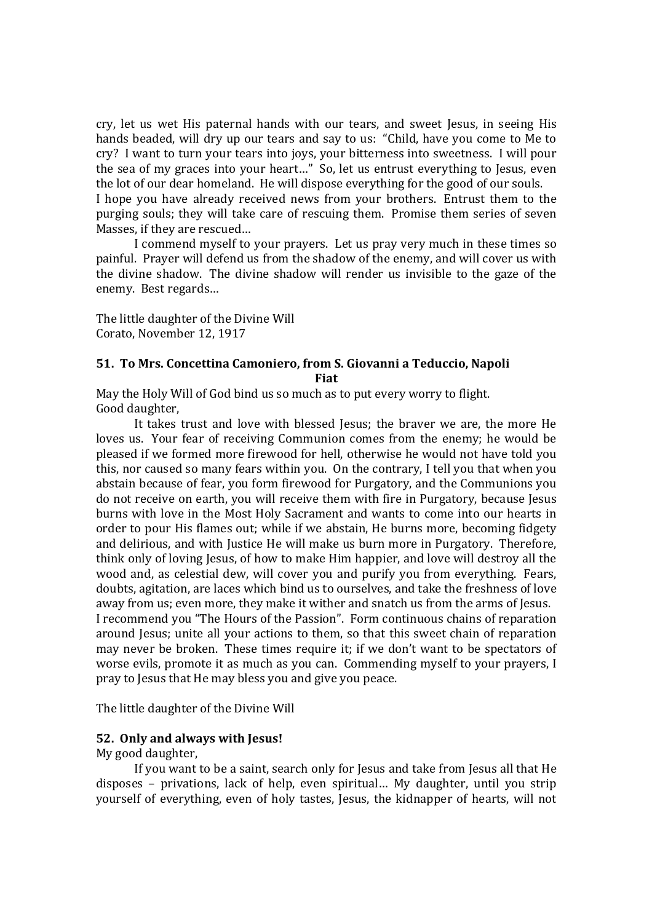cry, let us wet His paternal hands with our tears, and sweet Jesus, in seeing His hands beaded, will dry up our tears and say to us: "Child, have you come to Me to cry? I want to turn your tears into joys, your bitterness into sweetness. I will pour the sea of my graces into your heart…" So, let us entrust everything to Jesus, even the lot of our dear homeland. He will dispose everything for the good of our souls.

I hope you have already received news from your brothers. Entrust them to the purging souls; they will take care of rescuing them. Promise them series of seven Masses, if they are rescued…

I commend myself to your prayers. Let us pray very much in these times so painful. Prayer will defend us from the shadow of the enemy, and will cover us with the divine shadow. The divine shadow will render us invisible to the gaze of the enemy. Best regards…

The little daughter of the Divine Will Corato, November 12, 1917

# **51. To Mrs. Concettina Camoniero, from S. Giovanni a Teduccio, Napoli**

**Fiat**

May the Holy Will of God bind us so much as to put every worry to flight. Good daughter,

It takes trust and love with blessed Jesus; the braver we are, the more He loves us. Your fear of receiving Communion comes from the enemy; he would be pleased if we formed more firewood for hell, otherwise he would not have told you this, nor caused so many fears within you. On the contrary, I tell you that when you abstain because of fear, you form firewood for Purgatory, and the Communions you do not receive on earth, you will receive them with fire in Purgatory, because Jesus burns with love in the Most Holy Sacrament and wants to come into our hearts in order to pour His flames out; while if we abstain, He burns more, becoming fidgety and delirious, and with Justice He will make us burn more in Purgatory. Therefore, think only of loving Jesus, of how to make Him happier, and love will destroy all the wood and, as celestial dew, will cover you and purify you from everything. Fears, doubts, agitation, are laces which bind us to ourselves, and take the freshness of love away from us; even more, they make it wither and snatch us from the arms of Jesus. I recommend you "The Hours of the Passion". Form continuous chains of reparation around Jesus; unite all your actions to them, so that this sweet chain of reparation may never be broken. These times require it; if we don't want to be spectators of worse evils, promote it as much as you can. Commending myself to your prayers, I pray to Jesus that He may bless you and give you peace.

The little daughter of the Divine Will

# **52. Only and always with Jesus!**

My good daughter,

If you want to be a saint, search only for Jesus and take from Jesus all that He disposes – privations, lack of help, even spiritual… My daughter, until you strip yourself of everything, even of holy tastes, Jesus, the kidnapper of hearts, will not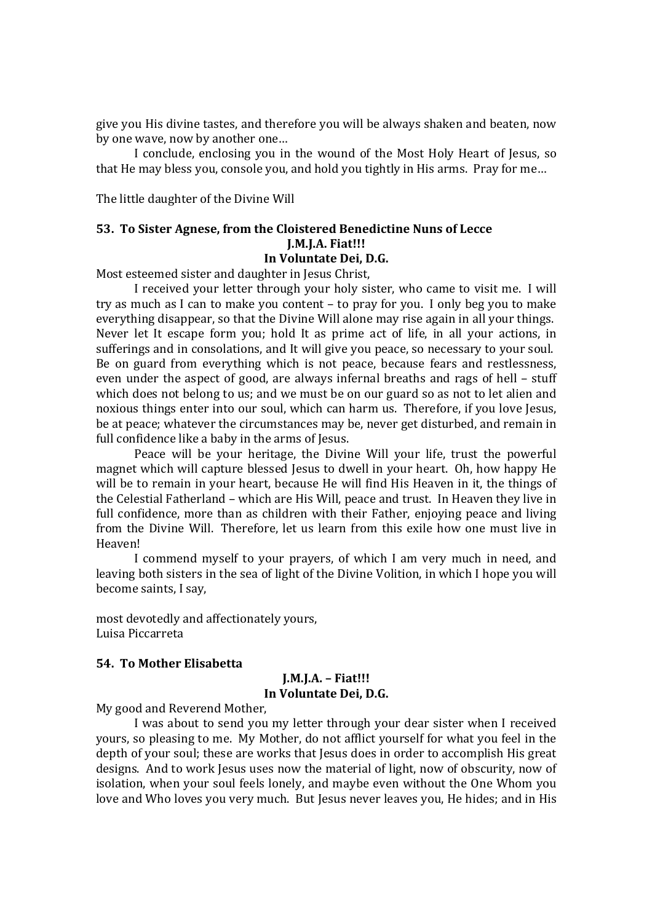give you His divine tastes, and therefore you will be always shaken and beaten, now by one wave, now by another one…

I conclude, enclosing you in the wound of the Most Holy Heart of Jesus, so that He may bless you, console you, and hold you tightly in His arms. Pray for me…

The little daughter of the Divine Will

# **53. To Sister Agnese, from the Cloistered Benedictine Nuns of Lecce J.M.J.A. Fiat!!! In Voluntate Dei, D.G.**

Most esteemed sister and daughter in Jesus Christ,

I received your letter through your holy sister, who came to visit me. I will try as much as I can to make you content – to pray for you. I only beg you to make everything disappear, so that the Divine Will alone may rise again in all your things. Never let It escape form you; hold It as prime act of life, in all your actions, in sufferings and in consolations, and It will give you peace, so necessary to your soul. Be on guard from everything which is not peace, because fears and restlessness, even under the aspect of good, are always infernal breaths and rags of hell – stuff which does not belong to us; and we must be on our guard so as not to let alien and noxious things enter into our soul, which can harm us. Therefore, if you love Jesus, be at peace; whatever the circumstances may be, never get disturbed, and remain in full confidence like a baby in the arms of Jesus.

Peace will be your heritage, the Divine Will your life, trust the powerful magnet which will capture blessed Jesus to dwell in your heart. Oh, how happy He will be to remain in your heart, because He will find His Heaven in it, the things of the Celestial Fatherland – which are His Will, peace and trust. In Heaven they live in full confidence, more than as children with their Father, enjoying peace and living from the Divine Will. Therefore, let us learn from this exile how one must live in Heaven!

I commend myself to your prayers, of which I am very much in need, and leaving both sisters in the sea of light of the Divine Volition, in which I hope you will become saints, I say,

most devotedly and affectionately yours, Luisa Piccarreta

# **54. To Mother Elisabetta**

# **J.M.J.A. – Fiat!!! In Voluntate Dei, D.G.**

My good and Reverend Mother,

I was about to send you my letter through your dear sister when I received yours, so pleasing to me. My Mother, do not afflict yourself for what you feel in the depth of your soul; these are works that Jesus does in order to accomplish His great designs. And to work Jesus uses now the material of light, now of obscurity, now of isolation, when your soul feels lonely, and maybe even without the One Whom you love and Who loves you very much. But Jesus never leaves you, He hides; and in His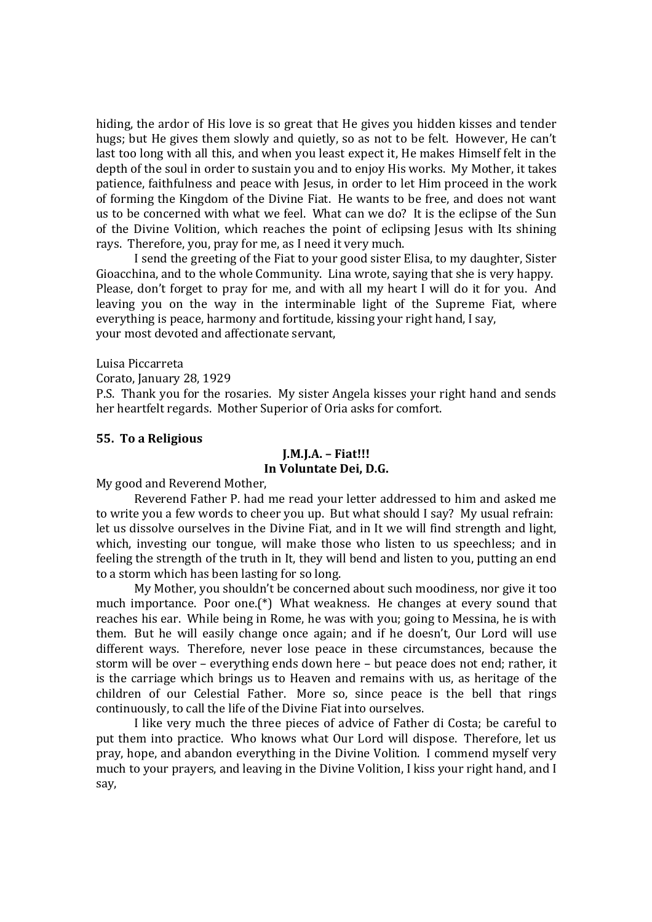hiding, the ardor of His love is so great that He gives you hidden kisses and tender hugs; but He gives them slowly and quietly, so as not to be felt. However, He can't last too long with all this, and when you least expect it, He makes Himself felt in the depth of the soul in order to sustain you and to enjoy His works. My Mother, it takes patience, faithfulness and peace with Jesus, in order to let Him proceed in the work of forming the Kingdom of the Divine Fiat. He wants to be free, and does not want us to be concerned with what we feel. What can we do? It is the eclipse of the Sun of the Divine Volition, which reaches the point of eclipsing Jesus with Its shining rays. Therefore, you, pray for me, as I need it very much.

I send the greeting of the Fiat to your good sister Elisa, to my daughter, Sister Gioacchina, and to the whole Community. Lina wrote, saying that she is very happy. Please, don't forget to pray for me, and with all my heart I will do it for you. And leaving you on the way in the interminable light of the Supreme Fiat, where everything is peace, harmony and fortitude, kissing your right hand, I say, your most devoted and affectionate servant,

Luisa Piccarreta

Corato, January 28, 1929

P.S. Thank you for the rosaries. My sister Angela kisses your right hand and sends her heartfelt regards. Mother Superior of Oria asks for comfort.

# **55. To a Religious**

# **J.M.J.A. – Fiat!!! In Voluntate Dei, D.G.**

My good and Reverend Mother,

Reverend Father P. had me read your letter addressed to him and asked me to write you a few words to cheer you up. But what should I say? My usual refrain: let us dissolve ourselves in the Divine Fiat, and in It we will find strength and light, which, investing our tongue, will make those who listen to us speechless; and in feeling the strength of the truth in It, they will bend and listen to you, putting an end to a storm which has been lasting for so long.

My Mother, you shouldn't be concerned about such moodiness, nor give it too much importance. Poor one.(\*) What weakness. He changes at every sound that reaches his ear. While being in Rome, he was with you; going to Messina, he is with them. But he will easily change once again; and if he doesn't, Our Lord will use different ways. Therefore, never lose peace in these circumstances, because the storm will be over – everything ends down here – but peace does not end; rather, it is the carriage which brings us to Heaven and remains with us, as heritage of the children of our Celestial Father. More so, since peace is the bell that rings continuously, to call the life of the Divine Fiat into ourselves.

I like very much the three pieces of advice of Father di Costa; be careful to put them into practice. Who knows what Our Lord will dispose. Therefore, let us pray, hope, and abandon everything in the Divine Volition. I commend myself very much to your prayers, and leaving in the Divine Volition, I kiss your right hand, and I say,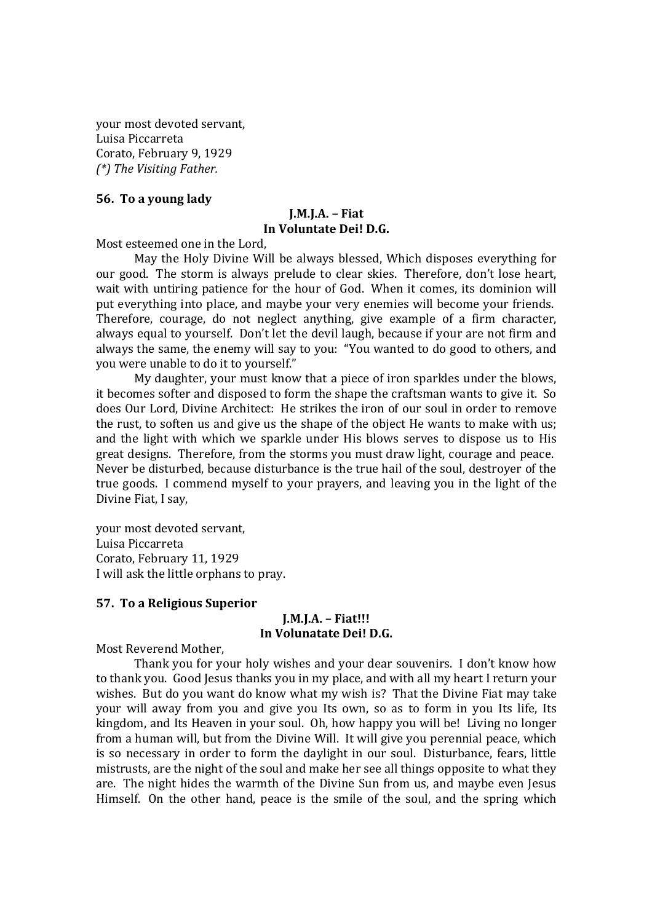your most devoted servant, Luisa Piccarreta Corato, February 9, 1929 *(\*) The Visiting Father.*

# **56. To a young lady**

# **J.M.J.A. – Fiat In Voluntate Dei! D.G.**

Most esteemed one in the Lord,

May the Holy Divine Will be always blessed, Which disposes everything for our good. The storm is always prelude to clear skies. Therefore, don't lose heart, wait with untiring patience for the hour of God. When it comes, its dominion will put everything into place, and maybe your very enemies will become your friends. Therefore, courage, do not neglect anything, give example of a firm character, always equal to yourself. Don't let the devil laugh, because if your are not firm and always the same, the enemy will say to you: "You wanted to do good to others, and you were unable to do it to yourself."

My daughter, your must know that a piece of iron sparkles under the blows, it becomes softer and disposed to form the shape the craftsman wants to give it. So does Our Lord, Divine Architect: He strikes the iron of our soul in order to remove the rust, to soften us and give us the shape of the object He wants to make with us; and the light with which we sparkle under His blows serves to dispose us to His great designs. Therefore, from the storms you must draw light, courage and peace. Never be disturbed, because disturbance is the true hail of the soul, destroyer of the true goods. I commend myself to your prayers, and leaving you in the light of the Divine Fiat, I say,

your most devoted servant, Luisa Piccarreta Corato, February 11, 1929 I will ask the little orphans to pray.

# **57. To a Religious Superior**

# **J.M.J.A. – Fiat!!! In Volunatate Dei! D.G.**

Most Reverend Mother,

Thank you for your holy wishes and your dear souvenirs. I don't know how to thank you. Good Jesus thanks you in my place, and with all my heart I return your wishes. But do you want do know what my wish is? That the Divine Fiat may take your will away from you and give you Its own, so as to form in you Its life, Its kingdom, and Its Heaven in your soul. Oh, how happy you will be! Living no longer from a human will, but from the Divine Will. It will give you perennial peace, which is so necessary in order to form the daylight in our soul. Disturbance, fears, little mistrusts, are the night of the soul and make her see all things opposite to what they are. The night hides the warmth of the Divine Sun from us, and maybe even Jesus Himself. On the other hand, peace is the smile of the soul, and the spring which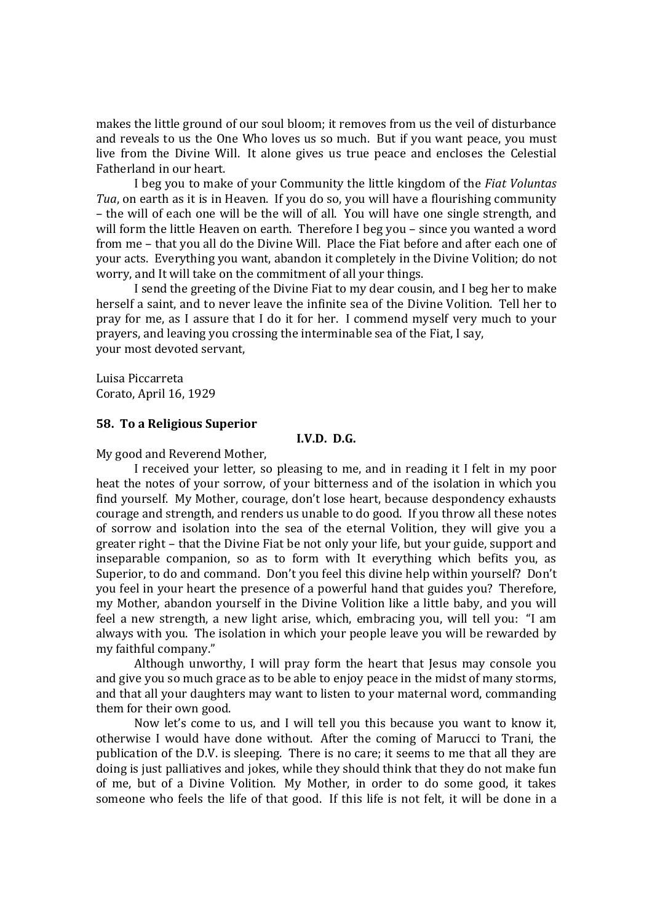makes the little ground of our soul bloom; it removes from us the veil of disturbance and reveals to us the One Who loves us so much. But if you want peace, you must live from the Divine Will. It alone gives us true peace and encloses the Celestial Fatherland in our heart.

I beg you to make of your Community the little kingdom of the *Fiat Voluntas Tua*, on earth as it is in Heaven. If you do so, you will have a flourishing community – the will of each one will be the will of all. You will have one single strength, and will form the little Heaven on earth. Therefore I beg you – since you wanted a word from me – that you all do the Divine Will. Place the Fiat before and after each one of your acts. Everything you want, abandon it completely in the Divine Volition; do not worry, and It will take on the commitment of all your things.

I send the greeting of the Divine Fiat to my dear cousin, and I beg her to make herself a saint, and to never leave the infinite sea of the Divine Volition. Tell her to pray for me, as I assure that I do it for her. I commend myself very much to your prayers, and leaving you crossing the interminable sea of the Fiat, I say, your most devoted servant,

Luisa Piccarreta Corato, April 16, 1929

# **58. To a Religious Superior**

# **I.V.D. D.G.**

My good and Reverend Mother,

I received your letter, so pleasing to me, and in reading it I felt in my poor heat the notes of your sorrow, of your bitterness and of the isolation in which you find yourself. My Mother, courage, don't lose heart, because despondency exhausts courage and strength, and renders us unable to do good. If you throw all these notes of sorrow and isolation into the sea of the eternal Volition, they will give you a greater right – that the Divine Fiat be not only your life, but your guide, support and inseparable companion, so as to form with It everything which befits you, as Superior, to do and command. Don't you feel this divine help within yourself? Don't you feel in your heart the presence of a powerful hand that guides you? Therefore, my Mother, abandon yourself in the Divine Volition like a little baby, and you will feel a new strength, a new light arise, which, embracing you, will tell you: "I am always with you. The isolation in which your people leave you will be rewarded by my faithful company."

Although unworthy, I will pray form the heart that Jesus may console you and give you so much grace as to be able to enjoy peace in the midst of many storms, and that all your daughters may want to listen to your maternal word, commanding them for their own good.

Now let's come to us, and I will tell you this because you want to know it, otherwise I would have done without. After the coming of Marucci to Trani, the publication of the D.V. is sleeping. There is no care; it seems to me that all they are doing is just palliatives and jokes, while they should think that they do not make fun of me, but of a Divine Volition. My Mother, in order to do some good, it takes someone who feels the life of that good. If this life is not felt, it will be done in a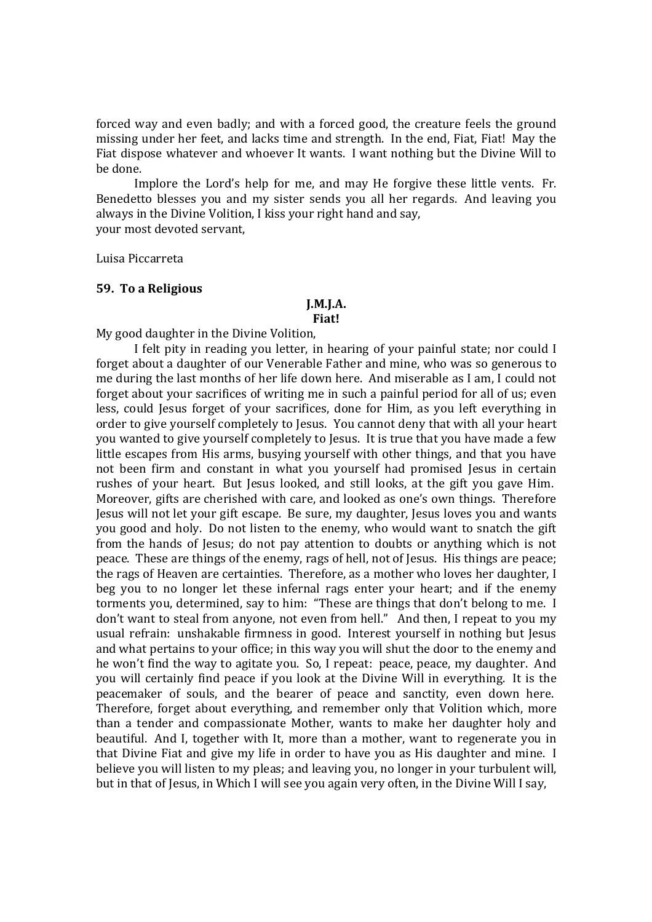forced way and even badly; and with a forced good, the creature feels the ground missing under her feet, and lacks time and strength. In the end, Fiat, Fiat! May the Fiat dispose whatever and whoever It wants. I want nothing but the Divine Will to be done.

Implore the Lord's help for me, and may He forgive these little vents. Fr. Benedetto blesses you and my sister sends you all her regards. And leaving you always in the Divine Volition, I kiss your right hand and say, your most devoted servant,

Luisa Piccarreta

#### **59. To a Religious**

#### **J.M.J.A. Fiat!**

My good daughter in the Divine Volition,

I felt pity in reading you letter, in hearing of your painful state; nor could I forget about a daughter of our Venerable Father and mine, who was so generous to me during the last months of her life down here. And miserable as I am, I could not forget about your sacrifices of writing me in such a painful period for all of us; even less, could Jesus forget of your sacrifices, done for Him, as you left everything in order to give yourself completely to Jesus. You cannot deny that with all your heart you wanted to give yourself completely to Jesus. It is true that you have made a few little escapes from His arms, busying yourself with other things, and that you have not been firm and constant in what you yourself had promised Jesus in certain rushes of your heart. But Jesus looked, and still looks, at the gift you gave Him. Moreover, gifts are cherished with care, and looked as one's own things. Therefore Jesus will not let your gift escape. Be sure, my daughter, Jesus loves you and wants you good and holy. Do not listen to the enemy, who would want to snatch the gift from the hands of Jesus; do not pay attention to doubts or anything which is not peace. These are things of the enemy, rags of hell, not of Jesus. His things are peace; the rags of Heaven are certainties. Therefore, as a mother who loves her daughter, I beg you to no longer let these infernal rags enter your heart; and if the enemy torments you, determined, say to him: "These are things that don't belong to me. I don't want to steal from anyone, not even from hell." And then, I repeat to you my usual refrain: unshakable firmness in good. Interest yourself in nothing but Jesus and what pertains to your office; in this way you will shut the door to the enemy and he won't find the way to agitate you. So, I repeat: peace, peace, my daughter. And you will certainly find peace if you look at the Divine Will in everything. It is the peacemaker of souls, and the bearer of peace and sanctity, even down here. Therefore, forget about everything, and remember only that Volition which, more than a tender and compassionate Mother, wants to make her daughter holy and beautiful. And I, together with It, more than a mother, want to regenerate you in that Divine Fiat and give my life in order to have you as His daughter and mine. I believe you will listen to my pleas; and leaving you, no longer in your turbulent will, but in that of Jesus, in Which I will see you again very often, in the Divine Will I say,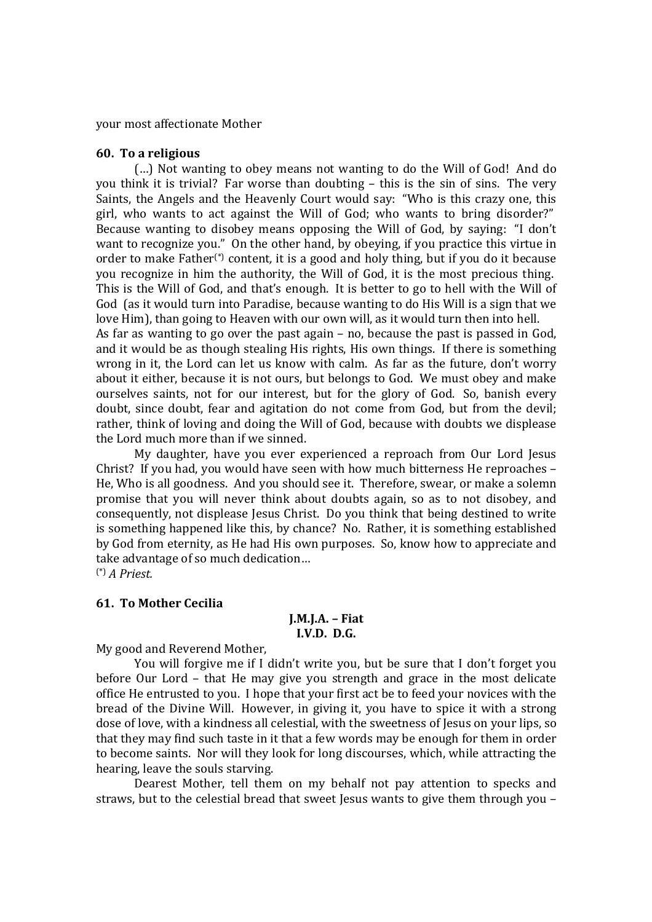your most affectionate Mother

#### **60. To a religious**

(…) Not wanting to obey means not wanting to do the Will of God! And do you think it is trivial? Far worse than doubting – this is the sin of sins. The very Saints, the Angels and the Heavenly Court would say: "Who is this crazy one, this girl, who wants to act against the Will of God; who wants to bring disorder?" Because wanting to disobey means opposing the Will of God, by saying: "I don't want to recognize you." On the other hand, by obeying, if you practice this virtue in order to make Father(\*) content*,* it is a good and holy thing, but if you do it because you recognize in him the authority, the Will of God, it is the most precious thing. This is the Will of God, and that's enough. It is better to go to hell with the Will of God (as it would turn into Paradise, because wanting to do His Will is a sign that we love Him), than going to Heaven with our own will, as it would turn then into hell.

As far as wanting to go over the past again – no, because the past is passed in God, and it would be as though stealing His rights, His own things. If there is something wrong in it, the Lord can let us know with calm. As far as the future, don't worry about it either, because it is not ours, but belongs to God. We must obey and make ourselves saints, not for our interest, but for the glory of God. So, banish every doubt, since doubt, fear and agitation do not come from God, but from the devil; rather, think of loving and doing the Will of God, because with doubts we displease the Lord much more than if we sinned.

My daughter, have you ever experienced a reproach from Our Lord Jesus Christ? If you had, you would have seen with how much bitterness He reproaches – He, Who is all goodness. And you should see it. Therefore, swear, or make a solemn promise that you will never think about doubts again, so as to not disobey, and consequently, not displease Jesus Christ. Do you think that being destined to write is something happened like this, by chance? No. Rather, it is something established by God from eternity, as He had His own purposes. So, know how to appreciate and take advantage of so much dedication…

(\*) *A Priest.*

#### **61. To Mother Cecilia**

## **J.M.J.A. – Fiat I.V.D. D.G.**

My good and Reverend Mother,

You will forgive me if I didn't write you, but be sure that I don't forget you before Our Lord – that He may give you strength and grace in the most delicate office He entrusted to you. I hope that your first act be to feed your novices with the bread of the Divine Will. However, in giving it, you have to spice it with a strong dose of love, with a kindness all celestial, with the sweetness of Jesus on your lips, so that they may find such taste in it that a few words may be enough for them in order to become saints. Nor will they look for long discourses, which, while attracting the hearing, leave the souls starving.

Dearest Mother, tell them on my behalf not pay attention to specks and straws, but to the celestial bread that sweet Jesus wants to give them through you –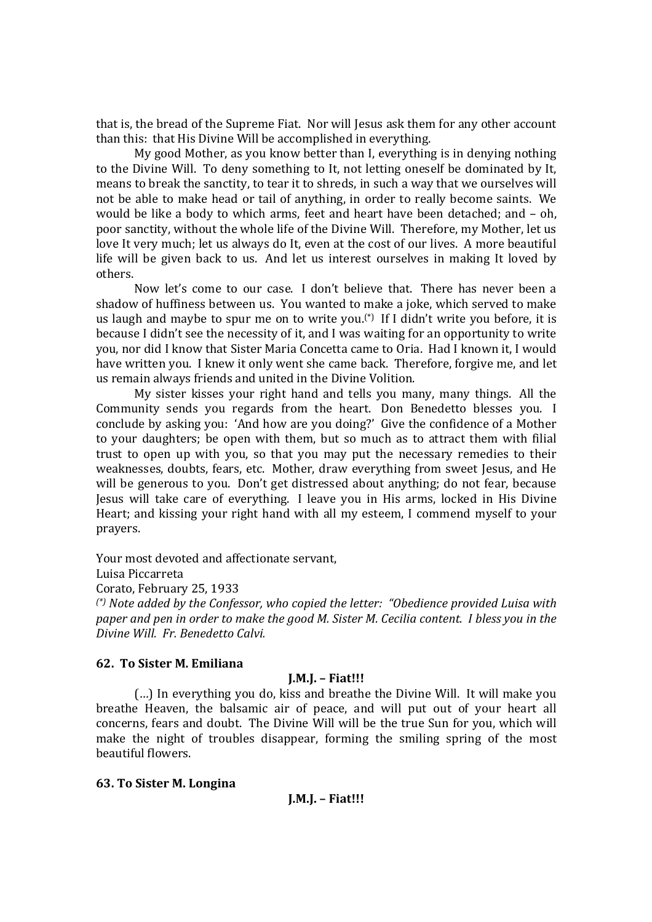that is, the bread of the Supreme Fiat. Nor will Jesus ask them for any other account than this: that His Divine Will be accomplished in everything.

My good Mother, as you know better than I, everything is in denying nothing to the Divine Will. To deny something to It, not letting oneself be dominated by It, means to break the sanctity, to tear it to shreds, in such a way that we ourselves will not be able to make head or tail of anything, in order to really become saints. We would be like a body to which arms, feet and heart have been detached; and – oh, poor sanctity, without the whole life of the Divine Will. Therefore, my Mother, let us love It very much; let us always do It, even at the cost of our lives. A more beautiful life will be given back to us. And let us interest ourselves in making It loved by others.

Now let's come to our case. I don't believe that. There has never been a shadow of huffiness between us. You wanted to make a joke, which served to make us laugh and maybe to spur me on to write you.<sup>(\*)</sup> If I didn't write you before, it is because I didn't see the necessity of it, and I was waiting for an opportunity to write you, nor did I know that Sister Maria Concetta came to Oria. Had I known it, I would have written you. I knew it only went she came back. Therefore, forgive me, and let us remain always friends and united in the Divine Volition.

My sister kisses your right hand and tells you many, many things. All the Community sends you regards from the heart. Don Benedetto blesses you. I conclude by asking you: 'And how are you doing?' Give the confidence of a Mother to your daughters; be open with them, but so much as to attract them with filial trust to open up with you, so that you may put the necessary remedies to their weaknesses, doubts, fears, etc. Mother, draw everything from sweet Jesus, and He will be generous to you. Don't get distressed about anything; do not fear, because Jesus will take care of everything. I leave you in His arms, locked in His Divine Heart; and kissing your right hand with all my esteem, I commend myself to your prayers.

Your most devoted and affectionate servant,

Luisa Piccarreta

Corato, February 25, 1933

*(\*) Note added by the Confessor, who copied the letter: "Obedience provided Luisa with paper and pen in order to make the good M. Sister M. Cecilia content. I bless you in the Divine Will. Fr. Benedetto Calvi.*

## **62. To Sister M. Emiliana**

## **J.M.J. – Fiat!!!**

(…) In everything you do, kiss and breathe the Divine Will. It will make you breathe Heaven, the balsamic air of peace, and will put out of your heart all concerns, fears and doubt. The Divine Will will be the true Sun for you, which will make the night of troubles disappear, forming the smiling spring of the most beautiful flowers.

#### **63. To Sister M. Longina**

```
J.M.J. – Fiat!!!
```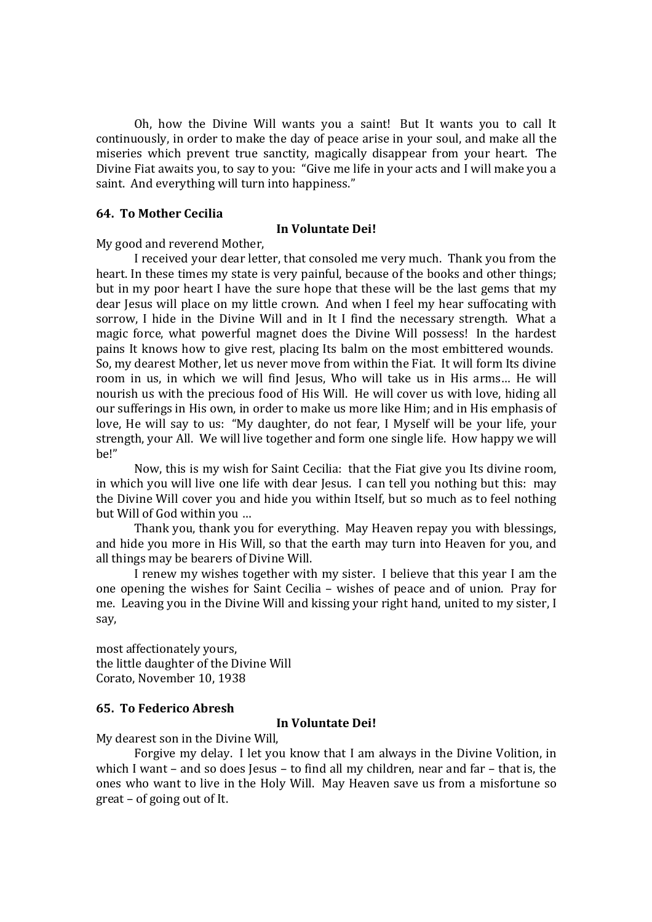Oh, how the Divine Will wants you a saint! But It wants you to call It continuously, in order to make the day of peace arise in your soul, and make all the miseries which prevent true sanctity, magically disappear from your heart. The Divine Fiat awaits you, to say to you: "Give me life in your acts and I will make you a saint. And everything will turn into happiness."

#### **64. To Mother Cecilia**

#### **In Voluntate Dei!**

My good and reverend Mother,

I received your dear letter, that consoled me very much. Thank you from the heart. In these times my state is very painful, because of the books and other things; but in my poor heart I have the sure hope that these will be the last gems that my dear Jesus will place on my little crown. And when I feel my hear suffocating with sorrow, I hide in the Divine Will and in It I find the necessary strength. What a magic force, what powerful magnet does the Divine Will possess! In the hardest pains It knows how to give rest, placing Its balm on the most embittered wounds. So, my dearest Mother, let us never move from within the Fiat. It will form Its divine room in us, in which we will find Jesus. Who will take us in His arms... He will nourish us with the precious food of His Will. He will cover us with love, hiding all our sufferings in His own, in order to make us more like Him; and in His emphasis of love, He will say to us: "My daughter, do not fear, I Myself will be your life, your strength, your All. We will live together and form one single life. How happy we will be!"

Now, this is my wish for Saint Cecilia: that the Fiat give you Its divine room, in which you will live one life with dear Jesus. I can tell you nothing but this: may the Divine Will cover you and hide you within Itself, but so much as to feel nothing but Will of God within you …

Thank you, thank you for everything. May Heaven repay you with blessings, and hide you more in His Will, so that the earth may turn into Heaven for you, and all things may be bearers of Divine Will.

I renew my wishes together with my sister. I believe that this year I am the one opening the wishes for Saint Cecilia – wishes of peace and of union. Pray for me. Leaving you in the Divine Will and kissing your right hand, united to my sister, I say,

most affectionately yours, the little daughter of the Divine Will Corato, November 10, 1938

## **65. To Federico Abresh**

#### **In Voluntate Dei!**

My dearest son in the Divine Will,

Forgive my delay. I let you know that I am always in the Divine Volition, in which I want – and so does Jesus – to find all my children, near and far – that is, the ones who want to live in the Holy Will. May Heaven save us from a misfortune so great – of going out of It.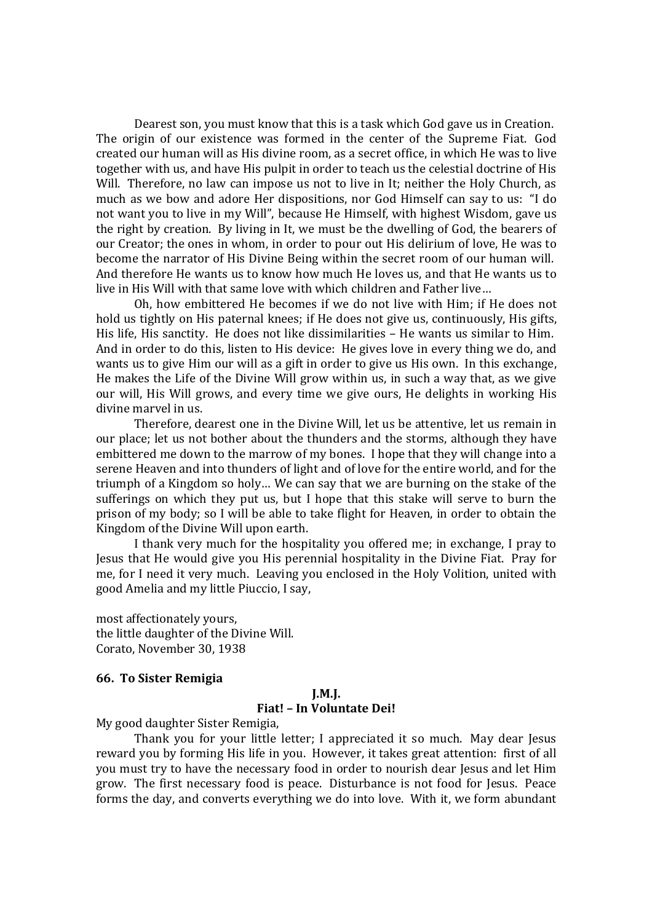Dearest son, you must know that this is a task which God gave us in Creation. The origin of our existence was formed in the center of the Supreme Fiat. God created our human will as His divine room, as a secret office, in which He was to live together with us, and have His pulpit in order to teach us the celestial doctrine of His Will. Therefore, no law can impose us not to live in It; neither the Holy Church, as much as we bow and adore Her dispositions, nor God Himself can say to us: "I do not want you to live in my Will", because He Himself, with highest Wisdom, gave us the right by creation. By living in It, we must be the dwelling of God, the bearers of our Creator; the ones in whom, in order to pour out His delirium of love, He was to become the narrator of His Divine Being within the secret room of our human will. And therefore He wants us to know how much He loves us, and that He wants us to live in His Will with that same love with which children and Father live…

Oh, how embittered He becomes if we do not live with Him; if He does not hold us tightly on His paternal knees; if He does not give us, continuously, His gifts, His life, His sanctity. He does not like dissimilarities – He wants us similar to Him. And in order to do this, listen to His device: He gives love in every thing we do, and wants us to give Him our will as a gift in order to give us His own. In this exchange, He makes the Life of the Divine Will grow within us, in such a way that, as we give our will, His Will grows, and every time we give ours, He delights in working His divine marvel in us.

Therefore, dearest one in the Divine Will, let us be attentive, let us remain in our place; let us not bother about the thunders and the storms, although they have embittered me down to the marrow of my bones. I hope that they will change into a serene Heaven and into thunders of light and of love for the entire world, and for the triumph of a Kingdom so holy… We can say that we are burning on the stake of the sufferings on which they put us, but I hope that this stake will serve to burn the prison of my body; so I will be able to take flight for Heaven, in order to obtain the Kingdom of the Divine Will upon earth.

I thank very much for the hospitality you offered me; in exchange, I pray to Jesus that He would give you His perennial hospitality in the Divine Fiat. Pray for me, for I need it very much. Leaving you enclosed in the Holy Volition, united with good Amelia and my little Piuccio, I say,

most affectionately yours, the little daughter of the Divine Will. Corato, November 30, 1938

#### **66. To Sister Remigia**

# **J.M.J. Fiat! – In Voluntate Dei!**

My good daughter Sister Remigia,

Thank you for your little letter; I appreciated it so much. May dear Jesus reward you by forming His life in you. However, it takes great attention: first of all you must try to have the necessary food in order to nourish dear Jesus and let Him grow. The first necessary food is peace. Disturbance is not food for Jesus. Peace forms the day, and converts everything we do into love. With it, we form abundant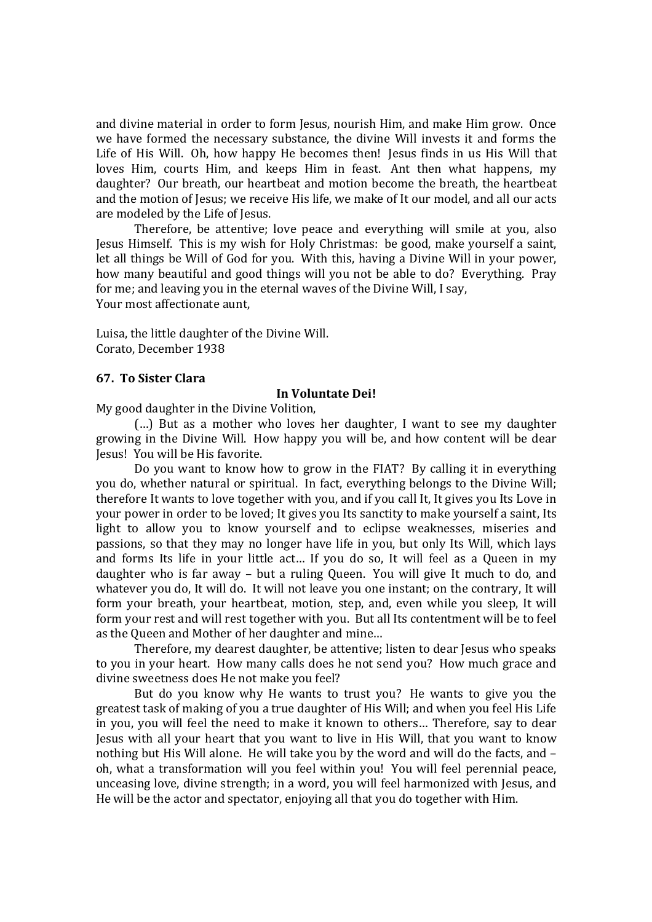and divine material in order to form Jesus, nourish Him, and make Him grow. Once we have formed the necessary substance, the divine Will invests it and forms the Life of His Will. Oh, how happy He becomes then! Jesus finds in us His Will that loves Him, courts Him, and keeps Him in feast. Ant then what happens, my daughter? Our breath, our heartbeat and motion become the breath, the heartbeat and the motion of Jesus; we receive His life, we make of It our model, and all our acts are modeled by the Life of Jesus.

Therefore, be attentive; love peace and everything will smile at you, also Jesus Himself. This is my wish for Holy Christmas: be good, make yourself a saint, let all things be Will of God for you. With this, having a Divine Will in your power, how many beautiful and good things will you not be able to do? Everything. Pray for me; and leaving you in the eternal waves of the Divine Will, I say, Your most affectionate aunt,

Luisa, the little daughter of the Divine Will. Corato, December 1938

## **67. To Sister Clara**

#### **In Voluntate Dei!**

My good daughter in the Divine Volition,

(…) But as a mother who loves her daughter, I want to see my daughter growing in the Divine Will. How happy you will be, and how content will be dear Jesus! You will be His favorite.

Do you want to know how to grow in the FIAT? By calling it in everything you do, whether natural or spiritual. In fact, everything belongs to the Divine Will; therefore It wants to love together with you, and if you call It, It gives you Its Love in your power in order to be loved; It gives you Its sanctity to make yourself a saint, Its light to allow you to know yourself and to eclipse weaknesses, miseries and passions, so that they may no longer have life in you, but only Its Will, which lays and forms Its life in your little act… If you do so, It will feel as a Queen in my daughter who is far away – but a ruling Queen. You will give It much to do, and whatever you do, It will do. It will not leave you one instant; on the contrary, It will form your breath, your heartbeat, motion, step, and, even while you sleep, It will form your rest and will rest together with you. But all Its contentment will be to feel as the Queen and Mother of her daughter and mine…

Therefore, my dearest daughter, be attentive; listen to dear Jesus who speaks to you in your heart. How many calls does he not send you? How much grace and divine sweetness does He not make you feel?

But do you know why He wants to trust you? He wants to give you the greatest task of making of you a true daughter of His Will; and when you feel His Life in you, you will feel the need to make it known to others… Therefore, say to dear Jesus with all your heart that you want to live in His Will, that you want to know nothing but His Will alone. He will take you by the word and will do the facts, and – oh, what a transformation will you feel within you! You will feel perennial peace, unceasing love, divine strength; in a word, you will feel harmonized with Jesus, and He will be the actor and spectator, enjoying all that you do together with Him.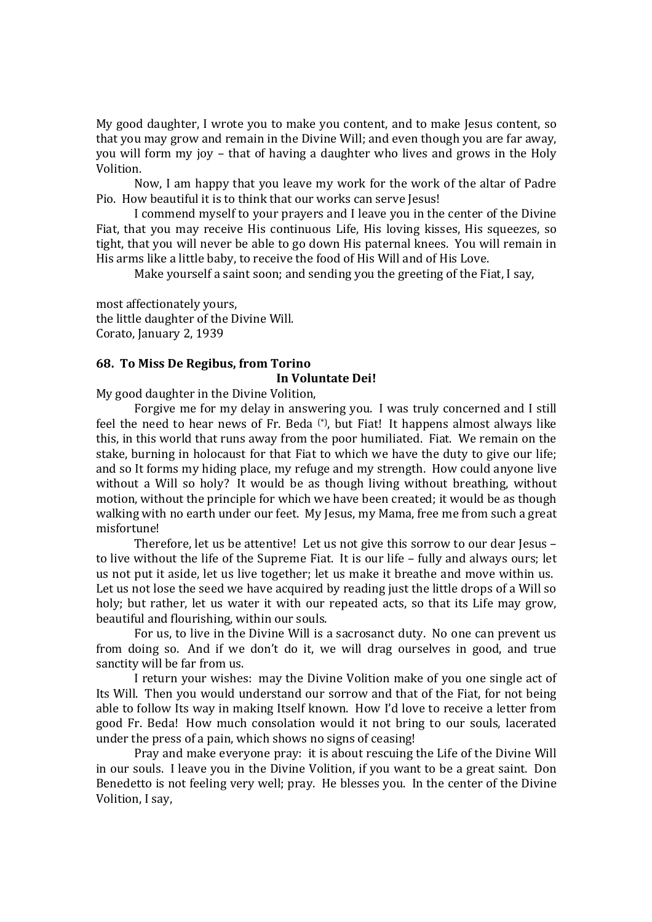My good daughter, I wrote you to make you content, and to make Jesus content, so that you may grow and remain in the Divine Will; and even though you are far away, you will form my joy – that of having a daughter who lives and grows in the Holy Volition.

Now, I am happy that you leave my work for the work of the altar of Padre Pio. How beautiful it is to think that our works can serve Jesus!

I commend myself to your prayers and I leave you in the center of the Divine Fiat, that you may receive His continuous Life, His loving kisses, His squeezes, so tight, that you will never be able to go down His paternal knees. You will remain in His arms like a little baby, to receive the food of His Will and of His Love.

Make yourself a saint soon; and sending you the greeting of the Fiat, I say,

most affectionately yours, the little daughter of the Divine Will. Corato, January 2, 1939

## **68. To Miss De Regibus, from Torino**

#### **In Voluntate Dei!**

My good daughter in the Divine Volition,

Forgive me for my delay in answering you. I was truly concerned and I still feel the need to hear news of Fr. Beda (\*), but Fiat! It happens almost always like this, in this world that runs away from the poor humiliated. Fiat. We remain on the stake, burning in holocaust for that Fiat to which we have the duty to give our life; and so It forms my hiding place, my refuge and my strength. How could anyone live without a Will so holy? It would be as though living without breathing, without motion, without the principle for which we have been created; it would be as though walking with no earth under our feet. My Jesus, my Mama, free me from such a great misfortune!

Therefore, let us be attentive! Let us not give this sorrow to our dear Jesus – to live without the life of the Supreme Fiat. It is our life – fully and always ours; let us not put it aside, let us live together; let us make it breathe and move within us. Let us not lose the seed we have acquired by reading just the little drops of a Will so holy; but rather, let us water it with our repeated acts, so that its Life may grow, beautiful and flourishing, within our souls.

For us, to live in the Divine Will is a sacrosanct duty. No one can prevent us from doing so. And if we don't do it, we will drag ourselves in good, and true sanctity will be far from us.

I return your wishes: may the Divine Volition make of you one single act of Its Will. Then you would understand our sorrow and that of the Fiat, for not being able to follow Its way in making Itself known. How I'd love to receive a letter from good Fr. Beda! How much consolation would it not bring to our souls, lacerated under the press of a pain, which shows no signs of ceasing!

Pray and make everyone pray: it is about rescuing the Life of the Divine Will in our souls. I leave you in the Divine Volition, if you want to be a great saint. Don Benedetto is not feeling very well; pray. He blesses you. In the center of the Divine Volition, I say,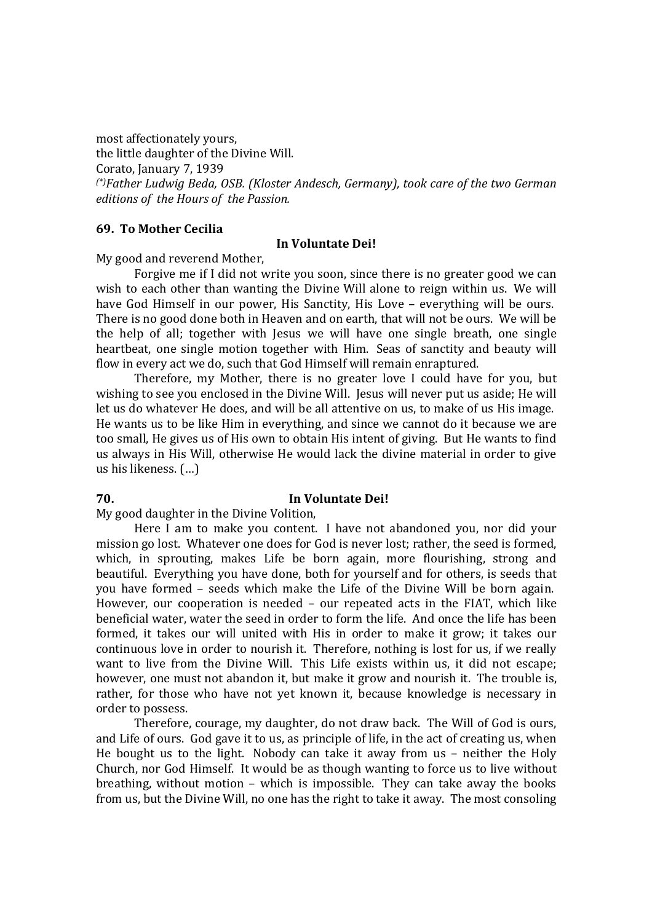most affectionately yours, the little daughter of the Divine Will. Corato, January 7, 1939 *(\*)Father Ludwig Beda, OSB. (Kloster Andesch, Germany), took care of the two German editions of the Hours of the Passion.*

#### **69. To Mother Cecilia**

#### **In Voluntate Dei!**

My good and reverend Mother,

Forgive me if I did not write you soon, since there is no greater good we can wish to each other than wanting the Divine Will alone to reign within us. We will have God Himself in our power, His Sanctity, His Love – everything will be ours. There is no good done both in Heaven and on earth, that will not be ours. We will be the help of all; together with Jesus we will have one single breath, one single heartbeat, one single motion together with Him. Seas of sanctity and beauty will flow in every act we do, such that God Himself will remain enraptured.

Therefore, my Mother, there is no greater love I could have for you, but wishing to see you enclosed in the Divine Will. Jesus will never put us aside; He will let us do whatever He does, and will be all attentive on us, to make of us His image. He wants us to be like Him in everything, and since we cannot do it because we are too small, He gives us of His own to obtain His intent of giving. But He wants to find us always in His Will, otherwise He would lack the divine material in order to give us his likeness. (…)

## **70. In Voluntate Dei!**

My good daughter in the Divine Volition,

Here I am to make you content. I have not abandoned you, nor did your mission go lost. Whatever one does for God is never lost; rather, the seed is formed, which, in sprouting, makes Life be born again, more flourishing, strong and beautiful. Everything you have done, both for yourself and for others, is seeds that you have formed – seeds which make the Life of the Divine Will be born again. However, our cooperation is needed – our repeated acts in the FIAT, which like beneficial water, water the seed in order to form the life. And once the life has been formed, it takes our will united with His in order to make it grow; it takes our continuous love in order to nourish it. Therefore, nothing is lost for us, if we really want to live from the Divine Will. This Life exists within us, it did not escape; however, one must not abandon it, but make it grow and nourish it. The trouble is, rather, for those who have not yet known it, because knowledge is necessary in order to possess.

Therefore, courage, my daughter, do not draw back. The Will of God is ours, and Life of ours. God gave it to us, as principle of life, in the act of creating us, when He bought us to the light. Nobody can take it away from us – neither the Holy Church, nor God Himself. It would be as though wanting to force us to live without breathing, without motion – which is impossible. They can take away the books from us, but the Divine Will, no one has the right to take it away. The most consoling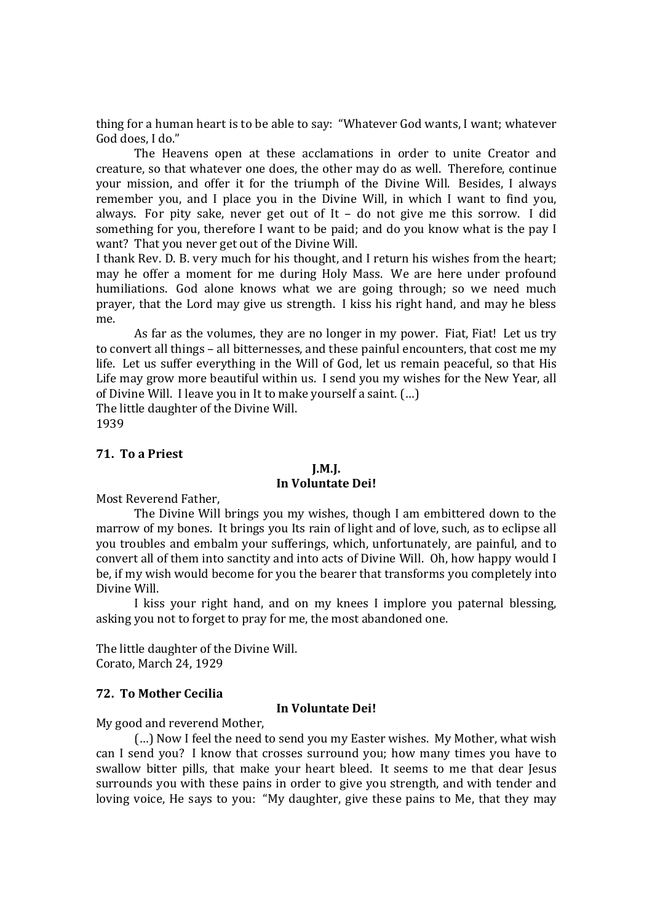thing for a human heart is to be able to say: "Whatever God wants, I want; whatever God does, I do."

The Heavens open at these acclamations in order to unite Creator and creature, so that whatever one does, the other may do as well. Therefore, continue your mission, and offer it for the triumph of the Divine Will. Besides, I always remember you, and I place you in the Divine Will, in which I want to find you, always. For pity sake, never get out of It – do not give me this sorrow. I did something for you, therefore I want to be paid; and do you know what is the pay I want? That you never get out of the Divine Will.

I thank Rev. D. B. very much for his thought, and I return his wishes from the heart; may he offer a moment for me during Holy Mass. We are here under profound humiliations. God alone knows what we are going through; so we need much prayer, that the Lord may give us strength. I kiss his right hand, and may he bless me.

As far as the volumes, they are no longer in my power. Fiat, Fiat! Let us try to convert all things – all bitternesses, and these painful encounters, that cost me my life. Let us suffer everything in the Will of God, let us remain peaceful, so that His Life may grow more beautiful within us. I send you my wishes for the New Year, all of Divine Will. I leave you in It to make yourself a saint. (…) The little daughter of the Divine Will.

1939

# **71. To a Priest**

## **J.M.J.**

## **In Voluntate Dei!**

Most Reverend Father,

The Divine Will brings you my wishes, though I am embittered down to the marrow of my bones. It brings you Its rain of light and of love, such, as to eclipse all you troubles and embalm your sufferings, which, unfortunately, are painful, and to convert all of them into sanctity and into acts of Divine Will. Oh, how happy would I be, if my wish would become for you the bearer that transforms you completely into Divine Will.

I kiss your right hand, and on my knees I implore you paternal blessing, asking you not to forget to pray for me, the most abandoned one.

The little daughter of the Divine Will. Corato, March 24, 1929

## **72. To Mother Cecilia**

#### **In Voluntate Dei!**

My good and reverend Mother,

(…) Now I feel the need to send you my Easter wishes. My Mother, what wish can I send you? I know that crosses surround you; how many times you have to swallow bitter pills, that make your heart bleed. It seems to me that dear Jesus surrounds you with these pains in order to give you strength, and with tender and loving voice, He says to you: "My daughter, give these pains to Me, that they may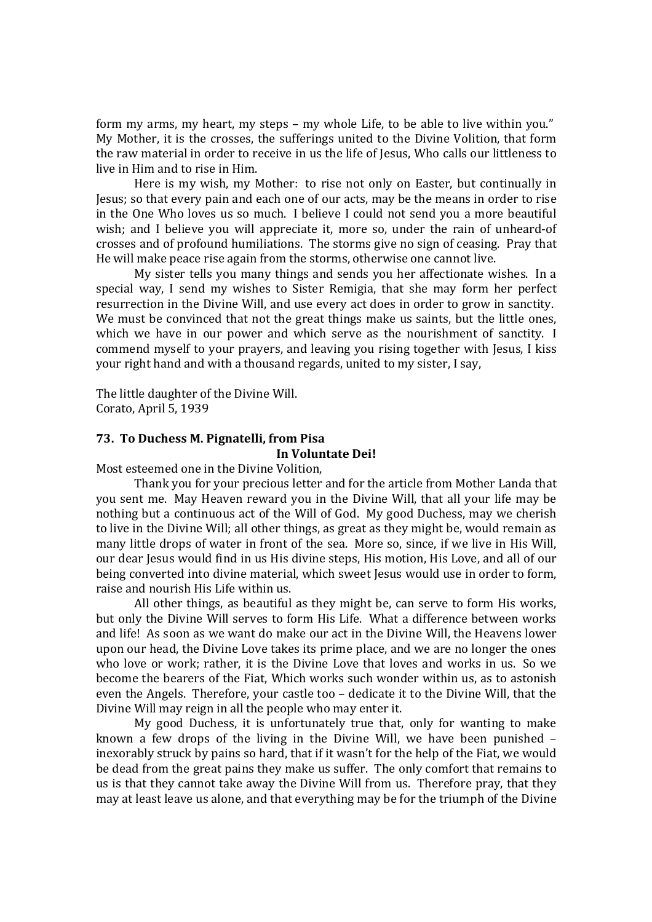form my arms, my heart, my steps – my whole Life, to be able to live within you." My Mother, it is the crosses, the sufferings united to the Divine Volition, that form the raw material in order to receive in us the life of Jesus, Who calls our littleness to live in Him and to rise in Him.

Here is my wish, my Mother: to rise not only on Easter, but continually in Jesus; so that every pain and each one of our acts, may be the means in order to rise in the One Who loves us so much. I believe I could not send you a more beautiful wish; and I believe you will appreciate it, more so, under the rain of unheard-of crosses and of profound humiliations. The storms give no sign of ceasing. Pray that He will make peace rise again from the storms, otherwise one cannot live.

My sister tells you many things and sends you her affectionate wishes. In a special way, I send my wishes to Sister Remigia, that she may form her perfect resurrection in the Divine Will, and use every act does in order to grow in sanctity. We must be convinced that not the great things make us saints, but the little ones, which we have in our power and which serve as the nourishment of sanctity. I commend myself to your prayers, and leaving you rising together with Jesus, I kiss your right hand and with a thousand regards, united to my sister, I say,

The little daughter of the Divine Will. Corato, April 5, 1939

#### **73. To Duchess M. Pignatelli, from Pisa In Voluntate Dei!**

Most esteemed one in the Divine Volition,

Thank you for your precious letter and for the article from Mother Landa that you sent me. May Heaven reward you in the Divine Will, that all your life may be nothing but a continuous act of the Will of God. My good Duchess, may we cherish to live in the Divine Will; all other things, as great as they might be, would remain as many little drops of water in front of the sea. More so, since, if we live in His Will, our dear Jesus would find in us His divine steps, His motion, His Love, and all of our being converted into divine material, which sweet Jesus would use in order to form, raise and nourish His Life within us.

All other things, as beautiful as they might be, can serve to form His works, but only the Divine Will serves to form His Life. What a difference between works and life! As soon as we want do make our act in the Divine Will, the Heavens lower upon our head, the Divine Love takes its prime place, and we are no longer the ones who love or work; rather, it is the Divine Love that loves and works in us. So we become the bearers of the Fiat, Which works such wonder within us, as to astonish even the Angels. Therefore, your castle too – dedicate it to the Divine Will, that the Divine Will may reign in all the people who may enter it.

My good Duchess, it is unfortunately true that, only for wanting to make known a few drops of the living in the Divine Will, we have been punished – inexorably struck by pains so hard, that if it wasn't for the help of the Fiat, we would be dead from the great pains they make us suffer. The only comfort that remains to us is that they cannot take away the Divine Will from us. Therefore pray, that they may at least leave us alone, and that everything may be for the triumph of the Divine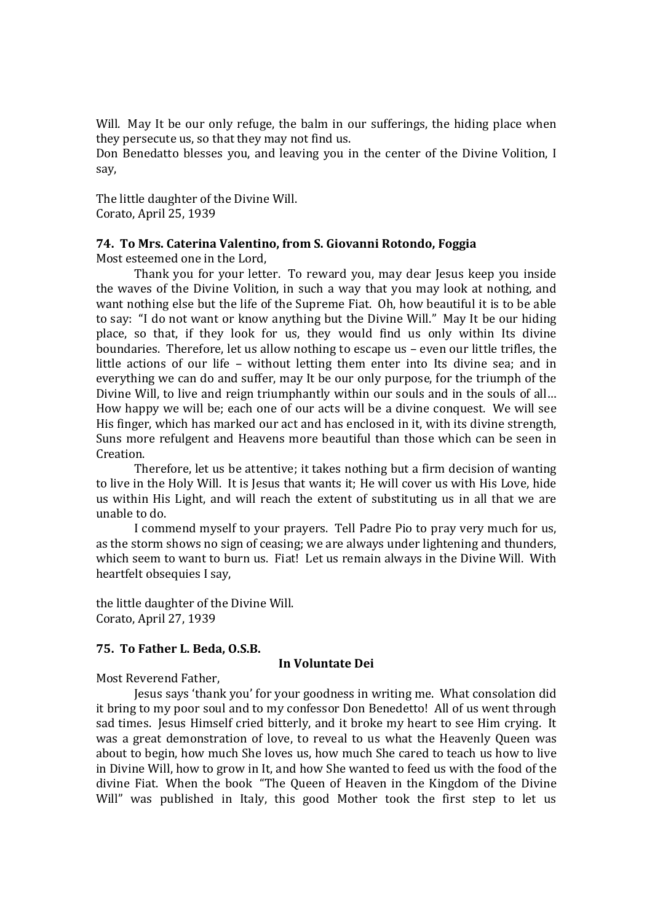Will. May It be our only refuge, the balm in our sufferings, the hiding place when they persecute us, so that they may not find us.

Don Benedatto blesses you, and leaving you in the center of the Divine Volition, I say,

The little daughter of the Divine Will. Corato, April 25, 1939

## **74. To Mrs. Caterina Valentino, from S. Giovanni Rotondo, Foggia**

Most esteemed one in the Lord,

Thank you for your letter. To reward you, may dear Jesus keep you inside the waves of the Divine Volition, in such a way that you may look at nothing, and want nothing else but the life of the Supreme Fiat. Oh, how beautiful it is to be able to say: "I do not want or know anything but the Divine Will." May It be our hiding place, so that, if they look for us, they would find us only within Its divine boundaries. Therefore, let us allow nothing to escape us – even our little trifles, the little actions of our life – without letting them enter into Its divine sea; and in everything we can do and suffer, may It be our only purpose, for the triumph of the Divine Will, to live and reign triumphantly within our souls and in the souls of all… How happy we will be; each one of our acts will be a divine conquest. We will see His finger, which has marked our act and has enclosed in it, with its divine strength, Suns more refulgent and Heavens more beautiful than those which can be seen in Creation.

Therefore, let us be attentive; it takes nothing but a firm decision of wanting to live in the Holy Will. It is Jesus that wants it; He will cover us with His Love, hide us within His Light, and will reach the extent of substituting us in all that we are unable to do.

I commend myself to your prayers. Tell Padre Pio to pray very much for us, as the storm shows no sign of ceasing; we are always under lightening and thunders, which seem to want to burn us. Fiat! Let us remain always in the Divine Will. With heartfelt obsequies I say,

the little daughter of the Divine Will. Corato, April 27, 1939

#### **75. To Father L. Beda, O.S.B.**

#### **In Voluntate Dei**

Most Reverend Father,

Jesus says 'thank you' for your goodness in writing me. What consolation did it bring to my poor soul and to my confessor Don Benedetto! All of us went through sad times. Jesus Himself cried bitterly, and it broke my heart to see Him crying. It was a great demonstration of love, to reveal to us what the Heavenly Queen was about to begin, how much She loves us, how much She cared to teach us how to live in Divine Will, how to grow in It, and how She wanted to feed us with the food of the divine Fiat. When the book "The Queen of Heaven in the Kingdom of the Divine Will" was published in Italy, this good Mother took the first step to let us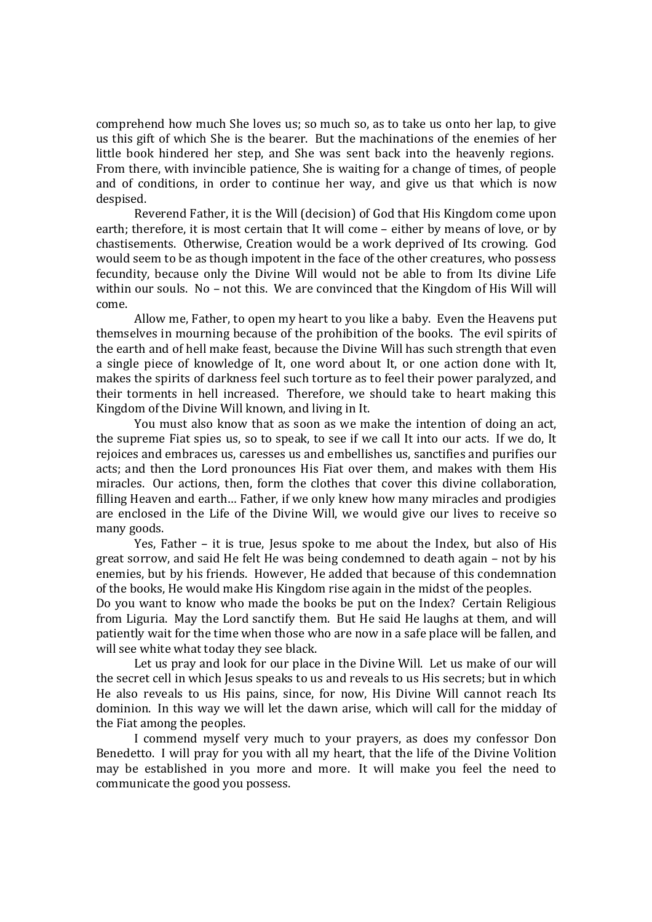comprehend how much She loves us; so much so, as to take us onto her lap, to give us this gift of which She is the bearer. But the machinations of the enemies of her little book hindered her step, and She was sent back into the heavenly regions. From there, with invincible patience, She is waiting for a change of times, of people and of conditions, in order to continue her way, and give us that which is now despised.

Reverend Father, it is the Will (decision) of God that His Kingdom come upon earth; therefore, it is most certain that It will come – either by means of love, or by chastisements. Otherwise, Creation would be a work deprived of Its crowing. God would seem to be as though impotent in the face of the other creatures, who possess fecundity, because only the Divine Will would not be able to from Its divine Life within our souls. No – not this. We are convinced that the Kingdom of His Will will come.

Allow me, Father, to open my heart to you like a baby. Even the Heavens put themselves in mourning because of the prohibition of the books. The evil spirits of the earth and of hell make feast, because the Divine Will has such strength that even a single piece of knowledge of It, one word about It, or one action done with It, makes the spirits of darkness feel such torture as to feel their power paralyzed, and their torments in hell increased. Therefore, we should take to heart making this Kingdom of the Divine Will known, and living in It.

You must also know that as soon as we make the intention of doing an act, the supreme Fiat spies us, so to speak, to see if we call It into our acts. If we do, It rejoices and embraces us, caresses us and embellishes us, sanctifies and purifies our acts; and then the Lord pronounces His Fiat over them, and makes with them His miracles. Our actions, then, form the clothes that cover this divine collaboration, filling Heaven and earth… Father, if we only knew how many miracles and prodigies are enclosed in the Life of the Divine Will, we would give our lives to receive so many goods.

Yes, Father – it is true, Jesus spoke to me about the Index, but also of His great sorrow, and said He felt He was being condemned to death again – not by his enemies, but by his friends. However, He added that because of this condemnation of the books, He would make His Kingdom rise again in the midst of the peoples.

Do you want to know who made the books be put on the Index? Certain Religious from Liguria. May the Lord sanctify them. But He said He laughs at them, and will patiently wait for the time when those who are now in a safe place will be fallen, and will see white what today they see black.

Let us pray and look for our place in the Divine Will. Let us make of our will the secret cell in which Jesus speaks to us and reveals to us His secrets; but in which He also reveals to us His pains, since, for now, His Divine Will cannot reach Its dominion. In this way we will let the dawn arise, which will call for the midday of the Fiat among the peoples.

I commend myself very much to your prayers, as does my confessor Don Benedetto. I will pray for you with all my heart, that the life of the Divine Volition may be established in you more and more. It will make you feel the need to communicate the good you possess.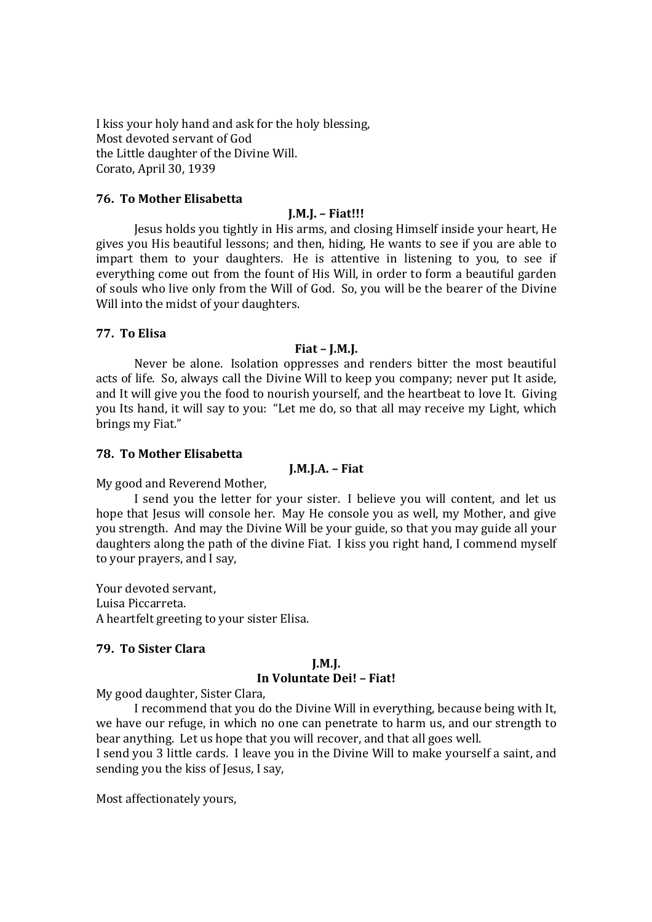I kiss your holy hand and ask for the holy blessing, Most devoted servant of God the Little daughter of the Divine Will. Corato, April 30, 1939

## **76. To Mother Elisabetta**

## **J.M.J. – Fiat!!!**

Jesus holds you tightly in His arms, and closing Himself inside your heart, He gives you His beautiful lessons; and then, hiding, He wants to see if you are able to impart them to your daughters. He is attentive in listening to you, to see if everything come out from the fount of His Will, in order to form a beautiful garden of souls who live only from the Will of God. So, you will be the bearer of the Divine Will into the midst of your daughters.

## **77. To Elisa**

## **Fiat – J.M.J.**

Never be alone. Isolation oppresses and renders bitter the most beautiful acts of life. So, always call the Divine Will to keep you company; never put It aside, and It will give you the food to nourish yourself, and the heartbeat to love It. Giving you Its hand, it will say to you: "Let me do, so that all may receive my Light, which brings my Fiat."

## **78. To Mother Elisabetta**

## **J.M.J.A. – Fiat**

My good and Reverend Mother,

I send you the letter for your sister. I believe you will content, and let us hope that Jesus will console her. May He console you as well, my Mother, and give you strength. And may the Divine Will be your guide, so that you may guide all your daughters along the path of the divine Fiat. I kiss you right hand, I commend myself to your prayers, and I say,

Your devoted servant, Luisa Piccarreta. A heartfelt greeting to your sister Elisa.

## **79. To Sister Clara**

#### **J.M.J. In Voluntate Dei! – Fiat!**

My good daughter, Sister Clara,

I recommend that you do the Divine Will in everything, because being with It, we have our refuge, in which no one can penetrate to harm us, and our strength to bear anything. Let us hope that you will recover, and that all goes well.

I send you 3 little cards. I leave you in the Divine Will to make yourself a saint, and sending you the kiss of Jesus, I say,

Most affectionately yours,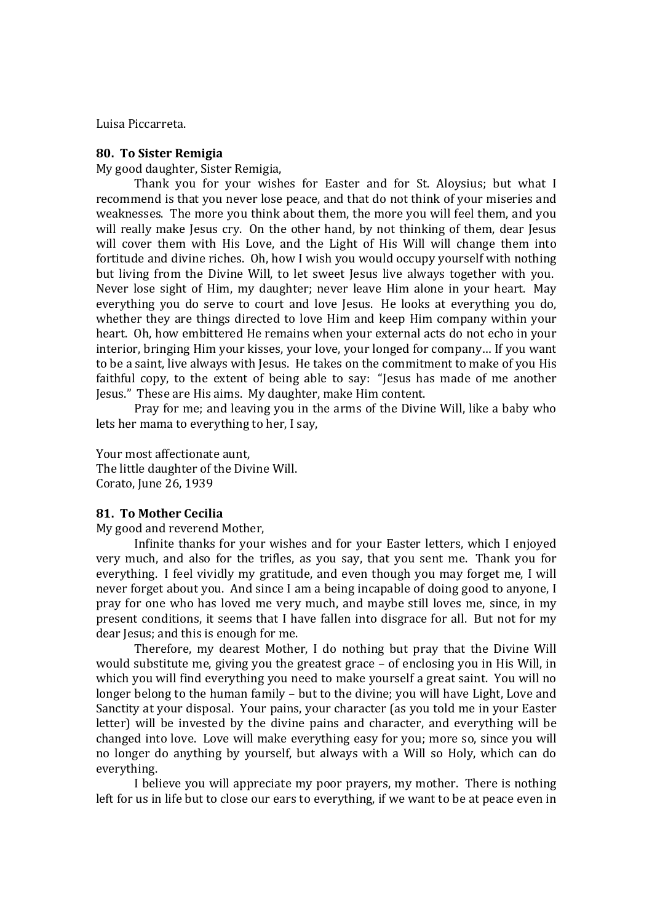Luisa Piccarreta.

#### **80. To Sister Remigia**

My good daughter, Sister Remigia,

Thank you for your wishes for Easter and for St. Aloysius; but what I recommend is that you never lose peace, and that do not think of your miseries and weaknesses. The more you think about them, the more you will feel them, and you will really make Jesus cry. On the other hand, by not thinking of them, dear Jesus will cover them with His Love, and the Light of His Will will change them into fortitude and divine riches. Oh, how I wish you would occupy yourself with nothing but living from the Divine Will, to let sweet Jesus live always together with you. Never lose sight of Him, my daughter; never leave Him alone in your heart. May everything you do serve to court and love Jesus. He looks at everything you do, whether they are things directed to love Him and keep Him company within your heart. Oh, how embittered He remains when your external acts do not echo in your interior, bringing Him your kisses, your love, your longed for company… If you want to be a saint, live always with Jesus. He takes on the commitment to make of you His faithful copy, to the extent of being able to say: "Jesus has made of me another Jesus." These are His aims. My daughter, make Him content.

Pray for me; and leaving you in the arms of the Divine Will, like a baby who lets her mama to everything to her, I say,

Your most affectionate aunt, The little daughter of the Divine Will. Corato, June 26, 1939

## **81. To Mother Cecilia**

My good and reverend Mother,

Infinite thanks for your wishes and for your Easter letters, which I enjoyed very much, and also for the trifles, as you say, that you sent me. Thank you for everything. I feel vividly my gratitude, and even though you may forget me, I will never forget about you. And since I am a being incapable of doing good to anyone, I pray for one who has loved me very much, and maybe still loves me, since, in my present conditions, it seems that I have fallen into disgrace for all. But not for my dear Jesus; and this is enough for me.

Therefore, my dearest Mother, I do nothing but pray that the Divine Will would substitute me, giving you the greatest grace – of enclosing you in His Will, in which you will find everything you need to make yourself a great saint. You will no longer belong to the human family – but to the divine; you will have Light, Love and Sanctity at your disposal. Your pains, your character (as you told me in your Easter letter) will be invested by the divine pains and character, and everything will be changed into love. Love will make everything easy for you; more so, since you will no longer do anything by yourself, but always with a Will so Holy, which can do everything.

I believe you will appreciate my poor prayers, my mother. There is nothing left for us in life but to close our ears to everything, if we want to be at peace even in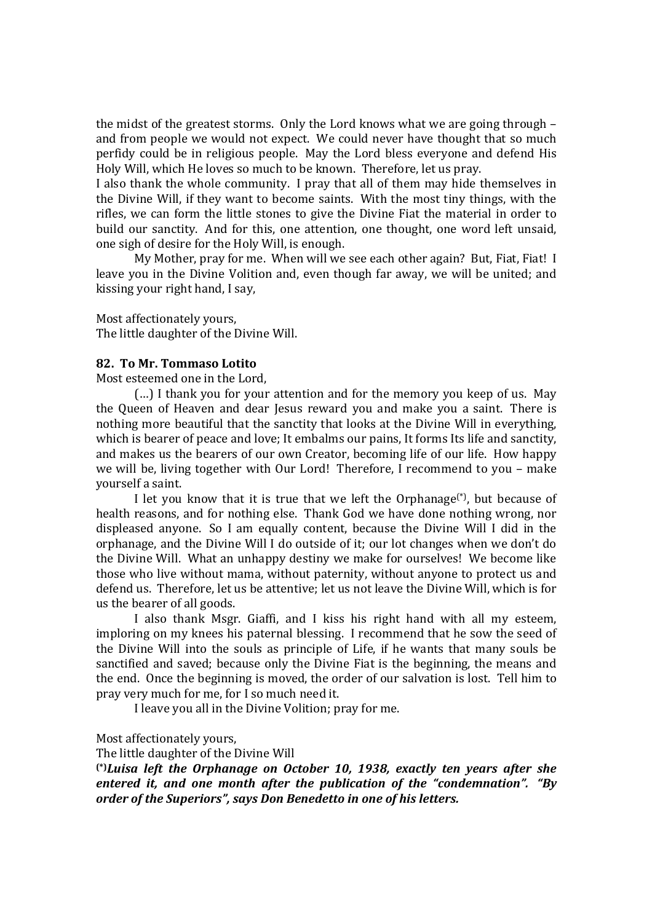the midst of the greatest storms. Only the Lord knows what we are going through – and from people we would not expect. We could never have thought that so much perfidy could be in religious people. May the Lord bless everyone and defend His Holy Will, which He loves so much to be known. Therefore, let us pray.

I also thank the whole community. I pray that all of them may hide themselves in the Divine Will, if they want to become saints. With the most tiny things, with the rifles, we can form the little stones to give the Divine Fiat the material in order to build our sanctity. And for this, one attention, one thought, one word left unsaid, one sigh of desire for the Holy Will, is enough.

My Mother, pray for me. When will we see each other again? But, Fiat, Fiat! I leave you in the Divine Volition and, even though far away, we will be united; and kissing your right hand, I say,

Most affectionately yours, The little daughter of the Divine Will.

#### **82. To Mr. Tommaso Lotito**

Most esteemed one in the Lord,

(…) I thank you for your attention and for the memory you keep of us. May the Queen of Heaven and dear Jesus reward you and make you a saint. There is nothing more beautiful that the sanctity that looks at the Divine Will in everything, which is bearer of peace and love; It embalms our pains, It forms Its life and sanctity, and makes us the bearers of our own Creator, becoming life of our life. How happy we will be, living together with Our Lord! Therefore, I recommend to you – make yourself a saint.

I let you know that it is true that we left the Orphanage<sup>(\*)</sup>, but because of health reasons, and for nothing else. Thank God we have done nothing wrong, nor displeased anyone. So I am equally content, because the Divine Will I did in the orphanage, and the Divine Will I do outside of it; our lot changes when we don't do the Divine Will. What an unhappy destiny we make for ourselves! We become like those who live without mama, without paternity, without anyone to protect us and defend us. Therefore, let us be attentive; let us not leave the Divine Will, which is for us the bearer of all goods.

I also thank Msgr. Giaffi, and I kiss his right hand with all my esteem, imploring on my knees his paternal blessing. I recommend that he sow the seed of the Divine Will into the souls as principle of Life, if he wants that many souls be sanctified and saved; because only the Divine Fiat is the beginning, the means and the end. Once the beginning is moved, the order of our salvation is lost. Tell him to pray very much for me, for I so much need it.

I leave you all in the Divine Volition; pray for me.

#### Most affectionately yours,

The little daughter of the Divine Will

**(\*)***Luisa left the Orphanage on October 10, 1938, exactly ten years after she entered it, and one month after the publication of the "condemnation". "By order of the Superiors", says Don Benedetto in one of his letters.*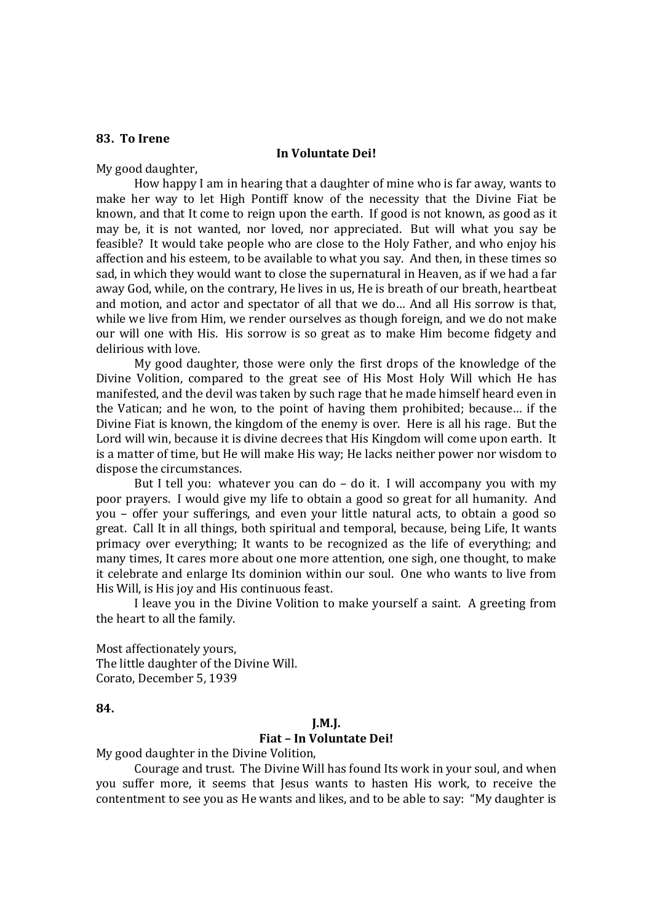## **83. To Irene**

#### **In Voluntate Dei!**

My good daughter,

How happy I am in hearing that a daughter of mine who is far away, wants to make her way to let High Pontiff know of the necessity that the Divine Fiat be known, and that It come to reign upon the earth. If good is not known, as good as it may be, it is not wanted, nor loved, nor appreciated. But will what you say be feasible? It would take people who are close to the Holy Father, and who enjoy his affection and his esteem, to be available to what you say. And then, in these times so sad, in which they would want to close the supernatural in Heaven, as if we had a far away God, while, on the contrary, He lives in us, He is breath of our breath, heartbeat and motion, and actor and spectator of all that we do… And all His sorrow is that, while we live from Him, we render ourselves as though foreign, and we do not make our will one with His. His sorrow is so great as to make Him become fidgety and delirious with love.

My good daughter, those were only the first drops of the knowledge of the Divine Volition, compared to the great see of His Most Holy Will which He has manifested, and the devil was taken by such rage that he made himself heard even in the Vatican; and he won, to the point of having them prohibited; because… if the Divine Fiat is known, the kingdom of the enemy is over. Here is all his rage. But the Lord will win, because it is divine decrees that His Kingdom will come upon earth. It is a matter of time, but He will make His way; He lacks neither power nor wisdom to dispose the circumstances.

But I tell you: whatever you can do – do it. I will accompany you with my poor prayers. I would give my life to obtain a good so great for all humanity. And you – offer your sufferings, and even your little natural acts, to obtain a good so great. Call It in all things, both spiritual and temporal, because, being Life, It wants primacy over everything; It wants to be recognized as the life of everything; and many times, It cares more about one more attention, one sigh, one thought, to make it celebrate and enlarge Its dominion within our soul. One who wants to live from His Will, is His joy and His continuous feast.

I leave you in the Divine Volition to make yourself a saint. A greeting from the heart to all the family.

Most affectionately yours, The little daughter of the Divine Will. Corato, December 5, 1939

**84.** 

#### **J.M.J.**

## **Fiat – In Voluntate Dei!**

My good daughter in the Divine Volition,

Courage and trust. The Divine Will has found Its work in your soul, and when you suffer more, it seems that Jesus wants to hasten His work, to receive the contentment to see you as He wants and likes, and to be able to say: "My daughter is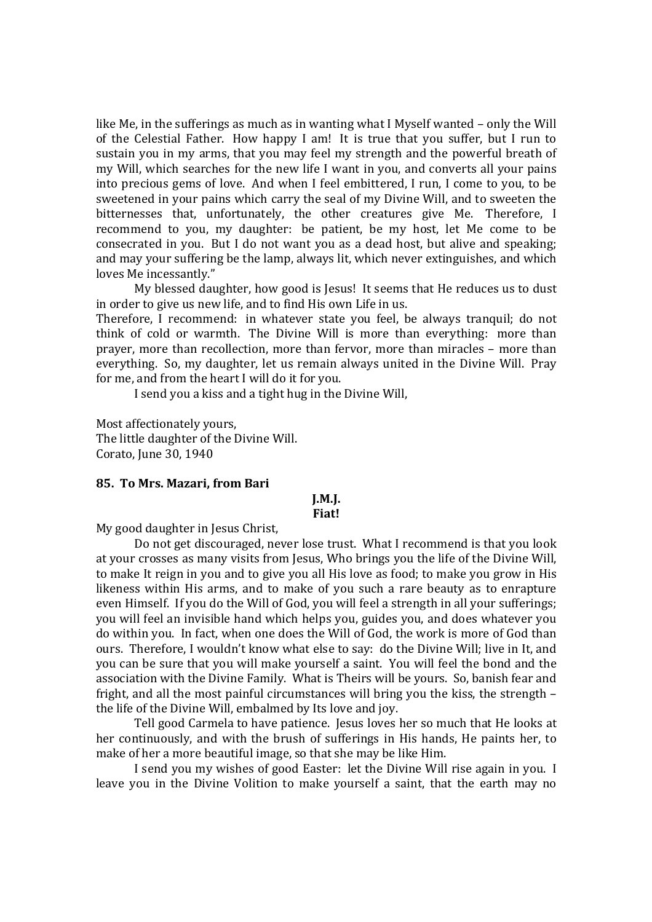like Me, in the sufferings as much as in wanting what I Myself wanted – only the Will of the Celestial Father. How happy I am! It is true that you suffer, but I run to sustain you in my arms, that you may feel my strength and the powerful breath of my Will, which searches for the new life I want in you, and converts all your pains into precious gems of love. And when I feel embittered, I run, I come to you, to be sweetened in your pains which carry the seal of my Divine Will, and to sweeten the bitternesses that, unfortunately, the other creatures give Me. Therefore, I recommend to you, my daughter: be patient, be my host, let Me come to be consecrated in you. But I do not want you as a dead host, but alive and speaking; and may your suffering be the lamp, always lit, which never extinguishes, and which loves Me incessantly."

My blessed daughter, how good is Jesus! It seems that He reduces us to dust in order to give us new life, and to find His own Life in us.

Therefore, I recommend: in whatever state you feel, be always tranquil; do not think of cold or warmth. The Divine Will is more than everything: more than prayer, more than recollection, more than fervor, more than miracles – more than everything. So, my daughter, let us remain always united in the Divine Will. Pray for me, and from the heart I will do it for you.

I send you a kiss and a tight hug in the Divine Will,

Most affectionately yours, The little daughter of the Divine Will. Corato, June 30, 1940

#### **85. To Mrs. Mazari, from Bari**

# **J.M.J.**

## **Fiat!**

My good daughter in Jesus Christ,

Do not get discouraged, never lose trust. What I recommend is that you look at your crosses as many visits from Jesus, Who brings you the life of the Divine Will, to make It reign in you and to give you all His love as food; to make you grow in His likeness within His arms, and to make of you such a rare beauty as to enrapture even Himself. If you do the Will of God, you will feel a strength in all your sufferings; you will feel an invisible hand which helps you, guides you, and does whatever you do within you. In fact, when one does the Will of God, the work is more of God than ours. Therefore, I wouldn't know what else to say: do the Divine Will; live in It, and you can be sure that you will make yourself a saint. You will feel the bond and the association with the Divine Family. What is Theirs will be yours. So, banish fear and fright, and all the most painful circumstances will bring you the kiss, the strength – the life of the Divine Will, embalmed by Its love and joy.

Tell good Carmela to have patience. Jesus loves her so much that He looks at her continuously, and with the brush of sufferings in His hands, He paints her, to make of her a more beautiful image, so that she may be like Him.

I send you my wishes of good Easter: let the Divine Will rise again in you. I leave you in the Divine Volition to make yourself a saint, that the earth may no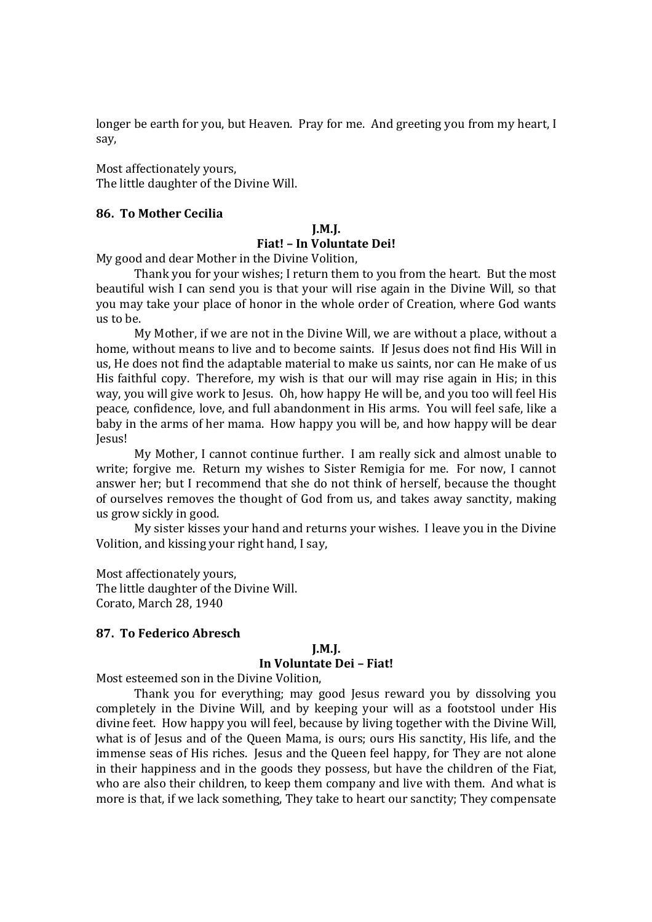longer be earth for you, but Heaven. Pray for me. And greeting you from my heart, I say,

Most affectionately yours, The little daughter of the Divine Will.

#### **86. To Mother Cecilia**

#### **J.M.J. Fiat! – In Voluntate Dei!**

My good and dear Mother in the Divine Volition,

Thank you for your wishes; I return them to you from the heart. But the most beautiful wish I can send you is that your will rise again in the Divine Will, so that you may take your place of honor in the whole order of Creation, where God wants us to be.

My Mother, if we are not in the Divine Will, we are without a place, without a home, without means to live and to become saints. If Jesus does not find His Will in us, He does not find the adaptable material to make us saints, nor can He make of us His faithful copy. Therefore, my wish is that our will may rise again in His; in this way, you will give work to Jesus. Oh, how happy He will be, and you too will feel His peace, confidence, love, and full abandonment in His arms. You will feel safe, like a baby in the arms of her mama. How happy you will be, and how happy will be dear Jesus!

My Mother, I cannot continue further. I am really sick and almost unable to write; forgive me. Return my wishes to Sister Remigia for me. For now, I cannot answer her; but I recommend that she do not think of herself, because the thought of ourselves removes the thought of God from us, and takes away sanctity, making us grow sickly in good.

My sister kisses your hand and returns your wishes. I leave you in the Divine Volition, and kissing your right hand, I say,

Most affectionately yours, The little daughter of the Divine Will. Corato, March 28, 1940

#### **87. To Federico Abresch**

#### **J.M.J.**

#### **In Voluntate Dei – Fiat!**

Most esteemed son in the Divine Volition,

Thank you for everything; may good Jesus reward you by dissolving you completely in the Divine Will, and by keeping your will as a footstool under His divine feet. How happy you will feel, because by living together with the Divine Will, what is of Jesus and of the Queen Mama, is ours; ours His sanctity, His life, and the immense seas of His riches. Jesus and the Queen feel happy, for They are not alone in their happiness and in the goods they possess, but have the children of the Fiat, who are also their children, to keep them company and live with them. And what is more is that, if we lack something, They take to heart our sanctity; They compensate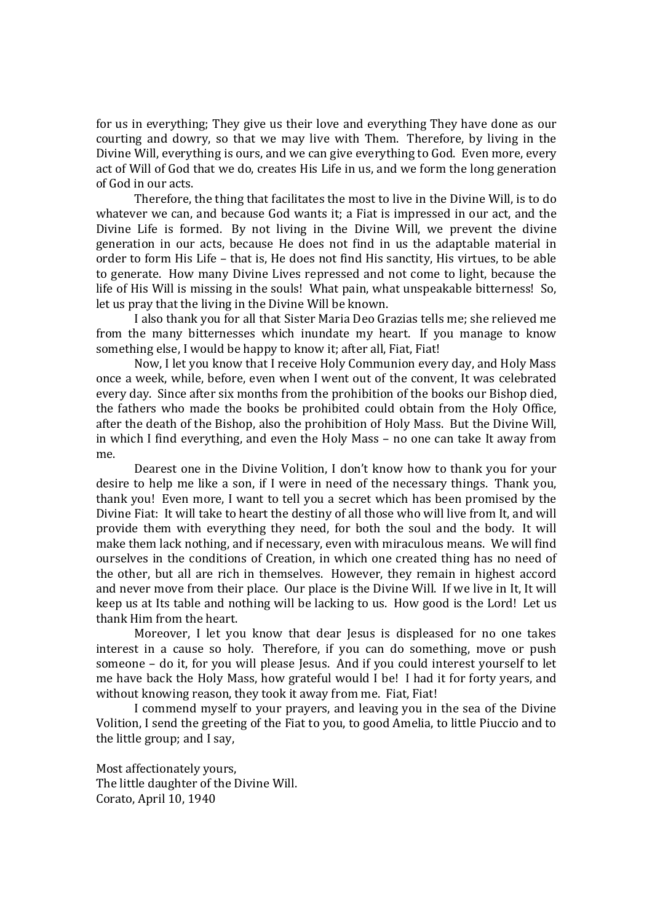for us in everything; They give us their love and everything They have done as our courting and dowry, so that we may live with Them. Therefore, by living in the Divine Will, everything is ours, and we can give everything to God. Even more, every act of Will of God that we do, creates His Life in us, and we form the long generation of God in our acts.

Therefore, the thing that facilitates the most to live in the Divine Will, is to do whatever we can, and because God wants it; a Fiat is impressed in our act, and the Divine Life is formed. By not living in the Divine Will, we prevent the divine generation in our acts, because He does not find in us the adaptable material in order to form His Life – that is, He does not find His sanctity, His virtues, to be able to generate. How many Divine Lives repressed and not come to light, because the life of His Will is missing in the souls! What pain, what unspeakable bitterness! So, let us pray that the living in the Divine Will be known.

I also thank you for all that Sister Maria Deo Grazias tells me; she relieved me from the many bitternesses which inundate my heart. If you manage to know something else, I would be happy to know it; after all, Fiat, Fiat!

Now, I let you know that I receive Holy Communion every day, and Holy Mass once a week, while, before, even when I went out of the convent, It was celebrated every day. Since after six months from the prohibition of the books our Bishop died, the fathers who made the books be prohibited could obtain from the Holy Office, after the death of the Bishop, also the prohibition of Holy Mass. But the Divine Will, in which I find everything, and even the Holy Mass – no one can take It away from me.

Dearest one in the Divine Volition, I don't know how to thank you for your desire to help me like a son, if I were in need of the necessary things. Thank you, thank you! Even more, I want to tell you a secret which has been promised by the Divine Fiat: It will take to heart the destiny of all those who will live from It, and will provide them with everything they need, for both the soul and the body. It will make them lack nothing, and if necessary, even with miraculous means. We will find ourselves in the conditions of Creation, in which one created thing has no need of the other, but all are rich in themselves. However, they remain in highest accord and never move from their place. Our place is the Divine Will. If we live in It, It will keep us at Its table and nothing will be lacking to us. How good is the Lord! Let us thank Him from the heart.

Moreover, I let you know that dear Jesus is displeased for no one takes interest in a cause so holy. Therefore, if you can do something, move or push someone – do it, for you will please Jesus. And if you could interest yourself to let me have back the Holy Mass, how grateful would I be! I had it for forty years, and without knowing reason, they took it away from me. Fiat, Fiat!

I commend myself to your prayers, and leaving you in the sea of the Divine Volition, I send the greeting of the Fiat to you, to good Amelia, to little Piuccio and to the little group; and I say,

Most affectionately yours, The little daughter of the Divine Will. Corato, April 10, 1940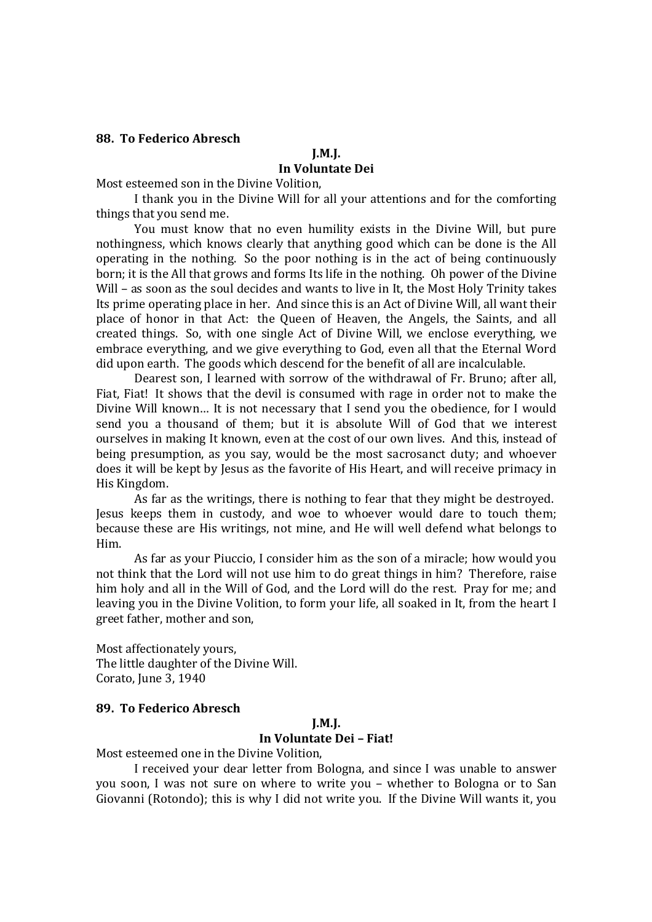#### **88. To Federico Abresch**

# **J.M.J.**

## **In Voluntate Dei**

Most esteemed son in the Divine Volition,

I thank you in the Divine Will for all your attentions and for the comforting things that you send me.

You must know that no even humility exists in the Divine Will, but pure nothingness, which knows clearly that anything good which can be done is the All operating in the nothing. So the poor nothing is in the act of being continuously born; it is the All that grows and forms Its life in the nothing. Oh power of the Divine Will – as soon as the soul decides and wants to live in It, the Most Holy Trinity takes Its prime operating place in her. And since this is an Act of Divine Will, all want their place of honor in that Act: the Queen of Heaven, the Angels, the Saints, and all created things. So, with one single Act of Divine Will, we enclose everything, we embrace everything, and we give everything to God, even all that the Eternal Word did upon earth. The goods which descend for the benefit of all are incalculable.

Dearest son, I learned with sorrow of the withdrawal of Fr. Bruno; after all, Fiat, Fiat! It shows that the devil is consumed with rage in order not to make the Divine Will known… It is not necessary that I send you the obedience, for I would send you a thousand of them; but it is absolute Will of God that we interest ourselves in making It known, even at the cost of our own lives. And this, instead of being presumption, as you say, would be the most sacrosanct duty; and whoever does it will be kept by Jesus as the favorite of His Heart, and will receive primacy in His Kingdom.

As far as the writings, there is nothing to fear that they might be destroyed. Jesus keeps them in custody, and woe to whoever would dare to touch them; because these are His writings, not mine, and He will well defend what belongs to Him.

As far as your Piuccio, I consider him as the son of a miracle; how would you not think that the Lord will not use him to do great things in him? Therefore, raise him holy and all in the Will of God, and the Lord will do the rest. Pray for me; and leaving you in the Divine Volition, to form your life, all soaked in It, from the heart I greet father, mother and son,

Most affectionately yours, The little daughter of the Divine Will. Corato, June 3, 1940

## **89. To Federico Abresch**

#### **J.M.J.**

## **In Voluntate Dei – Fiat!**

Most esteemed one in the Divine Volition,

I received your dear letter from Bologna, and since I was unable to answer you soon, I was not sure on where to write you – whether to Bologna or to San Giovanni (Rotondo); this is why I did not write you. If the Divine Will wants it, you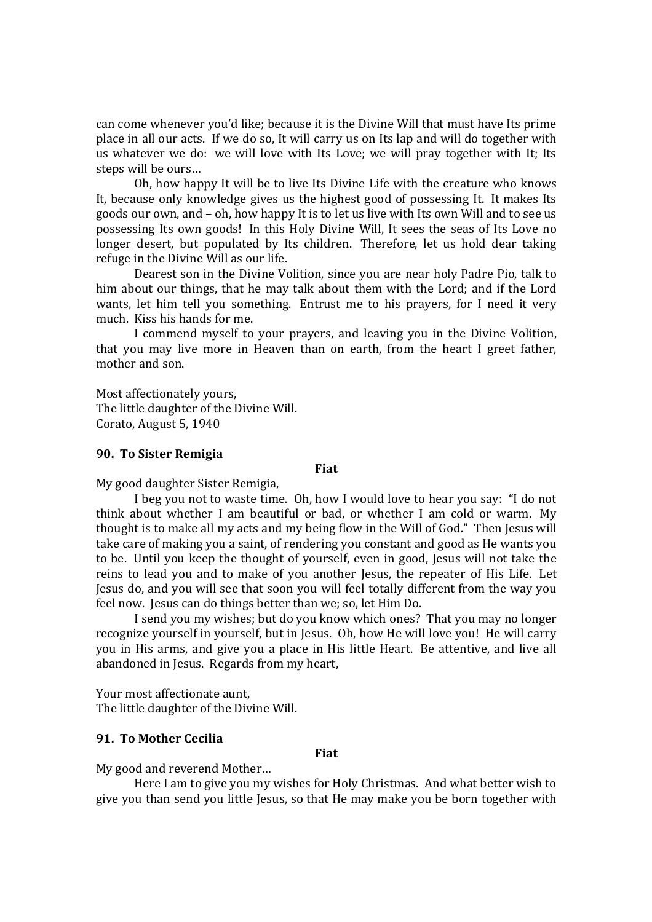can come whenever you'd like; because it is the Divine Will that must have Its prime place in all our acts. If we do so, It will carry us on Its lap and will do together with us whatever we do: we will love with Its Love; we will pray together with It; Its steps will be ours…

Oh, how happy It will be to live Its Divine Life with the creature who knows It, because only knowledge gives us the highest good of possessing It. It makes Its goods our own, and – oh, how happy It is to let us live with Its own Will and to see us possessing Its own goods! In this Holy Divine Will, It sees the seas of Its Love no longer desert, but populated by Its children. Therefore, let us hold dear taking refuge in the Divine Will as our life.

Dearest son in the Divine Volition, since you are near holy Padre Pio, talk to him about our things, that he may talk about them with the Lord; and if the Lord wants, let him tell you something. Entrust me to his prayers, for I need it very much. Kiss his hands for me.

I commend myself to your prayers, and leaving you in the Divine Volition, that you may live more in Heaven than on earth, from the heart I greet father, mother and son.

Most affectionately yours, The little daughter of the Divine Will. Corato, August 5, 1940

## **90. To Sister Remigia**

#### **Fiat**

My good daughter Sister Remigia,

I beg you not to waste time. Oh, how I would love to hear you say: "I do not think about whether I am beautiful or bad, or whether I am cold or warm. My thought is to make all my acts and my being flow in the Will of God." Then Jesus will take care of making you a saint, of rendering you constant and good as He wants you to be. Until you keep the thought of yourself, even in good, Jesus will not take the reins to lead you and to make of you another Jesus, the repeater of His Life. Let Jesus do, and you will see that soon you will feel totally different from the way you feel now. Jesus can do things better than we; so, let Him Do.

I send you my wishes; but do you know which ones? That you may no longer recognize yourself in yourself, but in Jesus. Oh, how He will love you! He will carry you in His arms, and give you a place in His little Heart. Be attentive, and live all abandoned in Jesus. Regards from my heart,

Your most affectionate aunt, The little daughter of the Divine Will.

## **91. To Mother Cecilia**

## **Fiat**

My good and reverend Mother…

Here I am to give you my wishes for Holy Christmas. And what better wish to give you than send you little Jesus, so that He may make you be born together with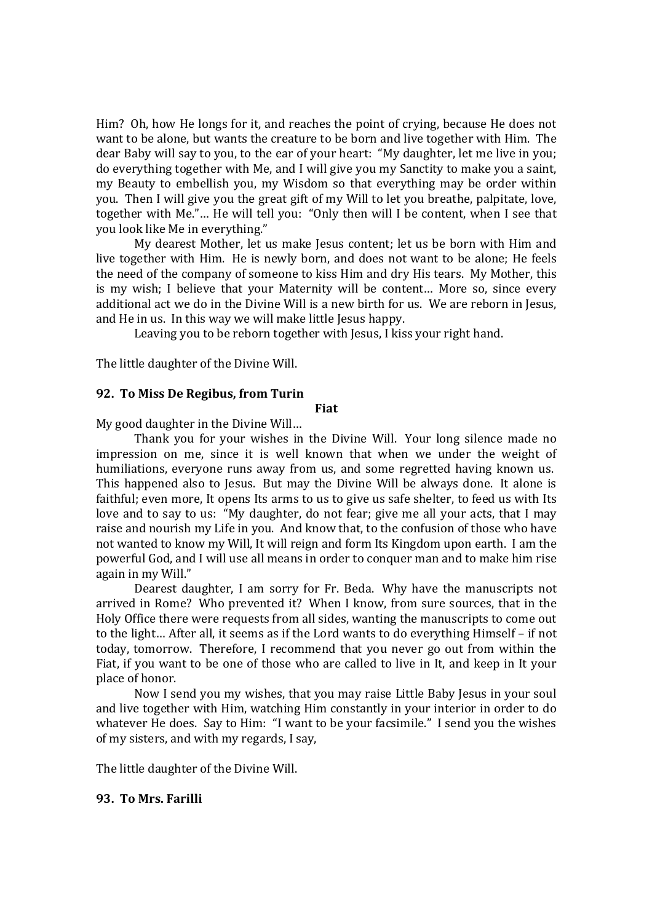Him? Oh, how He longs for it, and reaches the point of crying, because He does not want to be alone, but wants the creature to be born and live together with Him. The dear Baby will say to you, to the ear of your heart: "My daughter, let me live in you; do everything together with Me, and I will give you my Sanctity to make you a saint, my Beauty to embellish you, my Wisdom so that everything may be order within you. Then I will give you the great gift of my Will to let you breathe, palpitate, love, together with Me."… He will tell you: "Only then will I be content, when I see that you look like Me in everything."

My dearest Mother, let us make Jesus content; let us be born with Him and live together with Him. He is newly born, and does not want to be alone; He feels the need of the company of someone to kiss Him and dry His tears. My Mother, this is my wish; I believe that your Maternity will be content… More so, since every additional act we do in the Divine Will is a new birth for us. We are reborn in Jesus, and He in us. In this way we will make little Jesus happy.

Leaving you to be reborn together with Jesus, I kiss your right hand.

The little daughter of the Divine Will.

## **92. To Miss De Regibus, from Turin**

## **Fiat**

My good daughter in the Divine Will…

Thank you for your wishes in the Divine Will. Your long silence made no impression on me, since it is well known that when we under the weight of humiliations, everyone runs away from us, and some regretted having known us. This happened also to Jesus. But may the Divine Will be always done. It alone is faithful; even more, It opens Its arms to us to give us safe shelter, to feed us with Its love and to say to us: "My daughter, do not fear; give me all your acts, that I may raise and nourish my Life in you. And know that, to the confusion of those who have not wanted to know my Will, It will reign and form Its Kingdom upon earth. I am the powerful God, and I will use all means in order to conquer man and to make him rise again in my Will."

Dearest daughter, I am sorry for Fr. Beda. Why have the manuscripts not arrived in Rome? Who prevented it? When I know, from sure sources, that in the Holy Office there were requests from all sides, wanting the manuscripts to come out to the light… After all, it seems as if the Lord wants to do everything Himself – if not today, tomorrow. Therefore, I recommend that you never go out from within the Fiat, if you want to be one of those who are called to live in It, and keep in It your place of honor.

Now I send you my wishes, that you may raise Little Baby Jesus in your soul and live together with Him, watching Him constantly in your interior in order to do whatever He does. Say to Him: "I want to be your facsimile." I send you the wishes of my sisters, and with my regards, I say,

The little daughter of the Divine Will.

## **93. To Mrs. Farilli**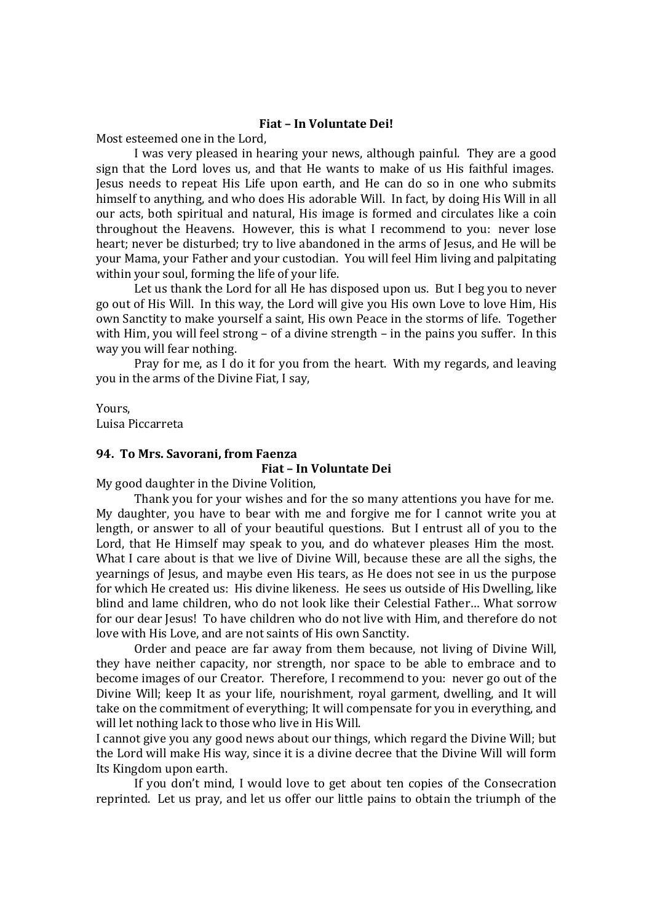## **Fiat – In Voluntate Dei!**

Most esteemed one in the Lord,

I was very pleased in hearing your news, although painful. They are a good sign that the Lord loves us, and that He wants to make of us His faithful images. Jesus needs to repeat His Life upon earth, and He can do so in one who submits himself to anything, and who does His adorable Will. In fact, by doing His Will in all our acts, both spiritual and natural, His image is formed and circulates like a coin throughout the Heavens. However, this is what I recommend to you: never lose heart; never be disturbed; try to live abandoned in the arms of Jesus, and He will be your Mama, your Father and your custodian. You will feel Him living and palpitating within your soul, forming the life of your life.

Let us thank the Lord for all He has disposed upon us. But I beg you to never go out of His Will. In this way, the Lord will give you His own Love to love Him, His own Sanctity to make yourself a saint, His own Peace in the storms of life. Together with Him, you will feel strong – of a divine strength – in the pains you suffer. In this way you will fear nothing.

Pray for me, as I do it for you from the heart. With my regards, and leaving you in the arms of the Divine Fiat, I say,

Yours, Luisa Piccarreta

#### **94. To Mrs. Savorani, from Faenza**

## **Fiat – In Voluntate Dei**

My good daughter in the Divine Volition,

Thank you for your wishes and for the so many attentions you have for me. My daughter, you have to bear with me and forgive me for I cannot write you at length, or answer to all of your beautiful questions. But I entrust all of you to the Lord, that He Himself may speak to you, and do whatever pleases Him the most. What I care about is that we live of Divine Will, because these are all the sighs, the yearnings of Jesus, and maybe even His tears, as He does not see in us the purpose for which He created us: His divine likeness. He sees us outside of His Dwelling, like blind and lame children, who do not look like their Celestial Father… What sorrow for our dear Jesus! To have children who do not live with Him, and therefore do not love with His Love, and are not saints of His own Sanctity.

Order and peace are far away from them because, not living of Divine Will, they have neither capacity, nor strength, nor space to be able to embrace and to become images of our Creator. Therefore, I recommend to you: never go out of the Divine Will; keep It as your life, nourishment, royal garment, dwelling, and It will take on the commitment of everything; It will compensate for you in everything, and will let nothing lack to those who live in His Will.

I cannot give you any good news about our things, which regard the Divine Will; but the Lord will make His way, since it is a divine decree that the Divine Will will form Its Kingdom upon earth.

If you don't mind, I would love to get about ten copies of the Consecration reprinted. Let us pray, and let us offer our little pains to obtain the triumph of the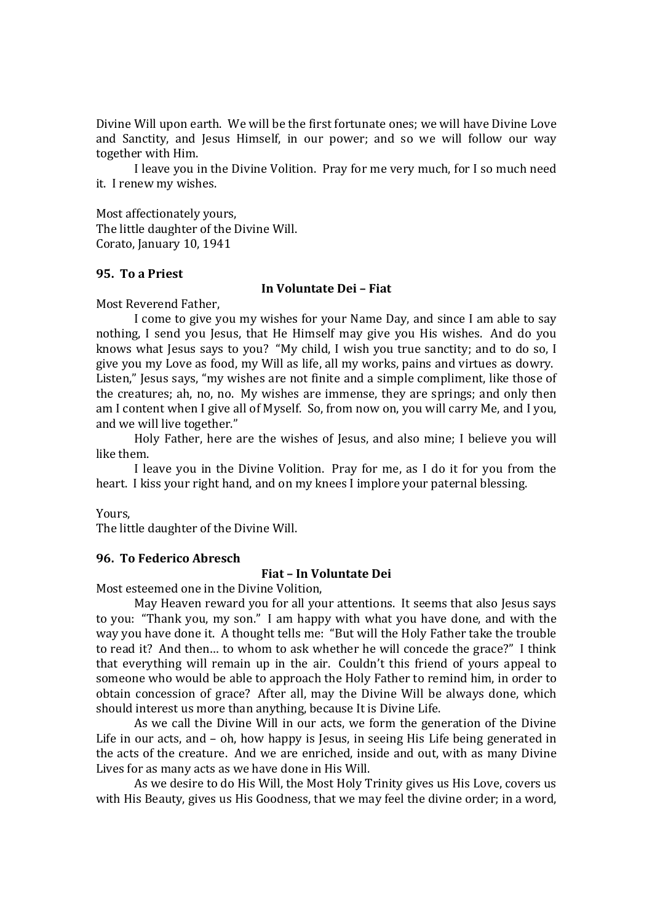Divine Will upon earth. We will be the first fortunate ones; we will have Divine Love and Sanctity, and Jesus Himself, in our power; and so we will follow our way together with Him.

I leave you in the Divine Volition. Pray for me very much, for I so much need it. I renew my wishes.

Most affectionately yours, The little daughter of the Divine Will. Corato, January 10, 1941

#### **95. To a Priest**

#### **In Voluntate Dei – Fiat**

Most Reverend Father,

I come to give you my wishes for your Name Day, and since I am able to say nothing, I send you Jesus, that He Himself may give you His wishes. And do you knows what Jesus says to you? "My child, I wish you true sanctity; and to do so, I give you my Love as food, my Will as life, all my works, pains and virtues as dowry. Listen," Jesus says, "my wishes are not finite and a simple compliment, like those of the creatures; ah, no, no. My wishes are immense, they are springs; and only then am I content when I give all of Myself. So, from now on, you will carry Me, and I you, and we will live together."

Holy Father, here are the wishes of Jesus, and also mine; I believe you will like them.

I leave you in the Divine Volition. Pray for me, as I do it for you from the heart. I kiss your right hand, and on my knees I implore your paternal blessing.

Yours,

The little daughter of the Divine Will.

#### **96. To Federico Abresch**

## **Fiat – In Voluntate Dei**

Most esteemed one in the Divine Volition,

May Heaven reward you for all your attentions. It seems that also Jesus says to you: "Thank you, my son." I am happy with what you have done, and with the way you have done it. A thought tells me: "But will the Holy Father take the trouble to read it? And then… to whom to ask whether he will concede the grace?" I think that everything will remain up in the air. Couldn't this friend of yours appeal to someone who would be able to approach the Holy Father to remind him, in order to obtain concession of grace? After all, may the Divine Will be always done, which should interest us more than anything, because It is Divine Life.

As we call the Divine Will in our acts, we form the generation of the Divine Life in our acts, and – oh, how happy is Jesus, in seeing His Life being generated in the acts of the creature. And we are enriched, inside and out, with as many Divine Lives for as many acts as we have done in His Will.

As we desire to do His Will, the Most Holy Trinity gives us His Love, covers us with His Beauty, gives us His Goodness, that we may feel the divine order; in a word,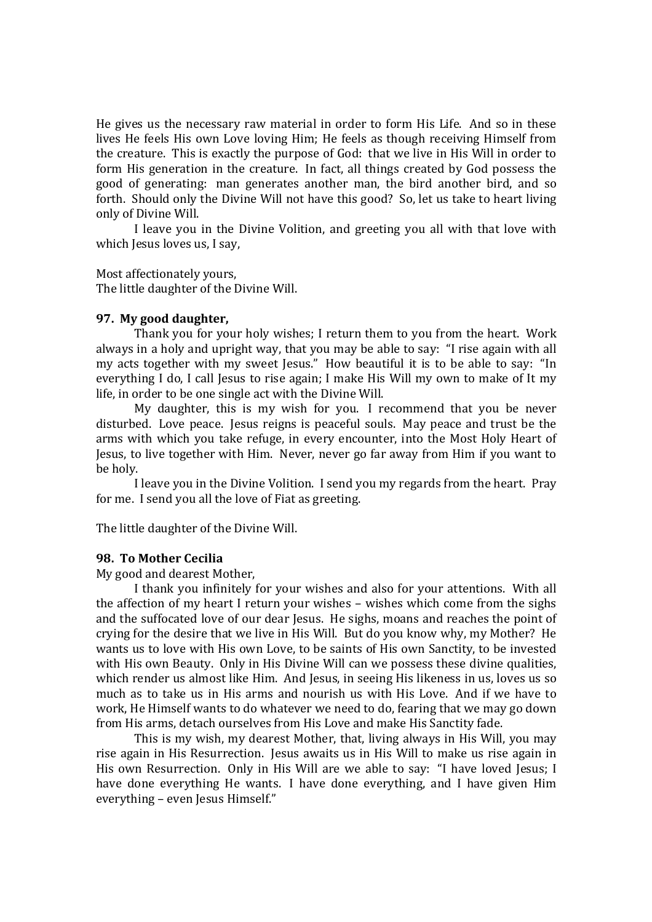He gives us the necessary raw material in order to form His Life. And so in these lives He feels His own Love loving Him; He feels as though receiving Himself from the creature. This is exactly the purpose of God: that we live in His Will in order to form His generation in the creature. In fact, all things created by God possess the good of generating: man generates another man, the bird another bird, and so forth. Should only the Divine Will not have this good? So, let us take to heart living only of Divine Will.

I leave you in the Divine Volition, and greeting you all with that love with which Jesus loves us, I say,

Most affectionately yours,

The little daughter of the Divine Will.

#### **97. My good daughter,**

Thank you for your holy wishes; I return them to you from the heart. Work always in a holy and upright way, that you may be able to say: "I rise again with all my acts together with my sweet Jesus." How beautiful it is to be able to say: "In everything I do, I call Jesus to rise again: I make His Will my own to make of It my life, in order to be one single act with the Divine Will.

My daughter, this is my wish for you. I recommend that you be never disturbed. Love peace. Jesus reigns is peaceful souls. May peace and trust be the arms with which you take refuge, in every encounter, into the Most Holy Heart of Jesus, to live together with Him. Never, never go far away from Him if you want to be holy.

I leave you in the Divine Volition. I send you my regards from the heart. Pray for me. I send you all the love of Fiat as greeting.

The little daughter of the Divine Will.

#### **98. To Mother Cecilia**

My good and dearest Mother,

I thank you infinitely for your wishes and also for your attentions. With all the affection of my heart I return your wishes – wishes which come from the sighs and the suffocated love of our dear Jesus. He sighs, moans and reaches the point of crying for the desire that we live in His Will. But do you know why, my Mother? He wants us to love with His own Love, to be saints of His own Sanctity, to be invested with His own Beauty. Only in His Divine Will can we possess these divine qualities, which render us almost like Him. And Jesus, in seeing His likeness in us, loves us so much as to take us in His arms and nourish us with His Love. And if we have to work, He Himself wants to do whatever we need to do, fearing that we may go down from His arms, detach ourselves from His Love and make His Sanctity fade.

This is my wish, my dearest Mother, that, living always in His Will, you may rise again in His Resurrection. Jesus awaits us in His Will to make us rise again in His own Resurrection. Only in His Will are we able to say: "I have loved Jesus; I have done everything He wants. I have done everything, and I have given Him everything – even Jesus Himself."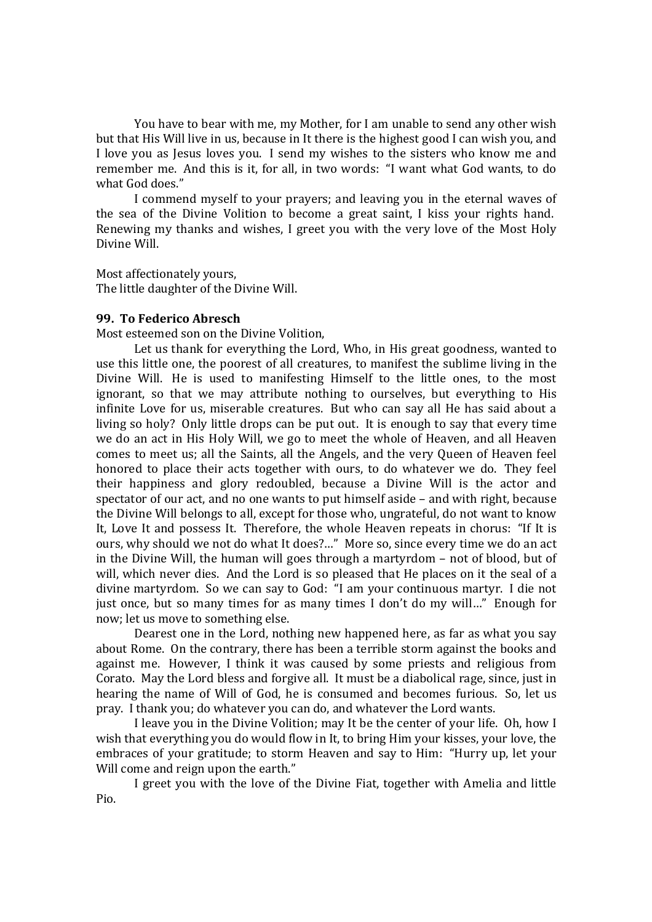You have to bear with me, my Mother, for I am unable to send any other wish but that His Will live in us, because in It there is the highest good I can wish you, and I love you as Jesus loves you. I send my wishes to the sisters who know me and remember me. And this is it, for all, in two words: "I want what God wants, to do what God does."

I commend myself to your prayers; and leaving you in the eternal waves of the sea of the Divine Volition to become a great saint, I kiss your rights hand. Renewing my thanks and wishes, I greet you with the very love of the Most Holy Divine Will.

Most affectionately yours, The little daughter of the Divine Will.

## **99. To Federico Abresch**

Most esteemed son on the Divine Volition,

Let us thank for everything the Lord, Who, in His great goodness, wanted to use this little one, the poorest of all creatures, to manifest the sublime living in the Divine Will. He is used to manifesting Himself to the little ones, to the most ignorant, so that we may attribute nothing to ourselves, but everything to His infinite Love for us, miserable creatures. But who can say all He has said about a living so holy? Only little drops can be put out. It is enough to say that every time we do an act in His Holy Will, we go to meet the whole of Heaven, and all Heaven comes to meet us; all the Saints, all the Angels, and the very Queen of Heaven feel honored to place their acts together with ours, to do whatever we do. They feel their happiness and glory redoubled, because a Divine Will is the actor and spectator of our act, and no one wants to put himself aside – and with right, because the Divine Will belongs to all, except for those who, ungrateful, do not want to know It, Love It and possess It. Therefore, the whole Heaven repeats in chorus: "If It is ours, why should we not do what It does?…" More so, since every time we do an act in the Divine Will, the human will goes through a martyrdom – not of blood, but of will, which never dies. And the Lord is so pleased that He places on it the seal of a divine martyrdom. So we can say to God: "I am your continuous martyr. I die not just once, but so many times for as many times I don't do my will…" Enough for now; let us move to something else.

Dearest one in the Lord, nothing new happened here, as far as what you say about Rome. On the contrary, there has been a terrible storm against the books and against me. However, I think it was caused by some priests and religious from Corato. May the Lord bless and forgive all. It must be a diabolical rage, since, just in hearing the name of Will of God, he is consumed and becomes furious. So, let us pray. I thank you; do whatever you can do, and whatever the Lord wants.

I leave you in the Divine Volition; may It be the center of your life. Oh, how I wish that everything you do would flow in It, to bring Him your kisses, your love, the embraces of your gratitude; to storm Heaven and say to Him: "Hurry up, let your Will come and reign upon the earth."

I greet you with the love of the Divine Fiat, together with Amelia and little Pio.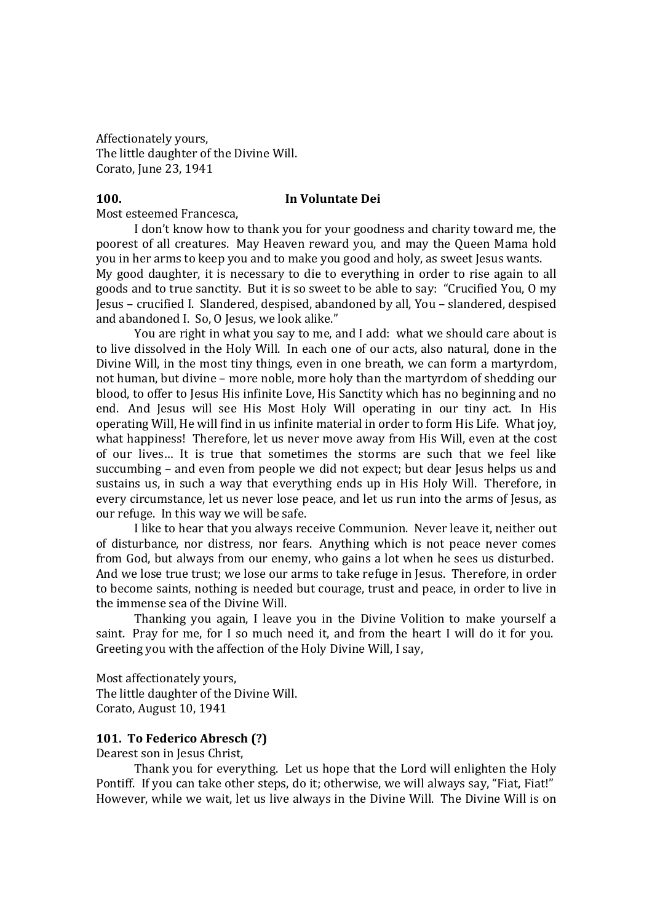Affectionately yours, The little daughter of the Divine Will. Corato, June 23, 1941

# **100. In Voluntate Dei**

Most esteemed Francesca,

I don't know how to thank you for your goodness and charity toward me, the poorest of all creatures. May Heaven reward you, and may the Queen Mama hold you in her arms to keep you and to make you good and holy, as sweet Jesus wants. My good daughter, it is necessary to die to everything in order to rise again to all goods and to true sanctity. But it is so sweet to be able to say: "Crucified You, O my Jesus – crucified I. Slandered, despised, abandoned by all, You – slandered, despised and abandoned I. So, O Jesus, we look alike."

You are right in what you say to me, and I add: what we should care about is to live dissolved in the Holy Will. In each one of our acts, also natural, done in the Divine Will, in the most tiny things, even in one breath, we can form a martyrdom, not human, but divine – more noble, more holy than the martyrdom of shedding our blood, to offer to Jesus His infinite Love, His Sanctity which has no beginning and no end. And Jesus will see His Most Holy Will operating in our tiny act. In His operating Will, He will find in us infinite material in order to form His Life. What joy, what happiness! Therefore, let us never move away from His Will, even at the cost of our lives… It is true that sometimes the storms are such that we feel like succumbing – and even from people we did not expect; but dear Jesus helps us and sustains us, in such a way that everything ends up in His Holy Will. Therefore, in every circumstance, let us never lose peace, and let us run into the arms of Jesus, as our refuge. In this way we will be safe.

I like to hear that you always receive Communion. Never leave it, neither out of disturbance, nor distress, nor fears. Anything which is not peace never comes from God, but always from our enemy, who gains a lot when he sees us disturbed. And we lose true trust; we lose our arms to take refuge in Jesus. Therefore, in order to become saints, nothing is needed but courage, trust and peace, in order to live in the immense sea of the Divine Will.

Thanking you again, I leave you in the Divine Volition to make yourself a saint. Pray for me, for I so much need it, and from the heart I will do it for you. Greeting you with the affection of the Holy Divine Will, I say,

Most affectionately yours, The little daughter of the Divine Will. Corato, August 10, 1941

## **101. To Federico Abresch (?)**

Dearest son in Jesus Christ,

Thank you for everything. Let us hope that the Lord will enlighten the Holy Pontiff. If you can take other steps, do it; otherwise, we will always say, "Fiat, Fiat!" However, while we wait, let us live always in the Divine Will. The Divine Will is on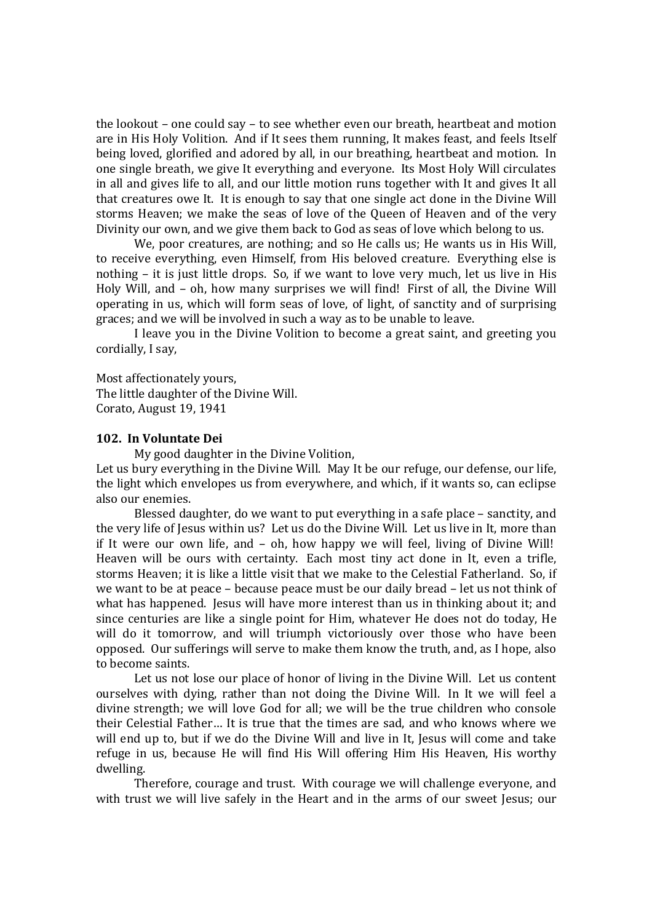the lookout – one could say – to see whether even our breath, heartbeat and motion are in His Holy Volition. And if It sees them running, It makes feast, and feels Itself being loved, glorified and adored by all, in our breathing, heartbeat and motion. In one single breath, we give It everything and everyone. Its Most Holy Will circulates in all and gives life to all, and our little motion runs together with It and gives It all that creatures owe It. It is enough to say that one single act done in the Divine Will storms Heaven; we make the seas of love of the Queen of Heaven and of the very Divinity our own, and we give them back to God as seas of love which belong to us.

We, poor creatures, are nothing; and so He calls us; He wants us in His Will, to receive everything, even Himself, from His beloved creature. Everything else is nothing – it is just little drops. So, if we want to love very much, let us live in His Holy Will, and – oh, how many surprises we will find! First of all, the Divine Will operating in us, which will form seas of love, of light, of sanctity and of surprising graces; and we will be involved in such a way as to be unable to leave.

I leave you in the Divine Volition to become a great saint, and greeting you cordially, I say,

Most affectionately yours, The little daughter of the Divine Will. Corato, August 19, 1941

#### **102. In Voluntate Dei**

My good daughter in the Divine Volition,

Let us bury everything in the Divine Will. May It be our refuge, our defense, our life, the light which envelopes us from everywhere, and which, if it wants so, can eclipse also our enemies.

Blessed daughter, do we want to put everything in a safe place – sanctity, and the very life of Jesus within us? Let us do the Divine Will. Let us live in It, more than if It were our own life, and – oh, how happy we will feel, living of Divine Will! Heaven will be ours with certainty. Each most tiny act done in It, even a trifle, storms Heaven; it is like a little visit that we make to the Celestial Fatherland. So, if we want to be at peace – because peace must be our daily bread – let us not think of what has happened. Jesus will have more interest than us in thinking about it; and since centuries are like a single point for Him, whatever He does not do today, He will do it tomorrow, and will triumph victoriously over those who have been opposed. Our sufferings will serve to make them know the truth, and, as I hope, also to become saints.

Let us not lose our place of honor of living in the Divine Will. Let us content ourselves with dying, rather than not doing the Divine Will. In It we will feel a divine strength; we will love God for all; we will be the true children who console their Celestial Father… It is true that the times are sad, and who knows where we will end up to, but if we do the Divine Will and live in It, Jesus will come and take refuge in us, because He will find His Will offering Him His Heaven, His worthy dwelling.

Therefore, courage and trust. With courage we will challenge everyone, and with trust we will live safely in the Heart and in the arms of our sweet Jesus; our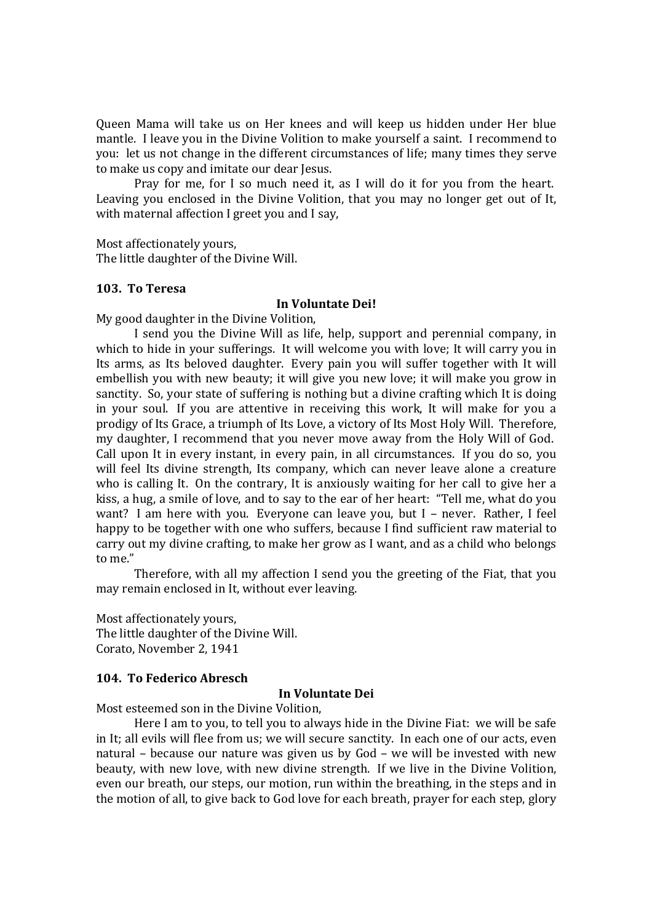Queen Mama will take us on Her knees and will keep us hidden under Her blue mantle. I leave you in the Divine Volition to make yourself a saint. I recommend to you: let us not change in the different circumstances of life; many times they serve to make us copy and imitate our dear Jesus.

Pray for me, for I so much need it, as I will do it for you from the heart. Leaving you enclosed in the Divine Volition, that you may no longer get out of It, with maternal affection I greet you and I say,

Most affectionately yours,

The little daughter of the Divine Will.

## **103. To Teresa**

#### **In Voluntate Dei!**

My good daughter in the Divine Volition,

I send you the Divine Will as life, help, support and perennial company, in which to hide in your sufferings. It will welcome you with love; It will carry you in Its arms, as Its beloved daughter. Every pain you will suffer together with It will embellish you with new beauty; it will give you new love; it will make you grow in sanctity. So, your state of suffering is nothing but a divine crafting which It is doing in your soul. If you are attentive in receiving this work, It will make for you a prodigy of Its Grace, a triumph of Its Love, a victory of Its Most Holy Will. Therefore, my daughter, I recommend that you never move away from the Holy Will of God. Call upon It in every instant, in every pain, in all circumstances. If you do so, you will feel Its divine strength, Its company, which can never leave alone a creature who is calling It. On the contrary, It is anxiously waiting for her call to give her a kiss, a hug, a smile of love, and to say to the ear of her heart: "Tell me, what do you want? I am here with you. Everyone can leave you, but I – never. Rather, I feel happy to be together with one who suffers, because I find sufficient raw material to carry out my divine crafting, to make her grow as I want, and as a child who belongs to me."

Therefore, with all my affection I send you the greeting of the Fiat, that you may remain enclosed in It, without ever leaving.

Most affectionately yours, The little daughter of the Divine Will. Corato, November 2, 1941

## **104. To Federico Abresch**

## **In Voluntate Dei**

Most esteemed son in the Divine Volition,

Here I am to you, to tell you to always hide in the Divine Fiat: we will be safe in It; all evils will flee from us; we will secure sanctity. In each one of our acts, even natural – because our nature was given us by God – we will be invested with new beauty, with new love, with new divine strength. If we live in the Divine Volition, even our breath, our steps, our motion, run within the breathing, in the steps and in the motion of all, to give back to God love for each breath, prayer for each step, glory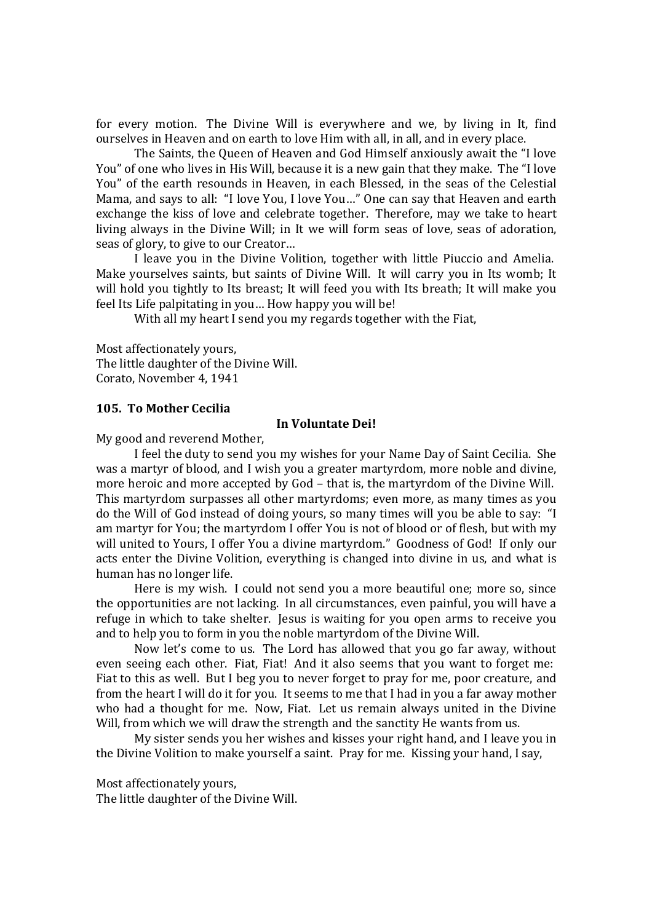for every motion. The Divine Will is everywhere and we, by living in It, find ourselves in Heaven and on earth to love Him with all, in all, and in every place.

The Saints, the Queen of Heaven and God Himself anxiously await the "I love You" of one who lives in His Will, because it is a new gain that they make. The "I love You" of the earth resounds in Heaven, in each Blessed, in the seas of the Celestial Mama, and says to all: "I love You, I love You…" One can say that Heaven and earth exchange the kiss of love and celebrate together. Therefore, may we take to heart living always in the Divine Will; in It we will form seas of love, seas of adoration, seas of glory, to give to our Creator…

I leave you in the Divine Volition, together with little Piuccio and Amelia. Make yourselves saints, but saints of Divine Will. It will carry you in Its womb; It will hold you tightly to Its breast; It will feed you with Its breath; It will make you feel Its Life palpitating in you… How happy you will be!

With all my heart I send you my regards together with the Fiat,

Most affectionately yours, The little daughter of the Divine Will. Corato, November 4, 1941

#### **105. To Mother Cecilia**

#### **In Voluntate Dei!**

My good and reverend Mother,

I feel the duty to send you my wishes for your Name Day of Saint Cecilia. She was a martyr of blood, and I wish you a greater martyrdom, more noble and divine, more heroic and more accepted by God – that is, the martyrdom of the Divine Will. This martyrdom surpasses all other martyrdoms; even more, as many times as you do the Will of God instead of doing yours, so many times will you be able to say: "I am martyr for You; the martyrdom I offer You is not of blood or of flesh, but with my will united to Yours, I offer You a divine martyrdom." Goodness of God! If only our acts enter the Divine Volition, everything is changed into divine in us, and what is human has no longer life.

Here is my wish. I could not send you a more beautiful one; more so, since the opportunities are not lacking. In all circumstances, even painful, you will have a refuge in which to take shelter. Jesus is waiting for you open arms to receive you and to help you to form in you the noble martyrdom of the Divine Will.

Now let's come to us. The Lord has allowed that you go far away, without even seeing each other. Fiat, Fiat! And it also seems that you want to forget me: Fiat to this as well. But I beg you to never forget to pray for me, poor creature, and from the heart I will do it for you. It seems to me that I had in you a far away mother who had a thought for me. Now, Fiat. Let us remain always united in the Divine Will, from which we will draw the strength and the sanctity He wants from us.

My sister sends you her wishes and kisses your right hand, and I leave you in the Divine Volition to make yourself a saint. Pray for me. Kissing your hand, I say,

Most affectionately yours,

The little daughter of the Divine Will.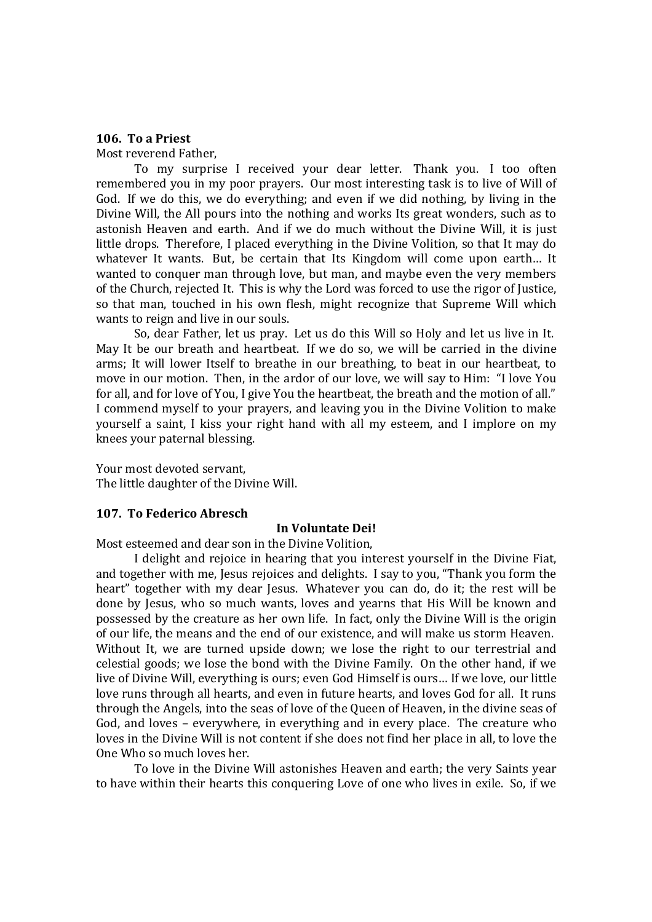### **106. To a Priest**

Most reverend Father,

To my surprise I received your dear letter. Thank you. I too often remembered you in my poor prayers. Our most interesting task is to live of Will of God. If we do this, we do everything; and even if we did nothing, by living in the Divine Will, the All pours into the nothing and works Its great wonders, such as to astonish Heaven and earth. And if we do much without the Divine Will, it is just little drops. Therefore, I placed everything in the Divine Volition, so that It may do whatever It wants. But, be certain that Its Kingdom will come upon earth… It wanted to conquer man through love, but man, and maybe even the very members of the Church, rejected It. This is why the Lord was forced to use the rigor of Justice, so that man, touched in his own flesh, might recognize that Supreme Will which wants to reign and live in our souls.

So, dear Father, let us pray. Let us do this Will so Holy and let us live in It. May It be our breath and heartbeat. If we do so, we will be carried in the divine arms; It will lower Itself to breathe in our breathing, to beat in our heartbeat, to move in our motion. Then, in the ardor of our love, we will say to Him: "I love You for all, and for love of You, I give You the heartbeat, the breath and the motion of all." I commend myself to your prayers, and leaving you in the Divine Volition to make yourself a saint, I kiss your right hand with all my esteem, and I implore on my knees your paternal blessing.

Your most devoted servant, The little daughter of the Divine Will.

#### **107. To Federico Abresch**

#### **In Voluntate Dei!**

Most esteemed and dear son in the Divine Volition,

I delight and rejoice in hearing that you interest yourself in the Divine Fiat, and together with me, Jesus rejoices and delights. I say to you, "Thank you form the heart" together with my dear Jesus. Whatever you can do, do it; the rest will be done by Jesus, who so much wants, loves and yearns that His Will be known and possessed by the creature as her own life. In fact, only the Divine Will is the origin of our life, the means and the end of our existence, and will make us storm Heaven. Without It, we are turned upside down; we lose the right to our terrestrial and celestial goods; we lose the bond with the Divine Family. On the other hand, if we live of Divine Will, everything is ours; even God Himself is ours… If we love, our little love runs through all hearts, and even in future hearts, and loves God for all. It runs through the Angels, into the seas of love of the Queen of Heaven, in the divine seas of God, and loves – everywhere, in everything and in every place. The creature who loves in the Divine Will is not content if she does not find her place in all, to love the One Who so much loves her.

To love in the Divine Will astonishes Heaven and earth; the very Saints year to have within their hearts this conquering Love of one who lives in exile. So, if we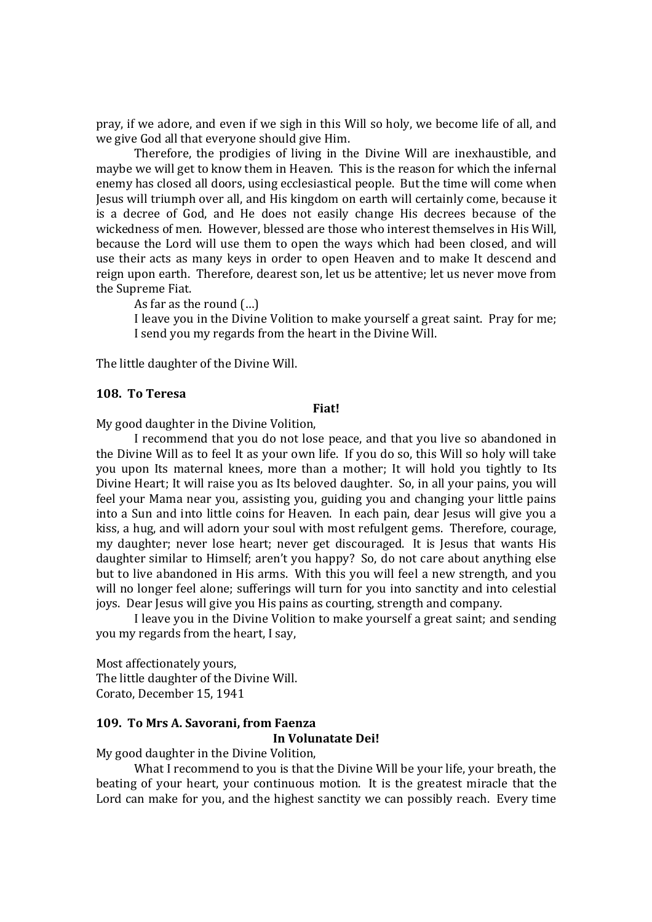pray, if we adore, and even if we sigh in this Will so holy, we become life of all, and we give God all that everyone should give Him.

Therefore, the prodigies of living in the Divine Will are inexhaustible, and maybe we will get to know them in Heaven. This is the reason for which the infernal enemy has closed all doors, using ecclesiastical people. But the time will come when Jesus will triumph over all, and His kingdom on earth will certainly come, because it is a decree of God, and He does not easily change His decrees because of the wickedness of men. However, blessed are those who interest themselves in His Will, because the Lord will use them to open the ways which had been closed, and will use their acts as many keys in order to open Heaven and to make It descend and reign upon earth. Therefore, dearest son, let us be attentive; let us never move from the Supreme Fiat.

As far as the round (…)

I leave you in the Divine Volition to make yourself a great saint. Pray for me; I send you my regards from the heart in the Divine Will.

The little daughter of the Divine Will.

#### **108. To Teresa**

#### **Fiat!**

My good daughter in the Divine Volition,

I recommend that you do not lose peace, and that you live so abandoned in the Divine Will as to feel It as your own life. If you do so, this Will so holy will take you upon Its maternal knees, more than a mother; It will hold you tightly to Its Divine Heart; It will raise you as Its beloved daughter. So, in all your pains, you will feel your Mama near you, assisting you, guiding you and changing your little pains into a Sun and into little coins for Heaven. In each pain, dear Jesus will give you a kiss, a hug, and will adorn your soul with most refulgent gems. Therefore, courage, my daughter; never lose heart; never get discouraged. It is Jesus that wants His daughter similar to Himself; aren't you happy? So, do not care about anything else but to live abandoned in His arms. With this you will feel a new strength, and you will no longer feel alone; sufferings will turn for you into sanctity and into celestial joys. Dear Jesus will give you His pains as courting, strength and company.

I leave you in the Divine Volition to make yourself a great saint; and sending you my regards from the heart, I say,

Most affectionately yours, The little daughter of the Divine Will. Corato, December 15, 1941

## **109. To Mrs A. Savorani, from Faenza**

#### **In Volunatate Dei!**

My good daughter in the Divine Volition,

What I recommend to you is that the Divine Will be your life, your breath, the beating of your heart, your continuous motion. It is the greatest miracle that the Lord can make for you, and the highest sanctity we can possibly reach. Every time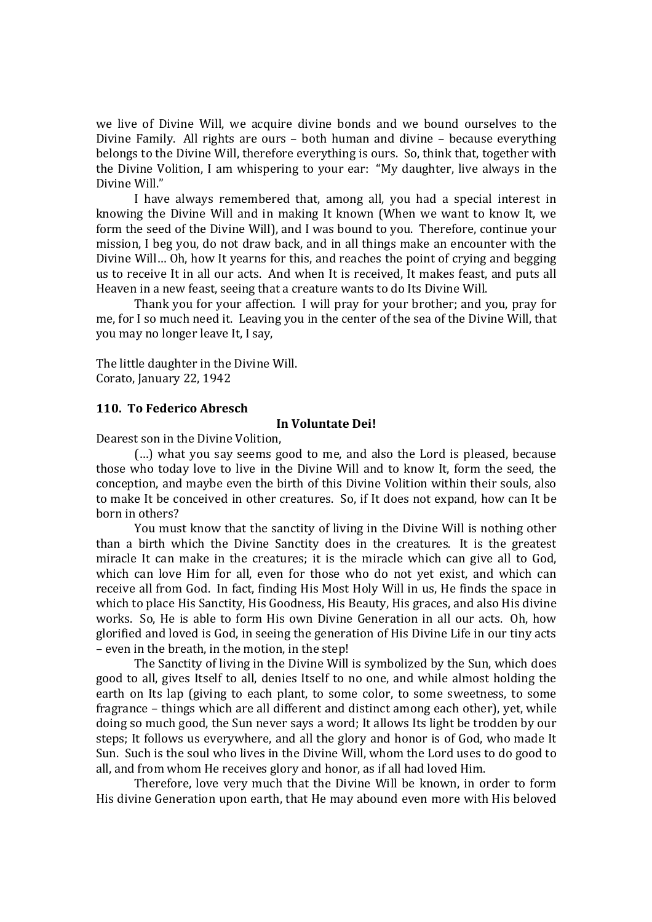we live of Divine Will, we acquire divine bonds and we bound ourselves to the Divine Family. All rights are ours – both human and divine – because everything belongs to the Divine Will, therefore everything is ours. So, think that, together with the Divine Volition, I am whispering to your ear: "My daughter, live always in the Divine Will."

I have always remembered that, among all, you had a special interest in knowing the Divine Will and in making It known (When we want to know It, we form the seed of the Divine Will), and I was bound to you. Therefore, continue your mission, I beg you, do not draw back, and in all things make an encounter with the Divine Will… Oh, how It yearns for this, and reaches the point of crying and begging us to receive It in all our acts. And when It is received, It makes feast, and puts all Heaven in a new feast, seeing that a creature wants to do Its Divine Will.

Thank you for your affection. I will pray for your brother; and you, pray for me, for I so much need it. Leaving you in the center of the sea of the Divine Will, that you may no longer leave It, I say,

The little daughter in the Divine Will. Corato, January 22, 1942

#### **110. To Federico Abresch**

#### **In Voluntate Dei!**

Dearest son in the Divine Volition,

(…) what you say seems good to me, and also the Lord is pleased, because those who today love to live in the Divine Will and to know It, form the seed, the conception, and maybe even the birth of this Divine Volition within their souls, also to make It be conceived in other creatures. So, if It does not expand, how can It be born in others?

You must know that the sanctity of living in the Divine Will is nothing other than a birth which the Divine Sanctity does in the creatures. It is the greatest miracle It can make in the creatures; it is the miracle which can give all to God, which can love Him for all, even for those who do not yet exist, and which can receive all from God. In fact, finding His Most Holy Will in us, He finds the space in which to place His Sanctity, His Goodness, His Beauty, His graces, and also His divine works. So, He is able to form His own Divine Generation in all our acts. Oh, how glorified and loved is God, in seeing the generation of His Divine Life in our tiny acts – even in the breath, in the motion, in the step!

The Sanctity of living in the Divine Will is symbolized by the Sun, which does good to all, gives Itself to all, denies Itself to no one, and while almost holding the earth on Its lap (giving to each plant, to some color, to some sweetness, to some fragrance – things which are all different and distinct among each other), yet, while doing so much good, the Sun never says a word; It allows Its light be trodden by our steps; It follows us everywhere, and all the glory and honor is of God, who made It Sun. Such is the soul who lives in the Divine Will, whom the Lord uses to do good to all, and from whom He receives glory and honor, as if all had loved Him.

Therefore, love very much that the Divine Will be known, in order to form His divine Generation upon earth, that He may abound even more with His beloved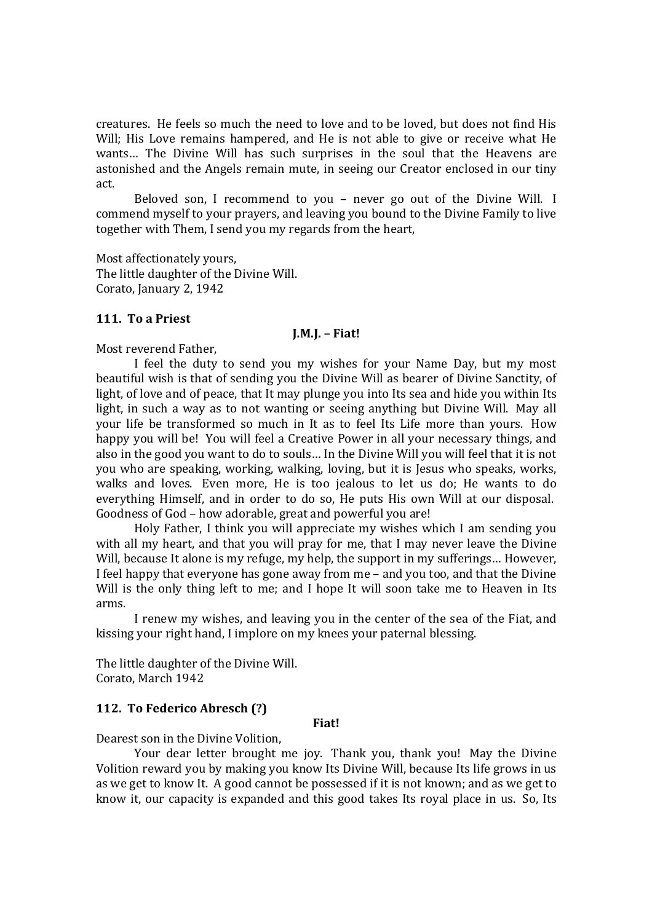creatures. He feels so much the need to love and to be loved, but does not find His Will; His Love remains hampered, and He is not able to give or receive what He wants… The Divine Will has such surprises in the soul that the Heavens are astonished and the Angels remain mute, in seeing our Creator enclosed in our tiny act.

Beloved son, I recommend to you – never go out of the Divine Will. I commend myself to your prayers, and leaving you bound to the Divine Family to live together with Them, I send you my regards from the heart,

Most affectionately yours, The little daughter of the Divine Will. Corato, January 2, 1942

## **111. To a Priest**

#### **J.M.J. – Fiat!**

Most reverend Father,

I feel the duty to send you my wishes for your Name Day, but my most beautiful wish is that of sending you the Divine Will as bearer of Divine Sanctity, of light, of love and of peace, that It may plunge you into Its sea and hide you within Its light, in such a way as to not wanting or seeing anything but Divine Will. May all your life be transformed so much in It as to feel Its Life more than yours. How happy you will be! You will feel a Creative Power in all your necessary things, and also in the good you want to do to souls… In the Divine Will you will feel that it is not you who are speaking, working, walking, loving, but it is Jesus who speaks, works, walks and loves. Even more, He is too jealous to let us do; He wants to do everything Himself, and in order to do so, He puts His own Will at our disposal. Goodness of God – how adorable, great and powerful you are!

Holy Father, I think you will appreciate my wishes which I am sending you with all my heart, and that you will pray for me, that I may never leave the Divine Will, because It alone is my refuge, my help, the support in my sufferings... However, I feel happy that everyone has gone away from me – and you too, and that the Divine Will is the only thing left to me; and I hope It will soon take me to Heaven in Its arms.

I renew my wishes, and leaving you in the center of the sea of the Fiat, and kissing your right hand, I implore on my knees your paternal blessing.

The little daughter of the Divine Will. Corato, March 1942

## **112. To Federico Abresch (?)**

#### **Fiat!**

Dearest son in the Divine Volition,

Your dear letter brought me joy. Thank you, thank you! May the Divine Volition reward you by making you know Its Divine Will, because Its life grows in us as we get to know It. A good cannot be possessed if it is not known; and as we get to know it, our capacity is expanded and this good takes Its royal place in us. So, Its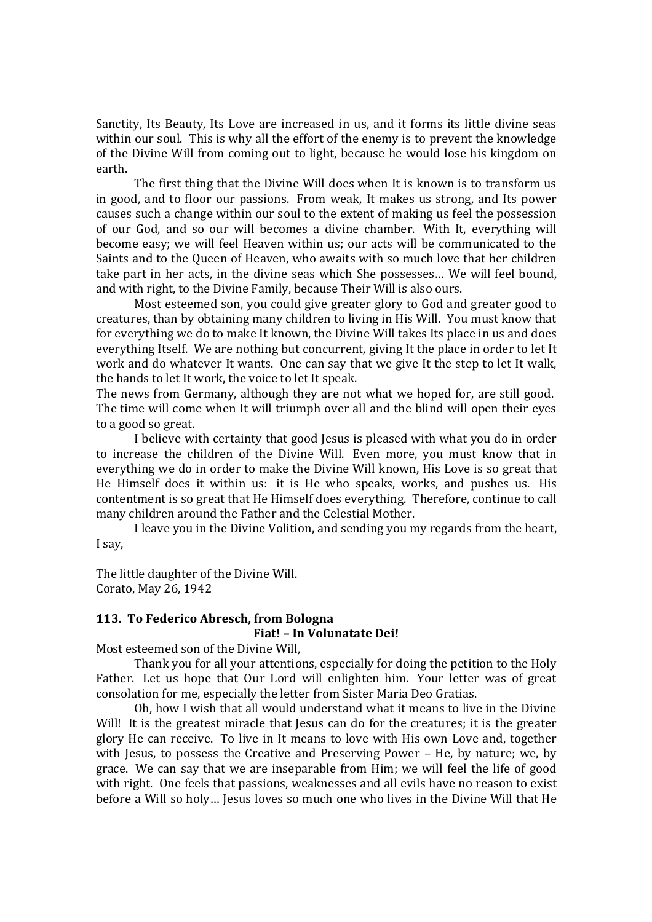Sanctity, Its Beauty, Its Love are increased in us, and it forms its little divine seas within our soul. This is why all the effort of the enemy is to prevent the knowledge of the Divine Will from coming out to light, because he would lose his kingdom on earth.

The first thing that the Divine Will does when It is known is to transform us in good, and to floor our passions. From weak, It makes us strong, and Its power causes such a change within our soul to the extent of making us feel the possession of our God, and so our will becomes a divine chamber. With It, everything will become easy; we will feel Heaven within us; our acts will be communicated to the Saints and to the Queen of Heaven, who awaits with so much love that her children take part in her acts, in the divine seas which She possesses… We will feel bound, and with right, to the Divine Family, because Their Will is also ours.

Most esteemed son, you could give greater glory to God and greater good to creatures, than by obtaining many children to living in His Will. You must know that for everything we do to make It known, the Divine Will takes Its place in us and does everything Itself. We are nothing but concurrent, giving It the place in order to let It work and do whatever It wants. One can say that we give It the step to let It walk, the hands to let It work, the voice to let It speak.

The news from Germany, although they are not what we hoped for, are still good. The time will come when It will triumph over all and the blind will open their eyes to a good so great.

I believe with certainty that good Jesus is pleased with what you do in order to increase the children of the Divine Will. Even more, you must know that in everything we do in order to make the Divine Will known, His Love is so great that He Himself does it within us: it is He who speaks, works, and pushes us. His contentment is so great that He Himself does everything. Therefore, continue to call many children around the Father and the Celestial Mother.

I leave you in the Divine Volition, and sending you my regards from the heart, I say,

The little daughter of the Divine Will. Corato, May 26, 1942

# **113. To Federico Abresch, from Bologna**

## **Fiat! – In Volunatate Dei!**

Most esteemed son of the Divine Will,

Thank you for all your attentions, especially for doing the petition to the Holy Father. Let us hope that Our Lord will enlighten him. Your letter was of great consolation for me, especially the letter from Sister Maria Deo Gratias.

Oh, how I wish that all would understand what it means to live in the Divine Will! It is the greatest miracle that Jesus can do for the creatures; it is the greater glory He can receive. To live in It means to love with His own Love and, together with Jesus, to possess the Creative and Preserving Power – He, by nature; we, by grace. We can say that we are inseparable from Him; we will feel the life of good with right. One feels that passions, weaknesses and all evils have no reason to exist before a Will so holy… Jesus loves so much one who lives in the Divine Will that He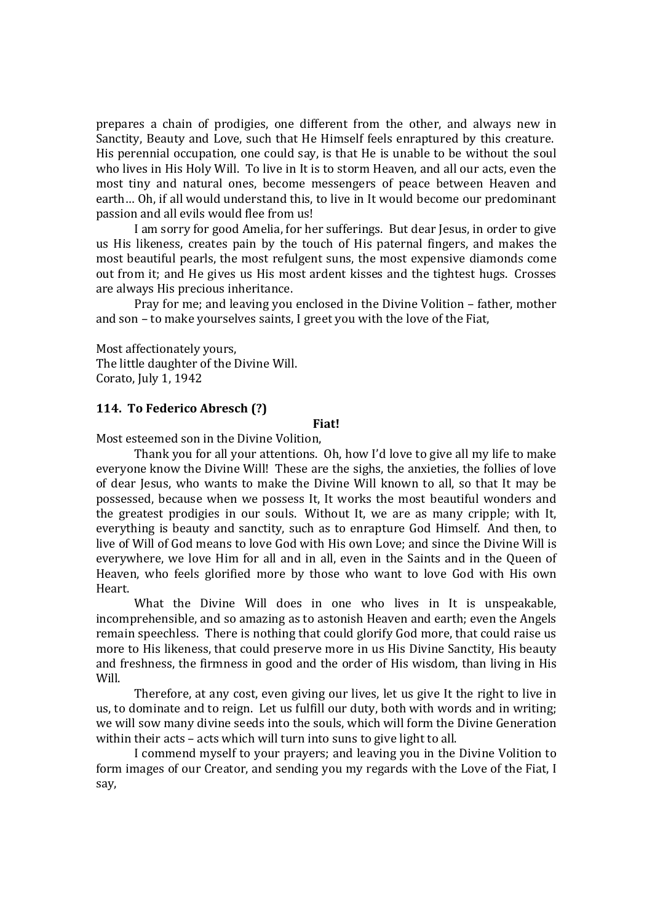prepares a chain of prodigies, one different from the other, and always new in Sanctity, Beauty and Love, such that He Himself feels enraptured by this creature. His perennial occupation, one could say, is that He is unable to be without the soul who lives in His Holy Will. To live in It is to storm Heaven, and all our acts, even the most tiny and natural ones, become messengers of peace between Heaven and earth… Oh, if all would understand this, to live in It would become our predominant passion and all evils would flee from us!

I am sorry for good Amelia, for her sufferings. But dear Jesus, in order to give us His likeness, creates pain by the touch of His paternal fingers, and makes the most beautiful pearls, the most refulgent suns, the most expensive diamonds come out from it; and He gives us His most ardent kisses and the tightest hugs. Crosses are always His precious inheritance.

Pray for me; and leaving you enclosed in the Divine Volition – father, mother and son – to make yourselves saints, I greet you with the love of the Fiat,

Most affectionately yours, The little daughter of the Divine Will. Corato, July 1, 1942

#### **114. To Federico Abresch (?)**

## **Fiat!**

Most esteemed son in the Divine Volition,

Thank you for all your attentions. Oh, how I'd love to give all my life to make everyone know the Divine Will! These are the sighs, the anxieties, the follies of love of dear Jesus, who wants to make the Divine Will known to all, so that It may be possessed, because when we possess It, It works the most beautiful wonders and the greatest prodigies in our souls. Without It, we are as many cripple; with It, everything is beauty and sanctity, such as to enrapture God Himself. And then, to live of Will of God means to love God with His own Love; and since the Divine Will is everywhere, we love Him for all and in all, even in the Saints and in the Queen of Heaven, who feels glorified more by those who want to love God with His own Heart.

What the Divine Will does in one who lives in It is unspeakable, incomprehensible, and so amazing as to astonish Heaven and earth; even the Angels remain speechless. There is nothing that could glorify God more, that could raise us more to His likeness, that could preserve more in us His Divine Sanctity, His beauty and freshness, the firmness in good and the order of His wisdom, than living in His Will.

Therefore, at any cost, even giving our lives, let us give It the right to live in us, to dominate and to reign. Let us fulfill our duty, both with words and in writing; we will sow many divine seeds into the souls, which will form the Divine Generation within their acts – acts which will turn into suns to give light to all.

I commend myself to your prayers; and leaving you in the Divine Volition to form images of our Creator, and sending you my regards with the Love of the Fiat, I say,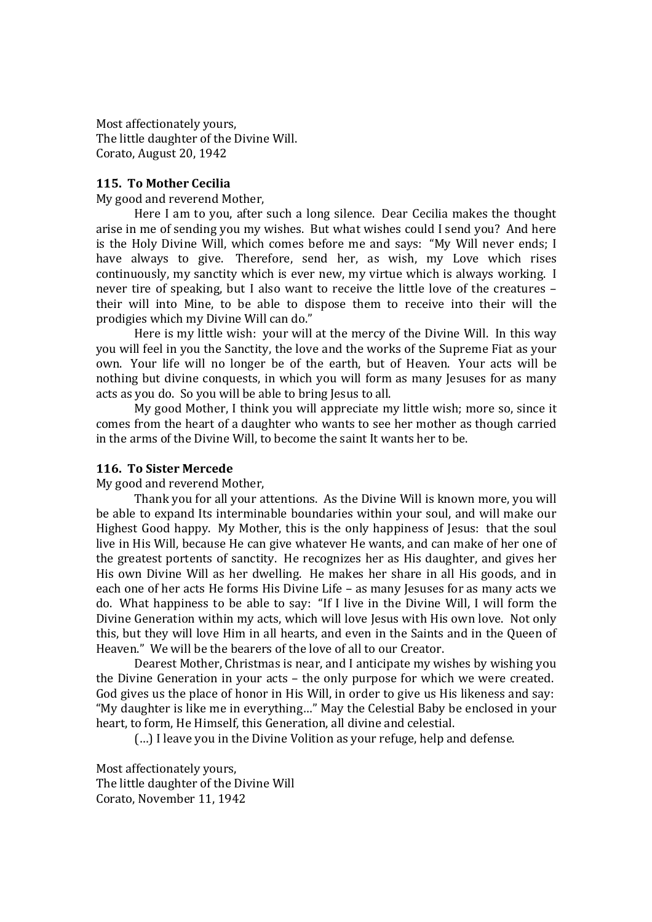Most affectionately yours, The little daughter of the Divine Will. Corato, August 20, 1942

#### **115. To Mother Cecilia**

My good and reverend Mother,

Here I am to you, after such a long silence. Dear Cecilia makes the thought arise in me of sending you my wishes. But what wishes could I send you? And here is the Holy Divine Will, which comes before me and says: "My Will never ends; I have always to give. Therefore, send her, as wish, my Love which rises continuously, my sanctity which is ever new, my virtue which is always working. I never tire of speaking, but I also want to receive the little love of the creatures – their will into Mine, to be able to dispose them to receive into their will the prodigies which my Divine Will can do."

Here is my little wish: your will at the mercy of the Divine Will. In this way you will feel in you the Sanctity, the love and the works of the Supreme Fiat as your own. Your life will no longer be of the earth, but of Heaven. Your acts will be nothing but divine conquests, in which you will form as many Jesuses for as many acts as you do. So you will be able to bring Jesus to all.

My good Mother, I think you will appreciate my little wish; more so, since it comes from the heart of a daughter who wants to see her mother as though carried in the arms of the Divine Will, to become the saint It wants her to be.

#### **116. To Sister Mercede**

My good and reverend Mother,

Thank you for all your attentions. As the Divine Will is known more, you will be able to expand Its interminable boundaries within your soul, and will make our Highest Good happy. My Mother, this is the only happiness of Jesus: that the soul live in His Will, because He can give whatever He wants, and can make of her one of the greatest portents of sanctity. He recognizes her as His daughter, and gives her His own Divine Will as her dwelling. He makes her share in all His goods, and in each one of her acts He forms His Divine Life – as many Jesuses for as many acts we do. What happiness to be able to say: "If I live in the Divine Will, I will form the Divine Generation within my acts, which will love Jesus with His own love. Not only this, but they will love Him in all hearts, and even in the Saints and in the Queen of Heaven." We will be the bearers of the love of all to our Creator.

Dearest Mother, Christmas is near, and I anticipate my wishes by wishing you the Divine Generation in your acts – the only purpose for which we were created. God gives us the place of honor in His Will, in order to give us His likeness and say: "My daughter is like me in everything…" May the Celestial Baby be enclosed in your heart, to form, He Himself, this Generation, all divine and celestial.

(…) I leave you in the Divine Volition as your refuge, help and defense.

Most affectionately yours, The little daughter of the Divine Will Corato, November 11, 1942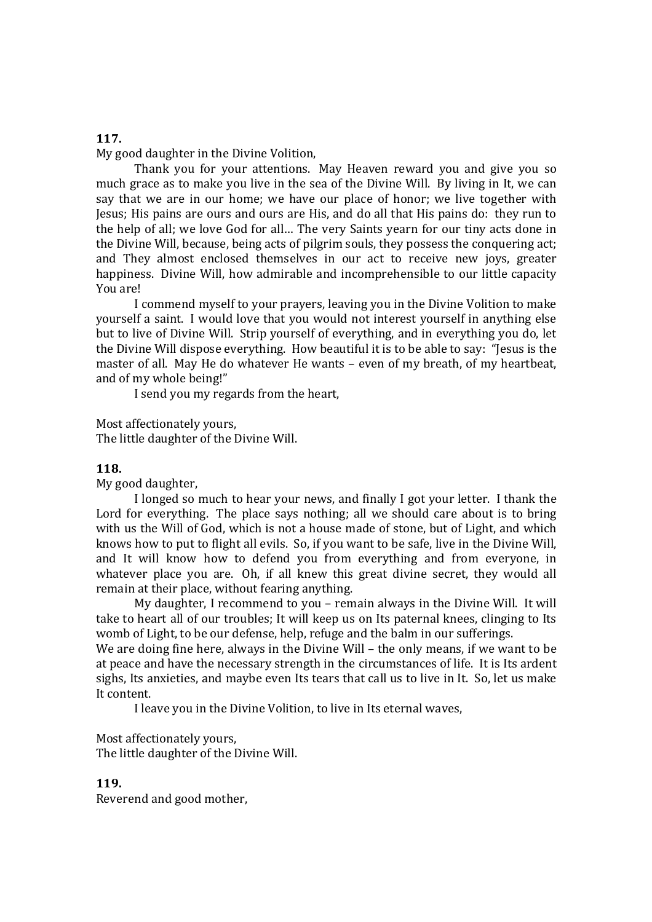# My good daughter in the Divine Volition,

Thank you for your attentions. May Heaven reward you and give you so much grace as to make you live in the sea of the Divine Will. By living in It, we can say that we are in our home; we have our place of honor; we live together with Jesus; His pains are ours and ours are His, and do all that His pains do: they run to the help of all; we love God for all… The very Saints yearn for our tiny acts done in the Divine Will, because, being acts of pilgrim souls, they possess the conquering act; and They almost enclosed themselves in our act to receive new joys, greater happiness. Divine Will, how admirable and incomprehensible to our little capacity You are!

I commend myself to your prayers, leaving you in the Divine Volition to make yourself a saint. I would love that you would not interest yourself in anything else but to live of Divine Will. Strip yourself of everything, and in everything you do, let the Divine Will dispose everything. How beautiful it is to be able to say: "Jesus is the master of all. May He do whatever He wants – even of my breath, of my heartbeat, and of my whole being!"

I send you my regards from the heart,

Most affectionately yours, The little daughter of the Divine Will.

## **118.**

My good daughter,

I longed so much to hear your news, and finally I got your letter. I thank the Lord for everything. The place says nothing; all we should care about is to bring with us the Will of God, which is not a house made of stone, but of Light, and which knows how to put to flight all evils. So, if you want to be safe, live in the Divine Will, and It will know how to defend you from everything and from everyone, in whatever place you are. Oh, if all knew this great divine secret, they would all remain at their place, without fearing anything.

My daughter, I recommend to you – remain always in the Divine Will. It will take to heart all of our troubles; It will keep us on Its paternal knees, clinging to Its womb of Light, to be our defense, help, refuge and the balm in our sufferings.

We are doing fine here, always in the Divine Will – the only means, if we want to be at peace and have the necessary strength in the circumstances of life. It is Its ardent sighs, Its anxieties, and maybe even Its tears that call us to live in It. So, let us make It content.

I leave you in the Divine Volition, to live in Its eternal waves,

Most affectionately yours, The little daughter of the Divine Will.

## **119.**

Reverend and good mother,

#### **117.**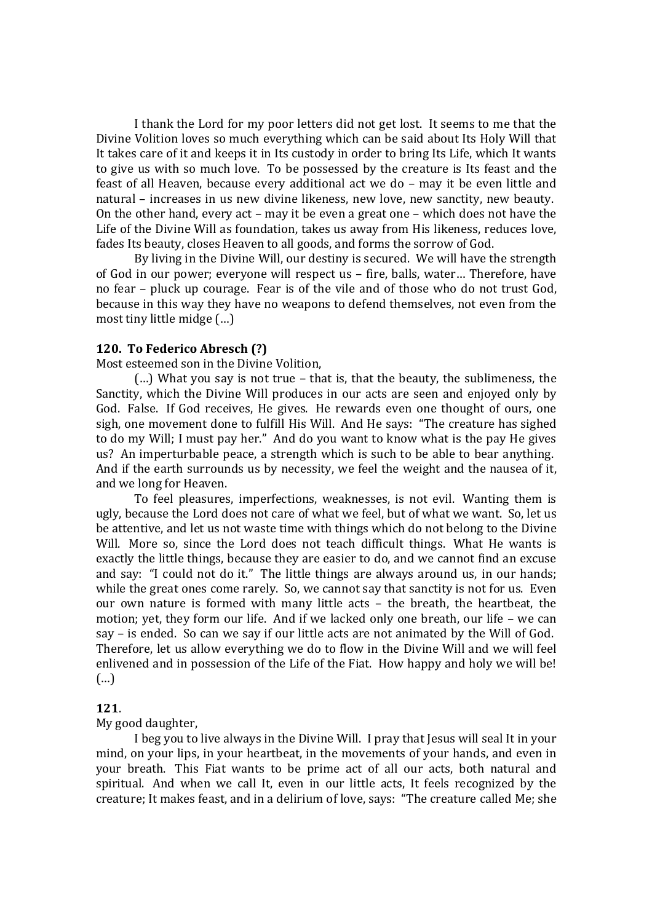I thank the Lord for my poor letters did not get lost. It seems to me that the Divine Volition loves so much everything which can be said about Its Holy Will that It takes care of it and keeps it in Its custody in order to bring Its Life, which It wants to give us with so much love. To be possessed by the creature is Its feast and the feast of all Heaven, because every additional act we do – may it be even little and natural – increases in us new divine likeness, new love, new sanctity, new beauty. On the other hand, every act – may it be even a great one – which does not have the Life of the Divine Will as foundation, takes us away from His likeness, reduces love, fades Its beauty, closes Heaven to all goods, and forms the sorrow of God.

By living in the Divine Will, our destiny is secured. We will have the strength of God in our power; everyone will respect us – fire, balls, water… Therefore, have no fear – pluck up courage. Fear is of the vile and of those who do not trust God, because in this way they have no weapons to defend themselves, not even from the most tiny little midge (…)

#### **120. To Federico Abresch (?)**

Most esteemed son in the Divine Volition,

(…) What you say is not true – that is, that the beauty, the sublimeness, the Sanctity, which the Divine Will produces in our acts are seen and enjoyed only by God. False. If God receives, He gives. He rewards even one thought of ours, one sigh, one movement done to fulfill His Will. And He says: "The creature has sighed to do my Will; I must pay her." And do you want to know what is the pay He gives us? An imperturbable peace, a strength which is such to be able to bear anything. And if the earth surrounds us by necessity, we feel the weight and the nausea of it, and we long for Heaven.

To feel pleasures, imperfections, weaknesses, is not evil. Wanting them is ugly, because the Lord does not care of what we feel, but of what we want. So, let us be attentive, and let us not waste time with things which do not belong to the Divine Will. More so, since the Lord does not teach difficult things. What He wants is exactly the little things, because they are easier to do, and we cannot find an excuse and say: "I could not do it." The little things are always around us, in our hands; while the great ones come rarely. So, we cannot say that sanctity is not for us. Even our own nature is formed with many little acts – the breath, the heartbeat, the motion; yet, they form our life. And if we lacked only one breath, our life – we can say – is ended. So can we say if our little acts are not animated by the Will of God. Therefore, let us allow everything we do to flow in the Divine Will and we will feel enlivened and in possession of the Life of the Fiat. How happy and holy we will be! (…)

#### **121**.

#### My good daughter,

I beg you to live always in the Divine Will. I pray that Jesus will seal It in your mind, on your lips, in your heartbeat, in the movements of your hands, and even in your breath. This Fiat wants to be prime act of all our acts, both natural and spiritual. And when we call It, even in our little acts, It feels recognized by the creature; It makes feast, and in a delirium of love, says: "The creature called Me; she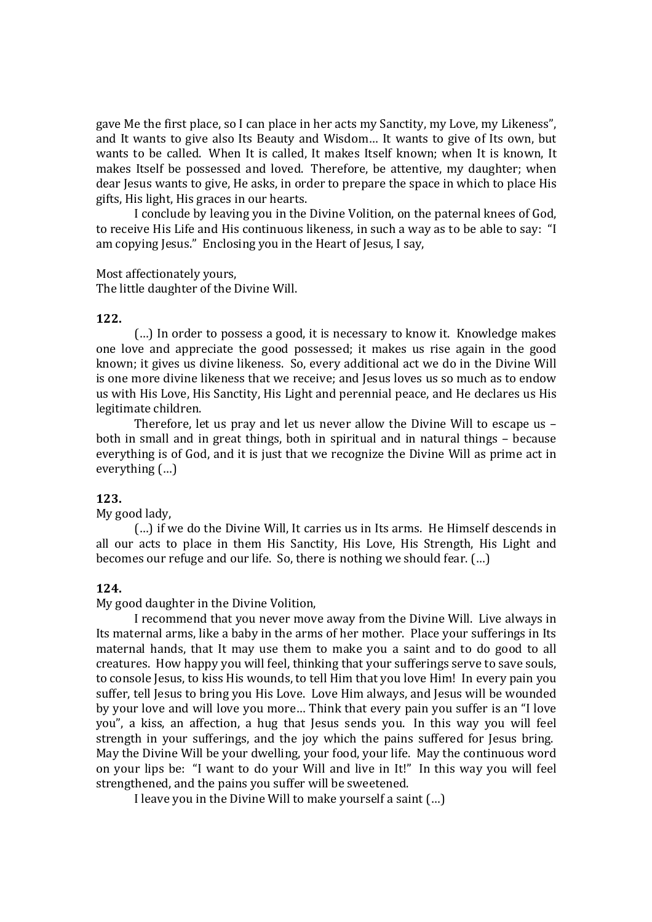gave Me the first place, so I can place in her acts my Sanctity, my Love, my Likeness", and It wants to give also Its Beauty and Wisdom… It wants to give of Its own, but wants to be called. When It is called, It makes Itself known; when It is known, It makes Itself be possessed and loved. Therefore, be attentive, my daughter; when dear Jesus wants to give, He asks, in order to prepare the space in which to place His gifts, His light, His graces in our hearts.

I conclude by leaving you in the Divine Volition, on the paternal knees of God, to receive His Life and His continuous likeness, in such a way as to be able to say: "I am copying Jesus." Enclosing you in the Heart of Jesus, I say,

Most affectionately yours,

The little daughter of the Divine Will.

#### **122.**

(…) In order to possess a good, it is necessary to know it. Knowledge makes one love and appreciate the good possessed; it makes us rise again in the good known; it gives us divine likeness. So, every additional act we do in the Divine Will is one more divine likeness that we receive; and Jesus loves us so much as to endow us with His Love, His Sanctity, His Light and perennial peace, and He declares us His legitimate children.

Therefore, let us pray and let us never allow the Divine Will to escape us – both in small and in great things, both in spiritual and in natural things – because everything is of God, and it is just that we recognize the Divine Will as prime act in everything (…)

# **123.**

My good lady,

(…) if we do the Divine Will, It carries us in Its arms. He Himself descends in all our acts to place in them His Sanctity, His Love, His Strength, His Light and becomes our refuge and our life. So, there is nothing we should fear. (…)

#### **124.**

My good daughter in the Divine Volition,

I recommend that you never move away from the Divine Will. Live always in Its maternal arms, like a baby in the arms of her mother. Place your sufferings in Its maternal hands, that It may use them to make you a saint and to do good to all creatures. How happy you will feel, thinking that your sufferings serve to save souls, to console Jesus, to kiss His wounds, to tell Him that you love Him! In every pain you suffer, tell Jesus to bring you His Love. Love Him always, and Jesus will be wounded by your love and will love you more… Think that every pain you suffer is an "I love you", a kiss, an affection, a hug that Jesus sends you. In this way you will feel strength in your sufferings, and the joy which the pains suffered for Jesus bring. May the Divine Will be your dwelling, your food, your life. May the continuous word on your lips be: "I want to do your Will and live in It!" In this way you will feel strengthened, and the pains you suffer will be sweetened.

I leave you in the Divine Will to make yourself a saint (…)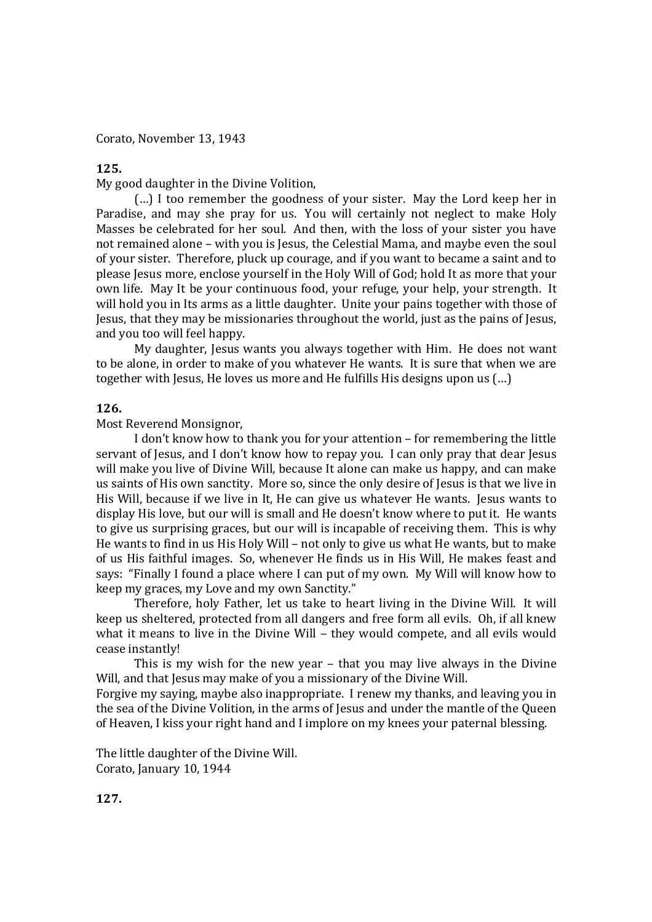Corato, November 13, 1943

#### **125.**

My good daughter in the Divine Volition,

(…) I too remember the goodness of your sister. May the Lord keep her in Paradise, and may she pray for us. You will certainly not neglect to make Holy Masses be celebrated for her soul. And then, with the loss of your sister you have not remained alone – with you is Jesus, the Celestial Mama, and maybe even the soul of your sister. Therefore, pluck up courage, and if you want to became a saint and to please Jesus more, enclose yourself in the Holy Will of God; hold It as more that your own life. May It be your continuous food, your refuge, your help, your strength. It will hold you in Its arms as a little daughter. Unite your pains together with those of Jesus, that they may be missionaries throughout the world, just as the pains of Jesus, and you too will feel happy.

My daughter, Jesus wants you always together with Him. He does not want to be alone, in order to make of you whatever He wants. It is sure that when we are together with Jesus, He loves us more and He fulfills His designs upon us (...)

#### **126.**

Most Reverend Monsignor,

I don't know how to thank you for your attention – for remembering the little servant of Jesus, and I don't know how to repay you. I can only pray that dear Jesus will make you live of Divine Will, because It alone can make us happy, and can make us saints of His own sanctity. More so, since the only desire of Jesus is that we live in His Will, because if we live in It, He can give us whatever He wants. Jesus wants to display His love, but our will is small and He doesn't know where to put it. He wants to give us surprising graces, but our will is incapable of receiving them. This is why He wants to find in us His Holy Will – not only to give us what He wants, but to make of us His faithful images. So, whenever He finds us in His Will, He makes feast and says: "Finally I found a place where I can put of my own. My Will will know how to keep my graces, my Love and my own Sanctity."

Therefore, holy Father, let us take to heart living in the Divine Will. It will keep us sheltered, protected from all dangers and free form all evils. Oh, if all knew what it means to live in the Divine Will – they would compete, and all evils would cease instantly!

This is my wish for the new year – that you may live always in the Divine Will, and that Jesus may make of you a missionary of the Divine Will.

Forgive my saying, maybe also inappropriate. I renew my thanks, and leaving you in the sea of the Divine Volition, in the arms of Jesus and under the mantle of the Queen of Heaven, I kiss your right hand and I implore on my knees your paternal blessing.

The little daughter of the Divine Will. Corato, January 10, 1944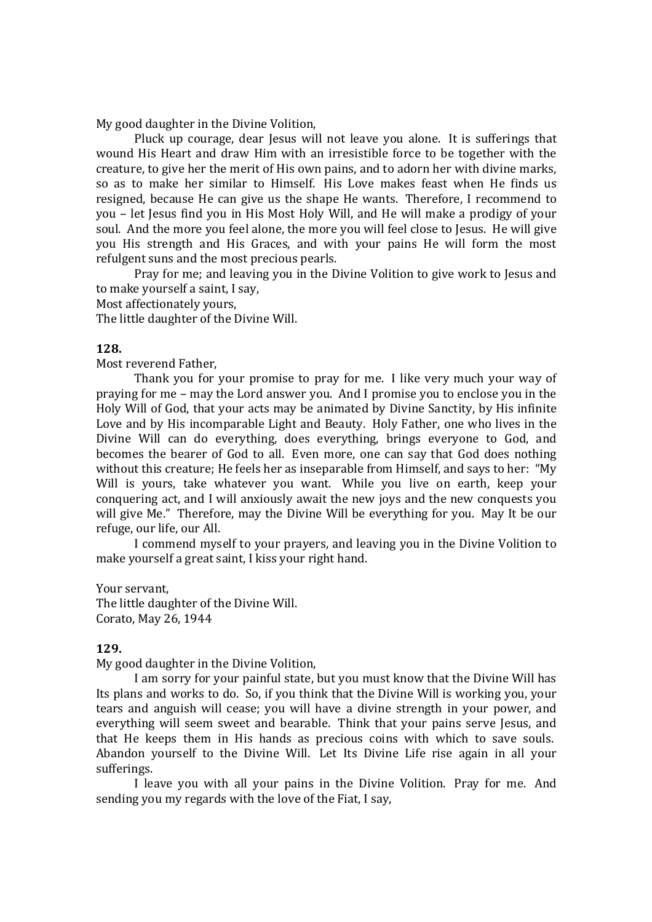My good daughter in the Divine Volition,

Pluck up courage, dear Jesus will not leave you alone. It is sufferings that wound His Heart and draw Him with an irresistible force to be together with the creature, to give her the merit of His own pains, and to adorn her with divine marks, so as to make her similar to Himself. His Love makes feast when He finds us resigned, because He can give us the shape He wants. Therefore, I recommend to you – let Jesus find you in His Most Holy Will, and He will make a prodigy of your soul. And the more you feel alone, the more you will feel close to Jesus. He will give you His strength and His Graces, and with your pains He will form the most refulgent suns and the most precious pearls.

Pray for me; and leaving you in the Divine Volition to give work to Jesus and to make yourself a saint, I say,

Most affectionately yours,

The little daughter of the Divine Will.

#### **128.**

Most reverend Father,

Thank you for your promise to pray for me. I like very much your way of praying for me – may the Lord answer you. And I promise you to enclose you in the Holy Will of God, that your acts may be animated by Divine Sanctity, by His infinite Love and by His incomparable Light and Beauty. Holy Father, one who lives in the Divine Will can do everything, does everything, brings everyone to God, and becomes the bearer of God to all. Even more, one can say that God does nothing without this creature; He feels her as inseparable from Himself, and says to her: "My Will is yours, take whatever you want. While you live on earth, keep your conquering act, and I will anxiously await the new joys and the new conquests you will give Me." Therefore, may the Divine Will be everything for you. May It be our refuge, our life, our All.

I commend myself to your prayers, and leaving you in the Divine Volition to make yourself a great saint, I kiss your right hand.

Your servant, The little daughter of the Divine Will. Corato, May 26, 1944

#### **129.**

My good daughter in the Divine Volition,

I am sorry for your painful state, but you must know that the Divine Will has Its plans and works to do. So, if you think that the Divine Will is working you, your tears and anguish will cease; you will have a divine strength in your power, and everything will seem sweet and bearable. Think that your pains serve Jesus, and that He keeps them in His hands as precious coins with which to save souls. Abandon yourself to the Divine Will. Let Its Divine Life rise again in all your sufferings.

I leave you with all your pains in the Divine Volition. Pray for me. And sending you my regards with the love of the Fiat, I say,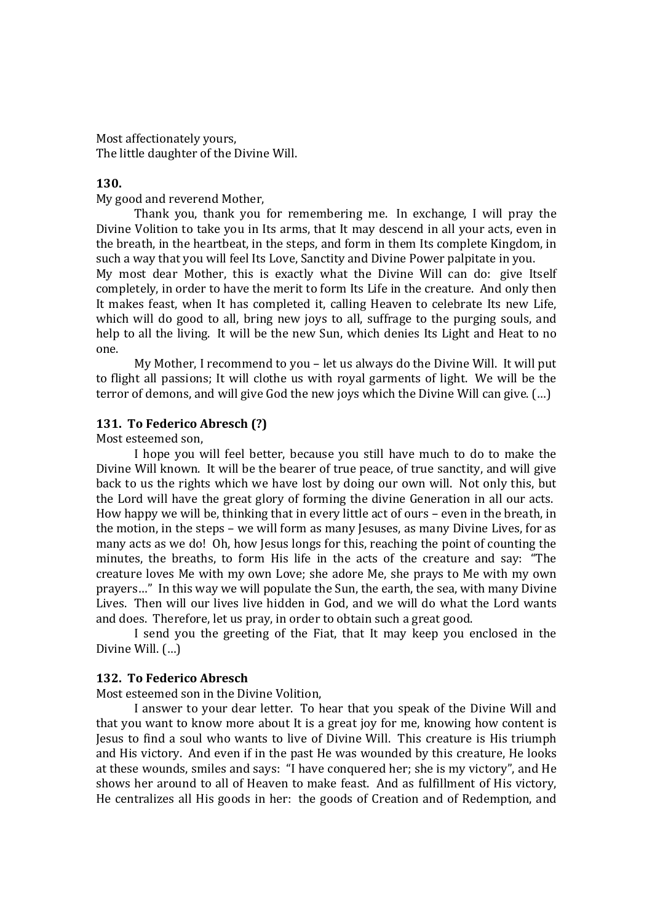Most affectionately yours, The little daughter of the Divine Will.

#### **130.**

My good and reverend Mother,

Thank you, thank you for remembering me. In exchange, I will pray the Divine Volition to take you in Its arms, that It may descend in all your acts, even in the breath, in the heartbeat, in the steps, and form in them Its complete Kingdom, in such a way that you will feel Its Love, Sanctity and Divine Power palpitate in you. My most dear Mother, this is exactly what the Divine Will can do: give Itself completely, in order to have the merit to form Its Life in the creature. And only then It makes feast, when It has completed it, calling Heaven to celebrate Its new Life, which will do good to all, bring new joys to all, suffrage to the purging souls, and help to all the living. It will be the new Sun, which denies Its Light and Heat to no one.

My Mother, I recommend to you – let us always do the Divine Will. It will put to flight all passions; It will clothe us with royal garments of light. We will be the terror of demons, and will give God the new joys which the Divine Will can give. (…)

#### **131. To Federico Abresch (?)**

Most esteemed son,

I hope you will feel better, because you still have much to do to make the Divine Will known. It will be the bearer of true peace, of true sanctity, and will give back to us the rights which we have lost by doing our own will. Not only this, but the Lord will have the great glory of forming the divine Generation in all our acts. How happy we will be, thinking that in every little act of ours – even in the breath, in the motion, in the steps – we will form as many Jesuses, as many Divine Lives, for as many acts as we do! Oh, how Jesus longs for this, reaching the point of counting the minutes, the breaths, to form His life in the acts of the creature and say: "The creature loves Me with my own Love; she adore Me, she prays to Me with my own prayers…" In this way we will populate the Sun, the earth, the sea, with many Divine Lives. Then will our lives live hidden in God, and we will do what the Lord wants and does. Therefore, let us pray, in order to obtain such a great good.

I send you the greeting of the Fiat, that It may keep you enclosed in the Divine Will. (…)

#### **132. To Federico Abresch**

Most esteemed son in the Divine Volition,

I answer to your dear letter. To hear that you speak of the Divine Will and that you want to know more about It is a great joy for me, knowing how content is Jesus to find a soul who wants to live of Divine Will. This creature is His triumph and His victory. And even if in the past He was wounded by this creature, He looks at these wounds, smiles and says: "I have conquered her; she is my victory", and He shows her around to all of Heaven to make feast. And as fulfillment of His victory, He centralizes all His goods in her: the goods of Creation and of Redemption, and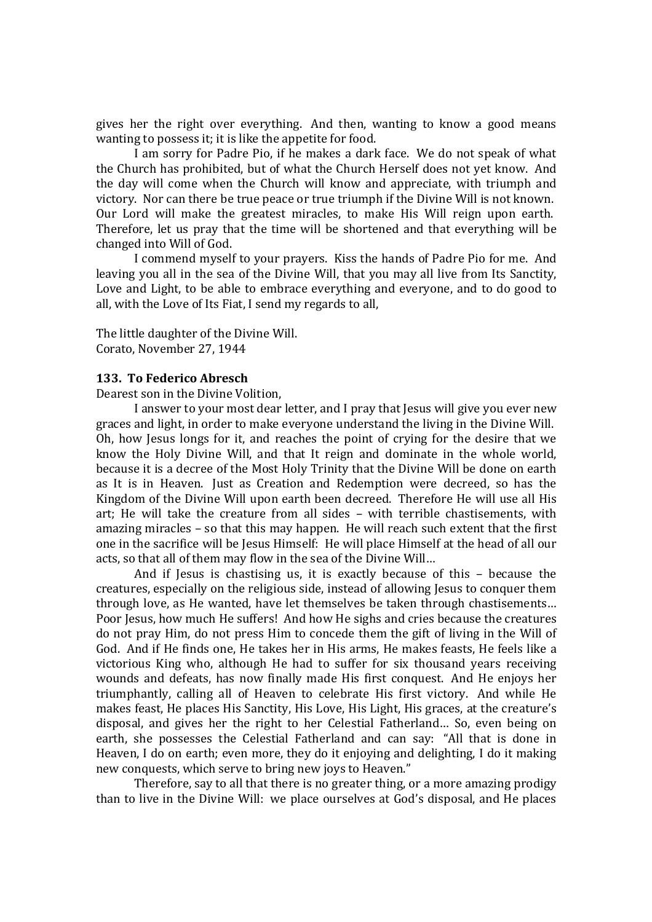gives her the right over everything. And then, wanting to know a good means wanting to possess it; it is like the appetite for food.

I am sorry for Padre Pio, if he makes a dark face. We do not speak of what the Church has prohibited, but of what the Church Herself does not yet know. And the day will come when the Church will know and appreciate, with triumph and victory. Nor can there be true peace or true triumph if the Divine Will is not known. Our Lord will make the greatest miracles, to make His Will reign upon earth. Therefore, let us pray that the time will be shortened and that everything will be changed into Will of God.

I commend myself to your prayers. Kiss the hands of Padre Pio for me. And leaving you all in the sea of the Divine Will, that you may all live from Its Sanctity, Love and Light, to be able to embrace everything and everyone, and to do good to all, with the Love of Its Fiat, I send my regards to all,

The little daughter of the Divine Will. Corato, November 27, 1944

#### **133. To Federico Abresch**

Dearest son in the Divine Volition,

I answer to your most dear letter, and I pray that Jesus will give you ever new graces and light, in order to make everyone understand the living in the Divine Will. Oh, how Jesus longs for it, and reaches the point of crying for the desire that we know the Holy Divine Will, and that It reign and dominate in the whole world, because it is a decree of the Most Holy Trinity that the Divine Will be done on earth as It is in Heaven. Just as Creation and Redemption were decreed, so has the Kingdom of the Divine Will upon earth been decreed. Therefore He will use all His art; He will take the creature from all sides – with terrible chastisements, with amazing miracles – so that this may happen. He will reach such extent that the first one in the sacrifice will be Jesus Himself: He will place Himself at the head of all our acts, so that all of them may flow in the sea of the Divine Will…

And if Jesus is chastising us, it is exactly because of this – because the creatures, especially on the religious side, instead of allowing Jesus to conquer them through love, as He wanted, have let themselves be taken through chastisements… Poor Jesus, how much He suffers! And how He sighs and cries because the creatures do not pray Him, do not press Him to concede them the gift of living in the Will of God. And if He finds one, He takes her in His arms, He makes feasts, He feels like a victorious King who, although He had to suffer for six thousand years receiving wounds and defeats, has now finally made His first conquest. And He enjoys her triumphantly, calling all of Heaven to celebrate His first victory. And while He makes feast, He places His Sanctity, His Love, His Light, His graces, at the creature's disposal, and gives her the right to her Celestial Fatherland… So, even being on earth, she possesses the Celestial Fatherland and can say: "All that is done in Heaven, I do on earth; even more, they do it enjoying and delighting, I do it making new conquests, which serve to bring new joys to Heaven."

Therefore, say to all that there is no greater thing, or a more amazing prodigy than to live in the Divine Will: we place ourselves at God's disposal, and He places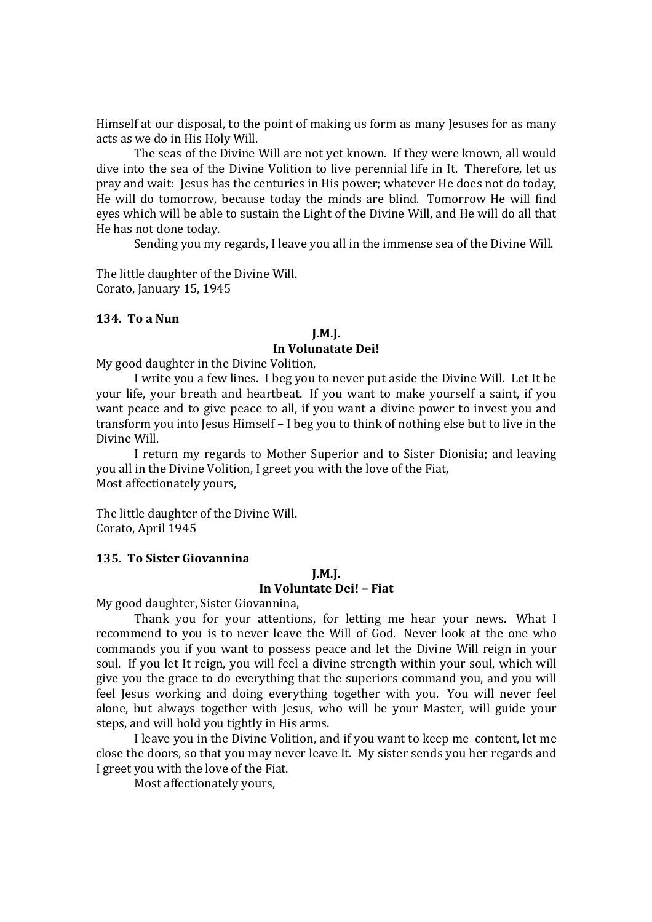Himself at our disposal, to the point of making us form as many Jesuses for as many acts as we do in His Holy Will.

The seas of the Divine Will are not yet known. If they were known, all would dive into the sea of the Divine Volition to live perennial life in It. Therefore, let us pray and wait: Jesus has the centuries in His power; whatever He does not do today, He will do tomorrow, because today the minds are blind. Tomorrow He will find eyes which will be able to sustain the Light of the Divine Will, and He will do all that He has not done today.

Sending you my regards, I leave you all in the immense sea of the Divine Will.

The little daughter of the Divine Will. Corato, January 15, 1945

# **134. To a Nun**

#### **J.M.J. In Volunatate Dei!**

My good daughter in the Divine Volition,

I write you a few lines. I beg you to never put aside the Divine Will. Let It be your life, your breath and heartbeat. If you want to make yourself a saint, if you want peace and to give peace to all, if you want a divine power to invest you and transform you into Jesus Himself – I beg you to think of nothing else but to live in the Divine Will.

I return my regards to Mother Superior and to Sister Dionisia; and leaving you all in the Divine Volition, I greet you with the love of the Fiat, Most affectionately yours,

The little daughter of the Divine Will. Corato, April 1945

#### **135. To Sister Giovannina**

# **J.M.J.**

# **In Voluntate Dei! – Fiat**

My good daughter, Sister Giovannina,

Thank you for your attentions, for letting me hear your news. What I recommend to you is to never leave the Will of God. Never look at the one who commands you if you want to possess peace and let the Divine Will reign in your soul. If you let It reign, you will feel a divine strength within your soul, which will give you the grace to do everything that the superiors command you, and you will feel Jesus working and doing everything together with you. You will never feel alone, but always together with Jesus, who will be your Master, will guide your steps, and will hold you tightly in His arms.

I leave you in the Divine Volition, and if you want to keep me content, let me close the doors, so that you may never leave It. My sister sends you her regards and I greet you with the love of the Fiat.

Most affectionately yours,